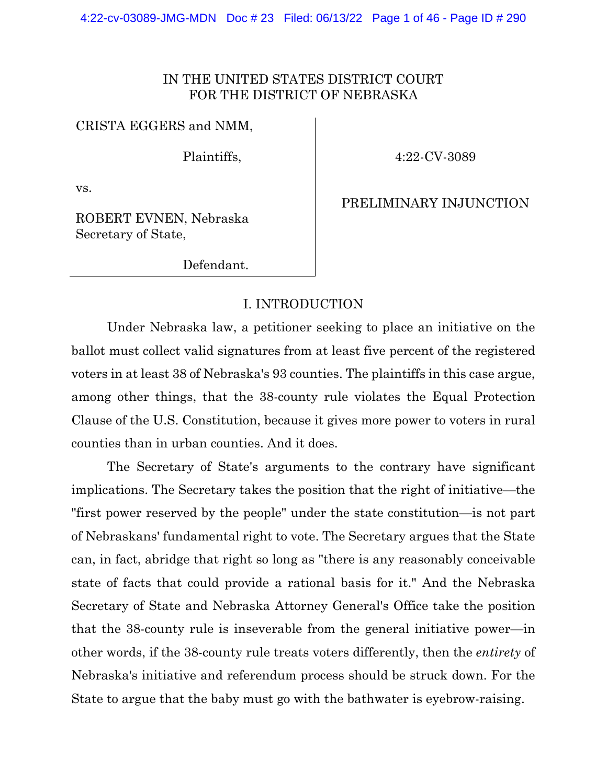#### IN THE UNITED STATES DISTRICT COURT FOR THE DISTRICT OF NEBRASKA

#### CRISTA EGGERS and NMM,

Plaintiffs,

4:22-CV-3089

vs.

PRELIMINARY INJUNCTION

ROBERT EVNEN, Nebraska Secretary of State,

Defendant.

#### I. INTRODUCTION

Under Nebraska law, a petitioner seeking to place an initiative on the ballot must collect valid signatures from at least five percent of the registered voters in at least 38 of Nebraska's 93 counties. The plaintiffs in this case argue, among other things, that the 38-county rule violates the Equal Protection Clause of the U.S. Constitution, because it gives more power to voters in rural counties than in urban counties. And it does.

The Secretary of State's arguments to the contrary have significant implications. The Secretary takes the position that the right of initiative—the "first power reserved by the people" under the state constitution—is not part of Nebraskans' fundamental right to vote. The Secretary argues that the State can, in fact, abridge that right so long as "there is any reasonably conceivable state of facts that could provide a rational basis for it." And the Nebraska Secretary of State and Nebraska Attorney General's Office take the position that the 38-county rule is inseverable from the general initiative power—in other words, if the 38-county rule treats voters differently, then the *entirety* of Nebraska's initiative and referendum process should be struck down. For the State to argue that the baby must go with the bathwater is eyebrow-raising.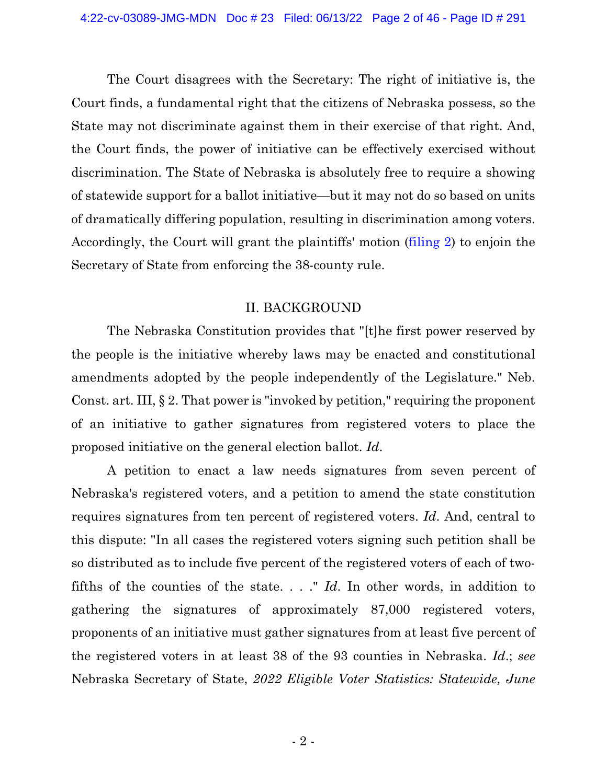The Court disagrees with the Secretary: The right of initiative is, the Court finds, a fundamental right that the citizens of Nebraska possess, so the State may not discriminate against them in their exercise of that right. And, the Court finds, the power of initiative can be effectively exercised without discrimination. The State of Nebraska is absolutely free to require a showing of statewide support for a ballot initiative—but it may not do so based on units of dramatically differing population, resulting in discrimination among voters. Accordingly, the Court will grant the plaintiffs' motion [\(filing](https://ecf.ned.uscourts.gov/doc1/11314956983) 2) to enjoin the Secretary of State from enforcing the 38-county rule.

#### II. BACKGROUND

The Nebraska Constitution provides that "[t]he first power reserved by the people is the initiative whereby laws may be enacted and constitutional amendments adopted by the people independently of the Legislature." Neb. Const. art. III, § 2. That power is "invoked by petition," requiring the proponent of an initiative to gather signatures from registered voters to place the proposed initiative on the general election ballot. *Id*.

A petition to enact a law needs signatures from seven percent of Nebraska's registered voters, and a petition to amend the state constitution requires signatures from ten percent of registered voters. *Id*. And, central to this dispute: "In all cases the registered voters signing such petition shall be so distributed as to include five percent of the registered voters of each of twofifths of the counties of the state. . . ." *Id*. In other words, in addition to gathering the signatures of approximately 87,000 registered voters, proponents of an initiative must gather signatures from at least five percent of the registered voters in at least 38 of the 93 counties in Nebraska. *Id*.; *see* Nebraska Secretary of State, *2022 Eligible Voter Statistics: Statewide, June*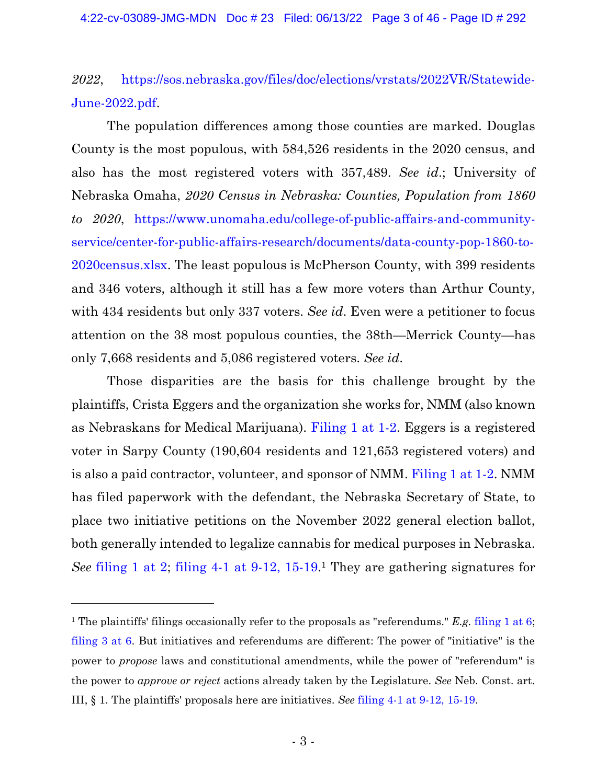*2022*, [https://sos.nebraska.gov/files/doc/elections/vrstats/2022VR/Statewide-](https://sos.nebraska.gov/files/doc/elections/vrstats/2022VR/Statewide-June-2022.pdf)[June-2022.pdf.](https://sos.nebraska.gov/files/doc/elections/vrstats/2022VR/Statewide-June-2022.pdf)

The population differences among those counties are marked. Douglas County is the most populous, with 584,526 residents in the 2020 census, and also has the most registered voters with 357,489. *See id*.; University of Nebraska Omaha, *2020 Census in Nebraska: Counties, Population from 1860 to 2020*, [https://www.unomaha.edu/college-of-public-affairs-and-community](https://www.unomaha.edu/college-of-public-affairs-and-community-service/center-for-public-affairs-research/documents/data-county-pop-1860-to-2020census.xlsx)[service/center-for-public-affairs-research/documents/data-county-pop-1860-to-](https://www.unomaha.edu/college-of-public-affairs-and-community-service/center-for-public-affairs-research/documents/data-county-pop-1860-to-2020census.xlsx)[2020census.xlsx.](https://www.unomaha.edu/college-of-public-affairs-and-community-service/center-for-public-affairs-research/documents/data-county-pop-1860-to-2020census.xlsx) The least populous is McPherson County, with 399 residents and 346 voters, although it still has a few more voters than Arthur County, with 434 residents but only 337 voters. *See id*. Even were a petitioner to focus attention on the 38 most populous counties, the 38th—Merrick County—has only 7,668 residents and 5,086 registered voters. *See id*.

Those disparities are the basis for this challenge brought by the plaintiffs, Crista Eggers and the organization she works for, NMM (also known as Nebraskans for Medical Marijuana). [Filing](https://ecf.ned.uscourts.gov/doc1/11314956971?page=1) 1 at 1-2. Eggers is a registered voter in Sarpy County (190,604 residents and 121,653 registered voters) and is also a paid contractor, volunteer, and sponsor of NMM. [Filing](https://ecf.ned.uscourts.gov/doc1/11314956971?page=1) 1 at 1-2. NMM has filed paperwork with the defendant, the Nebraska Secretary of State, to place two initiative petitions on the November 2022 general election ballot, both generally intended to legalize cannabis for medical purposes in Nebraska. *See* [filing](https://ecf.ned.uscourts.gov/doc1/11314956971?page=2) 1 at 2; filing 4-1 at 9-12, [15-19.](https://ecf.ned.uscourts.gov/doc1/11314957010?page=9) <sup>1</sup> They are gathering signatures for

<sup>1</sup> The plaintiffs' filings occasionally refer to the proposals as "referendums." *E.g.* [filing 1 at 6;](https://ecf.ned.uscourts.gov/doc1/11314956971?page=6) [filing 3 at 6.](https://ecf.ned.uscourts.gov/doc1/11314956989?page=6) But initiatives and referendums are different: The power of "initiative" is the power to *propose* laws and constitutional amendments, while the power of "referendum" is the power to *approve or reject* actions already taken by the Legislature. *See* Neb. Const. art. III, § 1. The plaintiffs' proposals here are initiatives. *See* [filing 4-1 at 9-12, 15-19.](https://ecf.ned.uscourts.gov/doc1/11314957010?page=9)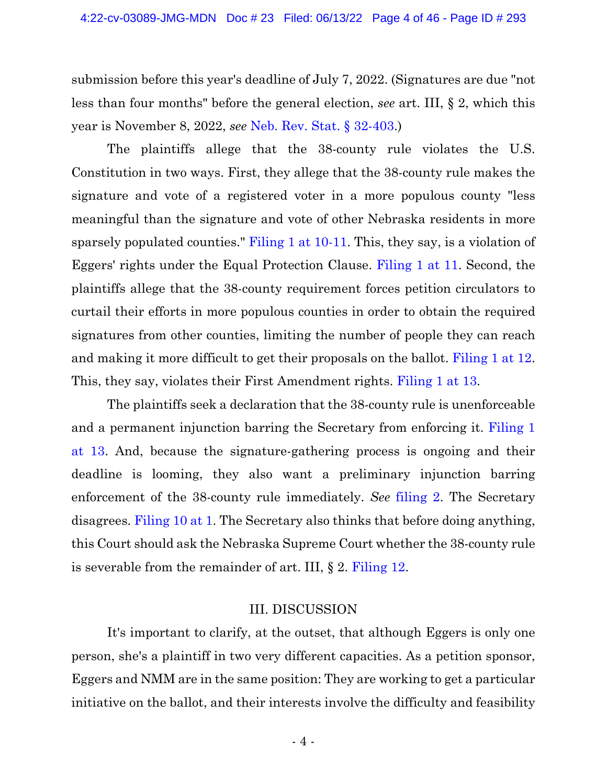submission before this year's deadline of July 7, 2022. (Signatures are due "not less than four months" before the general election, *see* art. III, § 2, which this year is November 8, 2022, *see* Neb. Rev. Stat. § [32-403.](https://www.westlaw.com/Document/N1D0CBA50AEC411DEA0C8A10D09B7A847/View/FullText.html?transitionType=Default&contextData=(sc.Default)&VR=3.0&RS=da3.0))

The plaintiffs allege that the 38-county rule violates the U.S. Constitution in two ways. First, they allege that the 38-county rule makes the signature and vote of a registered voter in a more populous county "less meaningful than the signature and vote of other Nebraska residents in more sparsely populated counties." [Filing](https://ecf.ned.uscourts.gov/doc1/11314956971?page=10) 1 at 10-11. This, they say, is a violation of Eggers' rights under the Equal Protection Clause. [Filing](https://ecf.ned.uscourts.gov/doc1/11314956971?page=11) 1 at 11. Second, the plaintiffs allege that the 38-county requirement forces petition circulators to curtail their efforts in more populous counties in order to obtain the required signatures from other counties, limiting the number of people they can reach and making it more difficult to get their proposals on the ballot. [Filing](https://ecf.ned.uscourts.gov/doc1/11314956971?page=12) 1 at 12. This, they say, violates their First Amendment rights. [Filing](https://ecf.ned.uscourts.gov/doc1/11314956971?page=13) 1 at 13.

The plaintiffs seek a declaration that the 38-county rule is unenforceable and a permanent injunction barring the Secretary from enforcing it. [Filing](https://ecf.ned.uscourts.gov/doc1/11314956971?page=13) 1 at [13.](https://ecf.ned.uscourts.gov/doc1/11314956971?page=13) And, because the signature-gathering process is ongoing and their deadline is looming, they also want a preliminary injunction barring enforcement of the 38-county rule immediately. *See* [filing](https://ecf.ned.uscourts.gov/doc1/11314956983) 2. The Secretary disagrees. [Filing](https://ecf.ned.uscourts.gov/doc1/11314967650?page=1) 10 at 1. The Secretary also thinks that before doing anything, this Court should ask the Nebraska Supreme Court whether the 38-county rule is severable from the remainder of art. III, § 2. [Filing](https://ecf.ned.uscourts.gov/doc1/11314967722) 12.

#### III. DISCUSSION

It's important to clarify, at the outset, that although Eggers is only one person, she's a plaintiff in two very different capacities. As a petition sponsor, Eggers and NMM are in the same position: They are working to get a particular initiative on the ballot, and their interests involve the difficulty and feasibility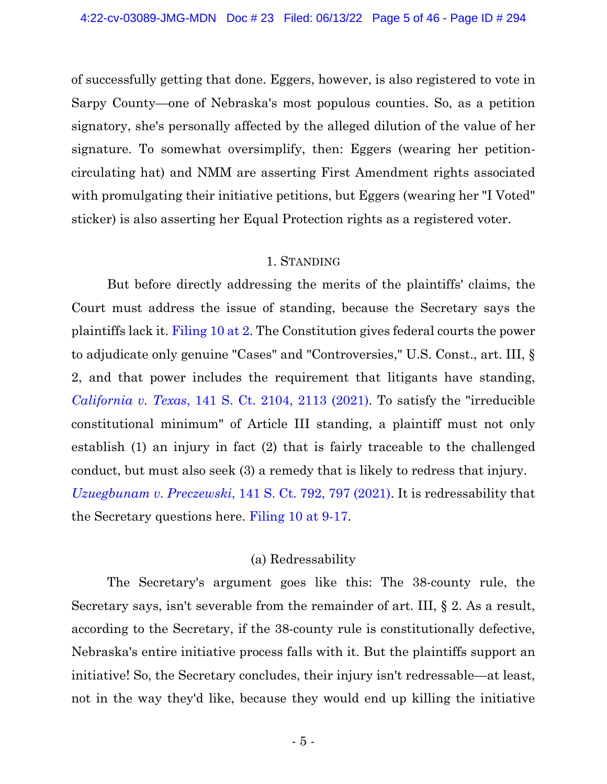of successfully getting that done. Eggers, however, is also registered to vote in Sarpy County—one of Nebraska's most populous counties. So, as a petition signatory, she's personally affected by the alleged dilution of the value of her signature. To somewhat oversimplify, then: Eggers (wearing her petitioncirculating hat) and NMM are asserting First Amendment rights associated with promulgating their initiative petitions, but Eggers (wearing her "I Voted" sticker) is also asserting her Equal Protection rights as a registered voter.

#### 1. STANDING

But before directly addressing the merits of the plaintiffs' claims, the Court must address the issue of standing, because the Secretary says the plaintiffs lack it. [Filing](https://ecf.ned.uscourts.gov/doc1/11314967650?page=2) 10 at 2. The Constitution gives federal courts the power to adjudicate only genuine "Cases" and "Controversies," U.S. Const., art. III, § 2, and that power includes the requirement that litigants have standing, *[California](https://www.westlaw.com/Document/I30bd8b76cf1611eb9ef5b7c3555247c3/View/FullText.html?transitionType=Default&contextData=(sc.Default)&VR=3.0&RS=da3.0&fragmentIdentifier=co_pp_sp_708_2113) v. Texas*, 141 S. Ct. 2104, 2113 [\(2021\).](https://www.westlaw.com/Document/I30bd8b76cf1611eb9ef5b7c3555247c3/View/FullText.html?transitionType=Default&contextData=(sc.Default)&VR=3.0&RS=da3.0&fragmentIdentifier=co_pp_sp_708_2113) To satisfy the "irreducible constitutional minimum" of Article III standing, a plaintiff must not only establish (1) an injury in fact (2) that is fairly traceable to the challenged conduct, but must also seek (3) a remedy that is likely to redress that injury. *[Uzuegbunam](https://www.westlaw.com/Document/Icb722ca07ee111ebbd29d7e24aee0ee5/View/FullText.html?transitionType=Default&contextData=(sc.Default)&VR=3.0&RS=da3.0&fragmentIdentifier=co_pp_sp_708_797) v. Preczewski*, 141 S. Ct. 792, 797 [\(2021\).](https://www.westlaw.com/Document/Icb722ca07ee111ebbd29d7e24aee0ee5/View/FullText.html?transitionType=Default&contextData=(sc.Default)&VR=3.0&RS=da3.0&fragmentIdentifier=co_pp_sp_708_797) It is redressability that the Secretary questions here. [Filing](https://ecf.ned.uscourts.gov/doc1/11314967650?page=9) 10 at 9-17.

#### (a) Redressability

The Secretary's argument goes like this: The 38-county rule, the Secretary says, isn't severable from the remainder of art. III, § 2. As a result, according to the Secretary, if the 38-county rule is constitutionally defective, Nebraska's entire initiative process falls with it. But the plaintiffs support an initiative! So, the Secretary concludes, their injury isn't redressable—at least, not in the way they'd like, because they would end up killing the initiative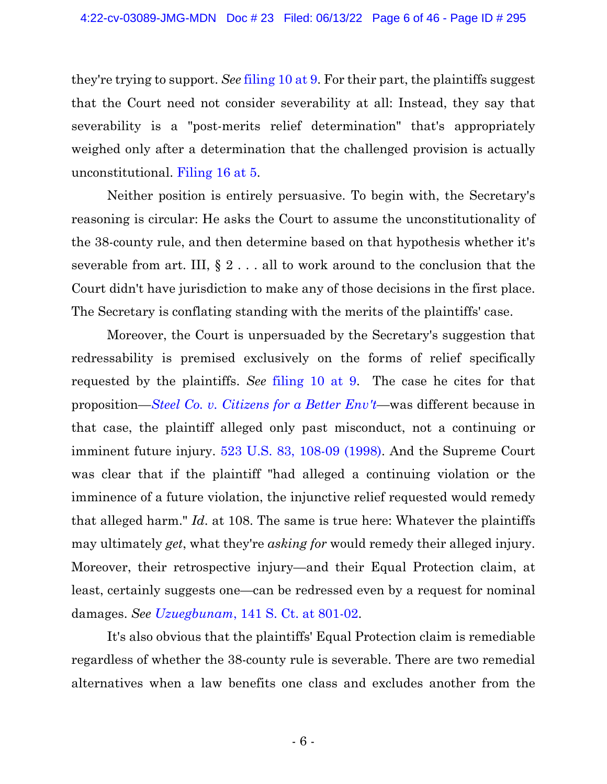they're trying to support. *See* [filing](https://ecf.ned.uscourts.gov/doc1/11314967650?page=9) 10 at 9. For their part, the plaintiffs suggest that the Court need not consider severability at all: Instead, they say that severability is a "post-merits relief determination" that's appropriately weighed only after a determination that the challenged provision is actually unconstitutional. [Filing](https://ecf.ned.uscourts.gov/doc1/11314969665?page=5) 16 at 5.

Neither position is entirely persuasive. To begin with, the Secretary's reasoning is circular: He asks the Court to assume the unconstitutionality of the 38-county rule, and then determine based on that hypothesis whether it's severable from art. III,  $\S 2 \ldots$  all to work around to the conclusion that the Court didn't have jurisdiction to make any of those decisions in the first place. The Secretary is conflating standing with the merits of the plaintiffs' case.

Moreover, the Court is unpersuaded by the Secretary's suggestion that redressability is premised exclusively on the forms of relief specifically requested by the plaintiffs. *See* [filing](https://ecf.ned.uscourts.gov/doc1/11314967650?page=9) 10 at 9. The case he cites for that proposition—*Steel Co. v. [Citizens](https://1.next.westlaw.com/Document/I6b21f1db9c2511d9bc61beebb95be672/View/FullText.html?transitionType=Default&contextData=(oc.Default)) for a Better Env't*—was different because in that case, the plaintiff alleged only past misconduct, not a continuing or imminent future injury. 523 U.S. 83, [108-09](https://www.westlaw.com/Document/I6b21f1db9c2511d9bc61beebb95be672/View/FullText.html?transitionType=Default&contextData=(sc.Default)&VR=3.0&RS=da3.0&fragmentIdentifier=co_pp_sp_780_108) (1998). And the Supreme Court was clear that if the plaintiff "had alleged a continuing violation or the imminence of a future violation, the injunctive relief requested would remedy that alleged harm." *Id*. at 108. The same is true here: Whatever the plaintiffs may ultimately *get*, what they're *asking for* would remedy their alleged injury. Moreover, their retrospective injury—and their Equal Protection claim, at least, certainly suggests one—can be redressed even by a request for nominal damages. *See [Uzuegbunam](https://www.westlaw.com/Document/Icb722ca07ee111ebbd29d7e24aee0ee5/View/FullText.html?transitionType=Default&contextData=(sc.Default)&VR=3.0&RS=da3.0&fragmentIdentifier=co_pp_sp_708_801)*, 141 S. Ct. at 801[-02.](https://www.westlaw.com/Document/Icb722ca07ee111ebbd29d7e24aee0ee5/View/FullText.html?transitionType=Default&contextData=(sc.Default)&VR=3.0&RS=da3.0&fragmentIdentifier=co_pp_sp_708_801)

It's also obvious that the plaintiffs' Equal Protection claim is remediable regardless of whether the 38-county rule is severable. There are two remedial alternatives when a law benefits one class and excludes another from the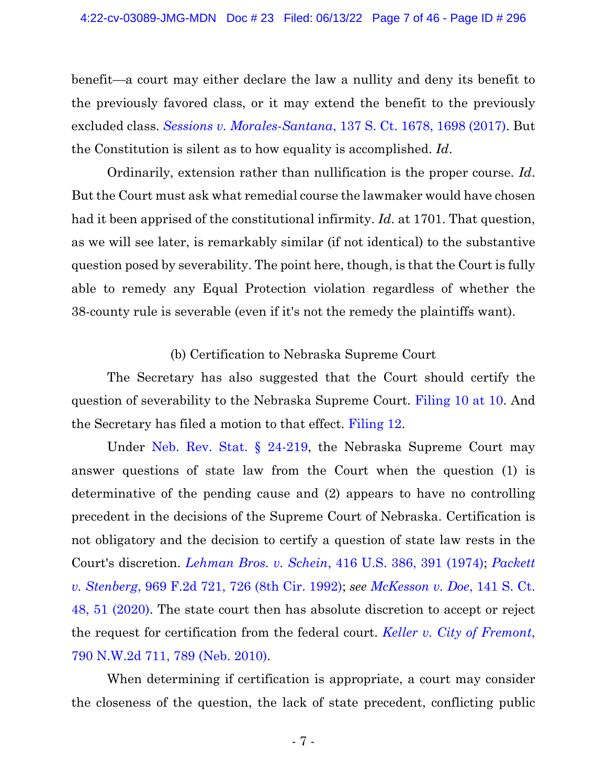benefit—a court may either declare the law a nullity and deny its benefit to the previously favored class, or it may extend the benefit to the previously excluded class. *Sessions v. [Morales-Santana](https://www.westlaw.com/Document/I020099da4f6e11e79822eed485bc7ca1/View/FullText.html?transitionType=Default&contextData=(sc.Default)&VR=3.0&RS=da3.0&fragmentIdentifier=co_pp_sp_708_1698)*, 137 S. Ct. 1678, 1698 [\(2017\).](https://www.westlaw.com/Document/I020099da4f6e11e79822eed485bc7ca1/View/FullText.html?transitionType=Default&contextData=(sc.Default)&VR=3.0&RS=da3.0&fragmentIdentifier=co_pp_sp_708_1698) But the Constitution is silent as to how equality is accomplished. *Id*.

Ordinarily, extension rather than nullification is the proper course. *Id*. But the Court must ask what remedial course the lawmaker would have chosen had it been apprised of the constitutional infirmity. *Id*. at 1701. That question, as we will see later, is remarkably similar (if not identical) to the substantive question posed by severability. The point here, though, is that the Court is fully able to remedy any Equal Protection violation regardless of whether the 38-county rule is severable (even if it's not the remedy the plaintiffs want).

(b) Certification to Nebraska Supreme Court

The Secretary has also suggested that the Court should certify the question of severability to the Nebraska Supreme Court. [Filing 10 at 10.](https://ecf.ned.uscourts.gov/doc1/11314967650?page=10) And the Secretary has filed a motion to that effect. [Filing 12.](https://ecf.ned.uscourts.gov/doc1/11314967722)

Under Neb. Rev. Stat. § [24-219,](https://www.westlaw.com/Document/N8D88E550AEBB11DEA0C8A10D09B7A847/View/FullText.html?transitionType=Default&contextData=(sc.Default)&VR=3.0&RS=da3.0) the Nebraska Supreme Court may answer questions of state law from the Court when the question (1) is determinative of the pending cause and (2) appears to have no controlling precedent in the decisions of the Supreme Court of Nebraska. Certification is not obligatory and the decision to certify a question of state law rests in the Court's discretion. *[Lehman](https://www.westlaw.com/Document/I98bcaee49c1c11d9bc61beebb95be672/View/FullText.html?transitionType=Default&contextData=(sc.Default)&VR=3.0&RS=da3.0&fragmentIdentifier=co_pp_sp_780_391) Bros. v. Schein*, 416 U.S. 386, 391 [\(1974\);](https://www.westlaw.com/Document/I98bcaee49c1c11d9bc61beebb95be672/View/FullText.html?transitionType=Default&contextData=(sc.Default)&VR=3.0&RS=da3.0&fragmentIdentifier=co_pp_sp_780_391) *[Packett](https://www.westlaw.com/Document/I8085250694d311d9a707f4371c9c34f0/View/FullText.html?transitionType=Default&contextData=(sc.Default)&VR=3.0&RS=da3.0&fragmentIdentifier=co_pp_sp_350_726) v. [Stenberg](https://www.westlaw.com/Document/I8085250694d311d9a707f4371c9c34f0/View/FullText.html?transitionType=Default&contextData=(sc.Default)&VR=3.0&RS=da3.0&fragmentIdentifier=co_pp_sp_350_726)*, 969 F.2d 721, 726 (8th Cir. 1992); *see [McKesson](https://www.westlaw.com/Document/Ib02510471d1c11eb9c47daf1c707eb33/View/FullText.html?transitionType=Default&contextData=(sc.Default)&VR=3.0&RS=da3.0&fragmentIdentifier=co_pp_sp_708_51) v. Doe*, 141 S. Ct[.](https://www.westlaw.com/Document/Ib02510471d1c11eb9c47daf1c707eb33/View/FullText.html?transitionType=Default&contextData=(sc.Default)&VR=3.0&RS=da3.0&fragmentIdentifier=co_pp_sp_708_51) 48, 51 [\(2020\).](https://www.westlaw.com/Document/Ib02510471d1c11eb9c47daf1c707eb33/View/FullText.html?transitionType=Default&contextData=(sc.Default)&VR=3.0&RS=da3.0&fragmentIdentifier=co_pp_sp_708_51) The state court then has absolute discretion to accept or reject the request for certification from the federal court. *Keller v. City of [Fremont](https://www.westlaw.com/Document/I03eede1ce8cd11dfaa23bccc834e9520/View/FullText.html?transitionType=Default&contextData=(sc.Default)&VR=3.0&RS=da3.0&fragmentIdentifier=co_pp_sp_595_789)*[,](https://www.westlaw.com/Document/I03eede1ce8cd11dfaa23bccc834e9520/View/FullText.html?transitionType=Default&contextData=(sc.Default)&VR=3.0&RS=da3.0&fragmentIdentifier=co_pp_sp_595_789) 790 [N.W.2d](https://www.westlaw.com/Document/I03eede1ce8cd11dfaa23bccc834e9520/View/FullText.html?transitionType=Default&contextData=(sc.Default)&VR=3.0&RS=da3.0&fragmentIdentifier=co_pp_sp_595_789) 711, 789 (Neb. 2010).

When determining if certification is appropriate, a court may consider the closeness of the question, the lack of state precedent, conflicting public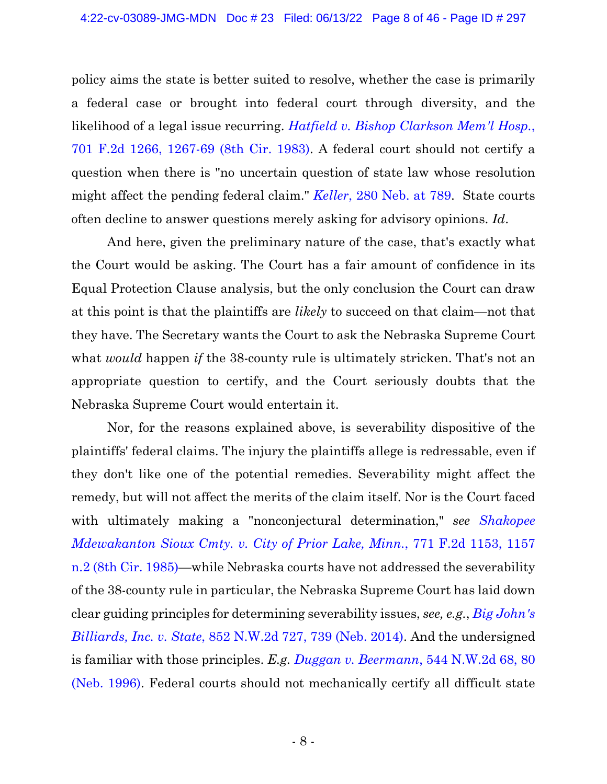policy aims the state is better suited to resolve, whether the case is primarily a federal case or brought into federal court through diversity, and the likelihood of a legal issue recurring. *Hatfield v. Bishop [Clarkson](https://www.westlaw.com/Document/I096a714693fd11d993e6d35cc61aab4a/View/FullText.html?transitionType=Default&contextData=(sc.Default)&VR=3.0&RS=da3.0&fragmentIdentifier=co_pp_sp_350_1267) Mem'l Hosp.*[,](https://www.westlaw.com/Document/I096a714693fd11d993e6d35cc61aab4a/View/FullText.html?transitionType=Default&contextData=(sc.Default)&VR=3.0&RS=da3.0&fragmentIdentifier=co_pp_sp_350_1267) 701 F.2d 1266, [1267-69](https://www.westlaw.com/Document/I096a714693fd11d993e6d35cc61aab4a/View/FullText.html?transitionType=Default&contextData=(sc.Default)&VR=3.0&RS=da3.0&fragmentIdentifier=co_pp_sp_350_1267) (8th Cir. 1983). A federal court should not certify a question when there is "no uncertain question of state law whose resolution might affect the pending federal claim." *[Keller](https://www.westlaw.com/Document/I03eede1ce8cd11dfaa23bccc834e9520/View/FullText.html?transitionType=Default&contextData=(sc.Default)&VR=3.0&RS=da3.0&fragmentIdentifier=co_pp_sp_606_789)*, 280 Neb. at [789.](https://www.westlaw.com/Document/I03eede1ce8cd11dfaa23bccc834e9520/View/FullText.html?transitionType=Default&contextData=(sc.Default)&VR=3.0&RS=da3.0&fragmentIdentifier=co_pp_sp_606_789) State courts often decline to answer questions merely asking for advisory opinions. *Id*.

And here, given the preliminary nature of the case, that's exactly what the Court would be asking. The Court has a fair amount of confidence in its Equal Protection Clause analysis, but the only conclusion the Court can draw at this point is that the plaintiffs are *likely* to succeed on that claim—not that they have. The Secretary wants the Court to ask the Nebraska Supreme Court what *would* happen *if* the 38-county rule is ultimately stricken. That's not an appropriate question to certify, and the Court seriously doubts that the Nebraska Supreme Court would entertain it.

Nor, for the reasons explained above, is severability dispositive of the plaintiffs' federal claims. The injury the plaintiffs allege is redressable, even if they don't like one of the potential remedies. Severability might affect the remedy, but will not affect the merits of the claim itself. Nor is the Court faced with ultimately making a "nonconjectural determination," *see [Shakopee](https://www.westlaw.com/Document/I4c26d02494af11d9a707f4371c9c34f0/View/FullText.html?transitionType=Default&contextData=(sc.Default)&VR=3.0&RS=da3.0&fragmentIdentifier=co_pp_sp_350_1157+n.2) [Mdewakanton](https://www.westlaw.com/Document/I4c26d02494af11d9a707f4371c9c34f0/View/FullText.html?transitionType=Default&contextData=(sc.Default)&VR=3.0&RS=da3.0&fragmentIdentifier=co_pp_sp_350_1157+n.2) Sioux Cmty. v. City of Prior Lake, Minn.*, 771 F.2d 1153, 1157 n.2 (8th Cir. [1985\)](https://www.westlaw.com/Document/I4c26d02494af11d9a707f4371c9c34f0/View/FullText.html?transitionType=Default&contextData=(sc.Default)&VR=3.0&RS=da3.0&fragmentIdentifier=co_pp_sp_350_1157+n.2)—while Nebraska courts have not addressed the severability of the 38-county rule in particular, the Nebraska Supreme Court has laid down clear guiding principles for determining severability issues, *see, e.g.*, *Big [John's](https://www.westlaw.com/Document/Ieca0ac702f8b11e489308629818ada2c/View/FullText.html?transitionType=Default&contextData=(sc.Default)&VR=3.0&RS=da3.0&fragmentIdentifier=co_pp_sp_595_739) [Billiards,](https://www.westlaw.com/Document/Ieca0ac702f8b11e489308629818ada2c/View/FullText.html?transitionType=Default&contextData=(sc.Default)&VR=3.0&RS=da3.0&fragmentIdentifier=co_pp_sp_595_739) Inc. v. State*, 852 N.W.2d 727, 739 (Neb. 2014). And the undersigned is familiar with those principles. *E.g. [Duggan v. Beermann](https://www.westlaw.com/Document/I5c975f69ff4911d98ac8f235252e36df/View/FullText.html?transitionType=Default&contextData=(sc.Default)&VR=3.0&RS=da3.0&fragmentIdentifier=co_pp_sp_595_80)*[, 544 N.W.2d 68, 80](https://www.westlaw.com/Document/I5c975f69ff4911d98ac8f235252e36df/View/FullText.html?transitionType=Default&contextData=(sc.Default)&VR=3.0&RS=da3.0&fragmentIdentifier=co_pp_sp_595_80)  [\(Neb. 1996\).](https://www.westlaw.com/Document/I5c975f69ff4911d98ac8f235252e36df/View/FullText.html?transitionType=Default&contextData=(sc.Default)&VR=3.0&RS=da3.0&fragmentIdentifier=co_pp_sp_595_80) Federal courts should not mechanically certify all difficult state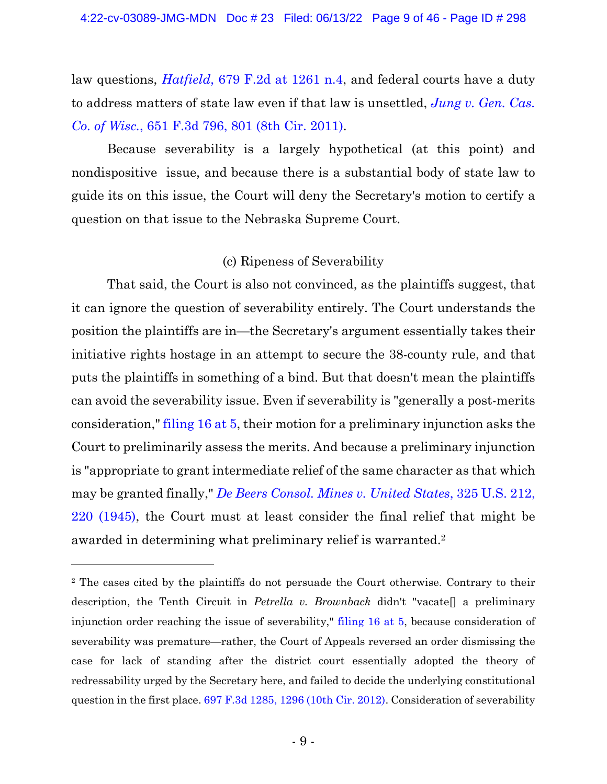law questions, *[Hatfield](https://www.westlaw.com/Document/I15fdee3592fb11d9bdd1cfdd544ca3a4/View/FullText.html?transitionType=Default&contextData=(sc.Default)&VR=3.0&RS=da3.0&fragmentIdentifier=co_pp_sp_350_1261)*, 679 F.2d at 1261 [n.4,](https://www.westlaw.com/Document/I15fdee3592fb11d9bdd1cfdd544ca3a4/View/FullText.html?transitionType=Default&contextData=(sc.Default)&VR=3.0&RS=da3.0&fragmentIdentifier=co_pp_sp_350_1261) and federal courts have a duty to address matters of state law even if that law is unsettled, *[Jung](https://www.westlaw.com/Document/I858e9f0cc29f11e086cdc006bc7eafe7/View/FullText.html?transitionType=Default&contextData=(sc.Default)&VR=3.0&RS=da3.0&fragmentIdentifier=co_pp_sp_506_801) v. Gen. Cas. Co. of [Wisc.](https://www.westlaw.com/Document/I858e9f0cc29f11e086cdc006bc7eafe7/View/FullText.html?transitionType=Default&contextData=(sc.Default)&VR=3.0&RS=da3.0&fragmentIdentifier=co_pp_sp_506_801)*, 651 F.3d 796, 801 (8th Cir. [2011\).](https://www.westlaw.com/Document/I858e9f0cc29f11e086cdc006bc7eafe7/View/FullText.html?transitionType=Default&contextData=(sc.Default)&VR=3.0&RS=da3.0&fragmentIdentifier=co_pp_sp_506_801)

Because severability is a largely hypothetical (at this point) and nondispositive issue, and because there is a substantial body of state law to guide its on this issue, the Court will deny the Secretary's motion to certify a question on that issue to the Nebraska Supreme Court.

## (c) Ripeness of Severability

That said, the Court is also not convinced, as the plaintiffs suggest, that it can ignore the question of severability entirely. The Court understands the position the plaintiffs are in—the Secretary's argument essentially takes their initiative rights hostage in an attempt to secure the 38-county rule, and that puts the plaintiffs in something of a bind. But that doesn't mean the plaintiffs can avoid the severability issue. Even if severability is "generally a post-merits consideration," [filing](https://ecf.ned.uscourts.gov/doc1/11314969665?page=5) 16 at 5, their motion for a preliminary injunction asks the Court to preliminarily assess the merits. And because a preliminary injunction is "appropriate to grant intermediate relief of the same character as that which may be granted finally," *De Beers [Consol.](https://www.westlaw.com/Document/I3ed2b4499bf111d991d0cc6b54f12d4d/View/FullText.html?transitionType=Default&contextData=(sc.Default)&VR=3.0&RS=da3.0&fragmentIdentifier=co_pp_sp_780_220) Mines v. United States*, 325 U.S. 212[,](https://www.westlaw.com/Document/I3ed2b4499bf111d991d0cc6b54f12d4d/View/FullText.html?transitionType=Default&contextData=(sc.Default)&VR=3.0&RS=da3.0&fragmentIdentifier=co_pp_sp_780_220) 220 [\(1945\),](https://www.westlaw.com/Document/I3ed2b4499bf111d991d0cc6b54f12d4d/View/FullText.html?transitionType=Default&contextData=(sc.Default)&VR=3.0&RS=da3.0&fragmentIdentifier=co_pp_sp_780_220) the Court must at least consider the final relief that might be awarded in determining what preliminary relief is warranted. 2

<sup>2</sup> The cases cited by the plaintiffs do not persuade the Court otherwise. Contrary to their description, the Tenth Circuit in *Petrella v. Brownback* didn't "vacate[] a preliminary injunction order reaching the issue of severability," [filing 16 at 5,](https://ecf.ned.uscourts.gov/doc1/11314969665?page=5) because consideration of severability was premature—rather, the Court of Appeals reversed an order dismissing the case for lack of standing after the district court essentially adopted the theory of redressability urged by the Secretary here, and failed to decide the underlying constitutional question in the first place[. 697 F.3d 1285, 1296 \(10th Cir. 2012\).](https://www.westlaw.com/Document/Iae0b724e195011e2b60bb297d3d07bc5/View/FullText.html?transitionType=Default&contextData=(sc.Default)&VR=3.0&RS=da3.0&fragmentIdentifier=co_pp_sp_506_1296) Consideration of severability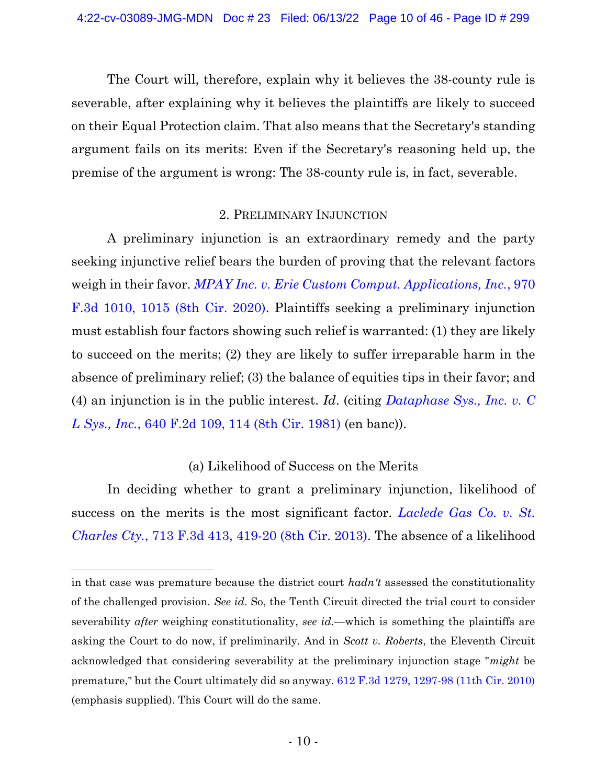The Court will, therefore, explain why it believes the 38-county rule is severable, after explaining why it believes the plaintiffs are likely to succeed on their Equal Protection claim. That also means that the Secretary's standing argument fails on its merits: Even if the Secretary's reasoning held up, the premise of the argument is wrong: The 38-county rule is, in fact, severable.

#### 2. PRELIMINARY INJUNCTION

A preliminary injunction is an extraordinary remedy and the party seeking injunctive relief bears the burden of proving that the relevant factors weigh in their favor. *MPAY Inc. v. Erie Custom Comput. [Applications,](https://www.westlaw.com/Document/I9ac58b90de7c11ea8adfd2e9b6809280/View/FullText.html?transitionType=Default&contextData=(sc.Default)&VR=3.0&RS=da3.0&fragmentIdentifier=co_pp_sp_506_1015) Inc.*, 97[0](https://www.westlaw.com/Document/I9ac58b90de7c11ea8adfd2e9b6809280/View/FullText.html?transitionType=Default&contextData=(sc.Default)&VR=3.0&RS=da3.0&fragmentIdentifier=co_pp_sp_506_1015) F.3d 1010, 1015 (8th Cir. [2020\).](https://www.westlaw.com/Document/I9ac58b90de7c11ea8adfd2e9b6809280/View/FullText.html?transitionType=Default&contextData=(sc.Default)&VR=3.0&RS=da3.0&fragmentIdentifier=co_pp_sp_506_1015) Plaintiffs seeking a preliminary injunction must establish four factors showing such relief is warranted: (1) they are likely to succeed on the merits; (2) they are likely to suffer irreparable harm in the absence of preliminary relief; (3) the balance of equities tips in their favor; and (4) an injunction is in the public interest. *Id*. (citing *[Dataphase](https://www.westlaw.com/Document/I9b4ae4d0926111d993e6d35cc61aab4a/View/FullText.html?transitionType=Default&contextData=(sc.Default)&VR=3.0&RS=da3.0&fragmentIdentifier=co_pp_sp_350_114) Sys., Inc. v. C L [Sys.,](https://www.westlaw.com/Document/I9b4ae4d0926111d993e6d35cc61aab4a/View/FullText.html?transitionType=Default&contextData=(sc.Default)&VR=3.0&RS=da3.0&fragmentIdentifier=co_pp_sp_350_114) Inc.*, 640 F.2d 109, 114 (8th Cir. [1981\)](https://www.westlaw.com/Document/I9b4ae4d0926111d993e6d35cc61aab4a/View/FullText.html?transitionType=Default&contextData=(sc.Default)&VR=3.0&RS=da3.0&fragmentIdentifier=co_pp_sp_350_114) (en banc)).

## (a) Likelihood of Success on the Merits

In deciding whether to grant a preliminary injunction, likelihood of success on the merits is the most significant factor. *[Laclede](https://www.westlaw.com/Document/I1db39b7ead3811e2a160cacff148223f/View/FullText.html?transitionType=Default&contextData=(sc.Default)&VR=3.0&RS=da3.0&fragmentIdentifier=co_pp_sp_506_419) Gas Co. v. St. [Charles](https://www.westlaw.com/Document/I1db39b7ead3811e2a160cacff148223f/View/FullText.html?transitionType=Default&contextData=(sc.Default)&VR=3.0&RS=da3.0&fragmentIdentifier=co_pp_sp_506_419) Cty.*, 713 F.3d 413, 419-20 (8th Cir. 2013). The absence of a likelihood

in that case was premature because the district court *hadn't* assessed the constitutionality of the challenged provision. *See id*. So, the Tenth Circuit directed the trial court to consider severability *after* weighing constitutionality, *see id.*—which is something the plaintiffs are asking the Court to do now, if preliminarily. And in *Scott v. Roberts*, the Eleventh Circuit acknowledged that considering severability at the preliminary injunction stage "*might* be premature," but the Court ultimately did so anyway. [612 F.3d 1279, 1297-98 \(11th Cir. 2010\)](https://www.westlaw.com/Document/I2ead86499bc911df9d41aa3fcf7bbc6d/View/FullText.html?transitionType=Default&contextData=(sc.Default)&VR=3.0&RS=da3.0&fragmentIdentifier=co_pp_sp_506_1297) (emphasis supplied). This Court will do the same.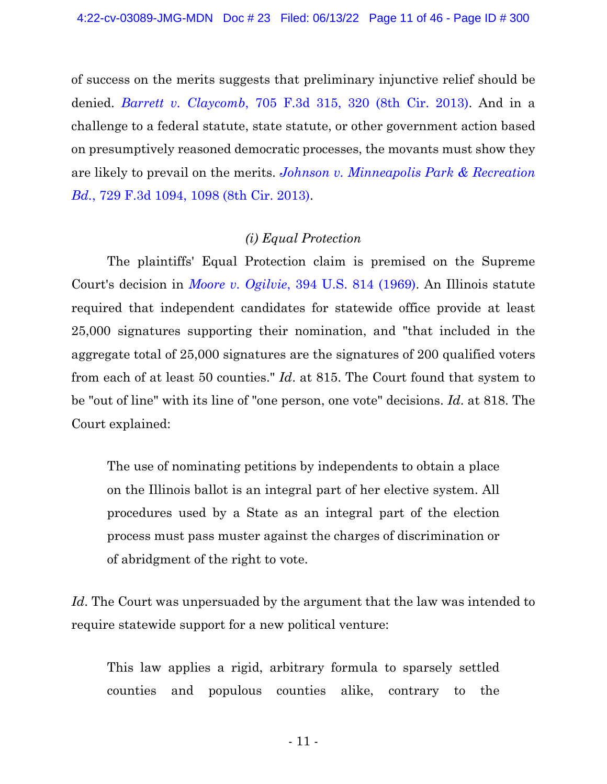of success on the merits suggests that preliminary injunctive relief should be denied. *Barrett v. [Claycomb](https://www.westlaw.com/Document/Ic9c7fb0b6a1511e280719c3f0e80bdd0/View/FullText.html?transitionType=Default&contextData=(sc.Default)&VR=3.0&RS=da3.0&fragmentIdentifier=co_pp_sp_506_320)*, 705 F.3d 315, 320 (8th Cir. [2013\).](https://www.westlaw.com/Document/Ic9c7fb0b6a1511e280719c3f0e80bdd0/View/FullText.html?transitionType=Default&contextData=(sc.Default)&VR=3.0&RS=da3.0&fragmentIdentifier=co_pp_sp_506_320) And in a challenge to a federal statute, state statute, or other government action based on presumptively reasoned democratic processes, the movants must show they are likely to prevail on the merits. *Johnson v. [Minneapolis](https://www.westlaw.com/Document/Icc3387b91aec11e3981fa20c4f198a69/View/FullText.html?transitionType=Default&contextData=(sc.Default)&VR=3.0&RS=da3.0&fragmentIdentifier=co_pp_sp_506_1098) Park & Recreation Bd.*, 729 F.3d [1094,](https://www.westlaw.com/Document/Icc3387b91aec11e3981fa20c4f198a69/View/FullText.html?transitionType=Default&contextData=(sc.Default)&VR=3.0&RS=da3.0&fragmentIdentifier=co_pp_sp_506_1098) 1098 (8th Cir. [2013\).](https://www.westlaw.com/Document/Icc3387b91aec11e3981fa20c4f198a69/View/FullText.html?transitionType=Default&contextData=(sc.Default)&VR=3.0&RS=da3.0&fragmentIdentifier=co_pp_sp_506_1098)

#### *(i) Equal Protection*

The plaintiffs' Equal Protection claim is premised on the Supreme Court's decision in *Moore v. [Ogilvie](https://www.westlaw.com/Document/I18ca16569bea11d9bdd1cfdd544ca3a4/View/FullText.html?transitionType=Default&contextData=(sc.Default)&VR=3.0&RS=da3.0)*, 394 U.S. 814 [\(1969\).](https://www.westlaw.com/Document/I18ca16569bea11d9bdd1cfdd544ca3a4/View/FullText.html?transitionType=Default&contextData=(sc.Default)&VR=3.0&RS=da3.0) An Illinois statute required that independent candidates for statewide office provide at least 25,000 signatures supporting their nomination, and "that included in the aggregate total of 25,000 signatures are the signatures of 200 qualified voters from each of at least 50 counties." *Id*. at 815. The Court found that system to be "out of line" with its line of "one person, one vote" decisions. *Id*. at 818. The Court explained:

The use of nominating petitions by independents to obtain a place on the Illinois ballot is an integral part of her elective system. All procedures used by a State as an integral part of the election process must pass muster against the charges of discrimination or of abridgment of the right to vote.

*Id*. The Court was unpersuaded by the argument that the law was intended to require statewide support for a new political venture:

This law applies a rigid, arbitrary formula to sparsely settled counties and populous counties alike, contrary to the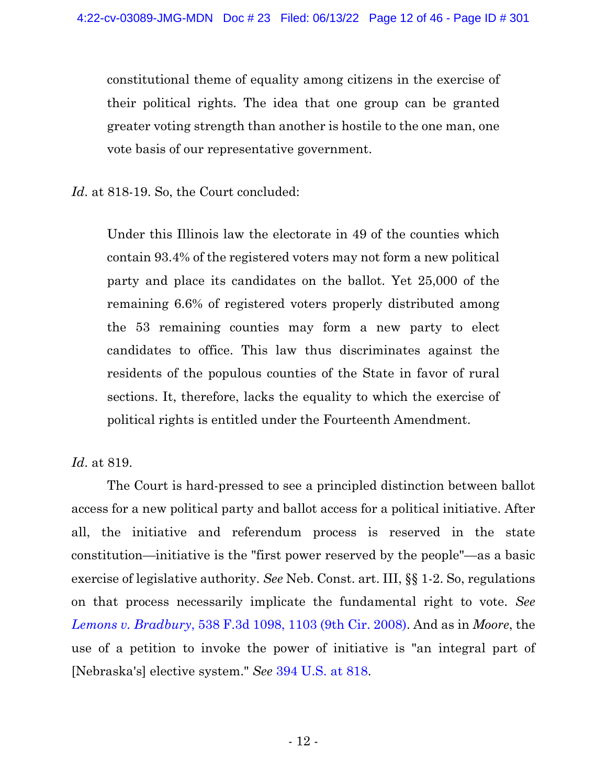constitutional theme of equality among citizens in the exercise of their political rights. The idea that one group can be granted greater voting strength than another is hostile to the one man, one vote basis of our representative government.

Id. at 818-19. So, the Court concluded:

Under this Illinois law the electorate in 49 of the counties which contain 93.4% of the registered voters may not form a new political party and place its candidates on the ballot. Yet 25,000 of the remaining 6.6% of registered voters properly distributed among the 53 remaining counties may form a new party to elect candidates to office. This law thus discriminates against the residents of the populous counties of the State in favor of rural sections. It, therefore, lacks the equality to which the exercise of political rights is entitled under the Fourteenth Amendment.

*Id*. at 819.

The Court is hard-pressed to see a principled distinction between ballot access for a new political party and ballot access for a political initiative. After all, the initiative and referendum process is reserved in the state constitution—initiative is the "first power reserved by the people"—as a basic exercise of legislative authority. *See* Neb. Const. art. III, §§ 1-2. So, regulations on that process necessarily implicate the fundamental right to vote. *See Lemons v. [Bradbury](https://www.westlaw.com/Document/Ia57fd37f6a3d11ddb7e583ba170699a5/View/FullText.html?transitionType=Default&contextData=(sc.Default)&VR=3.0&RS=da3.0&fragmentIdentifier=co_pp_sp_506_1103)*, 538 F.3d 1098, 1103 (9th Cir. [2008\).](https://www.westlaw.com/Document/Ia57fd37f6a3d11ddb7e583ba170699a5/View/FullText.html?transitionType=Default&contextData=(sc.Default)&VR=3.0&RS=da3.0&fragmentIdentifier=co_pp_sp_506_1103) And as in *Moore*, the use of a petition to invoke the power of initiative is "an integral part of [Nebraska's] elective system." *See* 394 [U.S.](https://www.westlaw.com/Document/I18ca16569bea11d9bdd1cfdd544ca3a4/View/FullText.html?transitionType=Default&contextData=(sc.Default)&VR=3.0&RS=da3.0&fragmentIdentifier=co_pp_sp_780_818) at 818.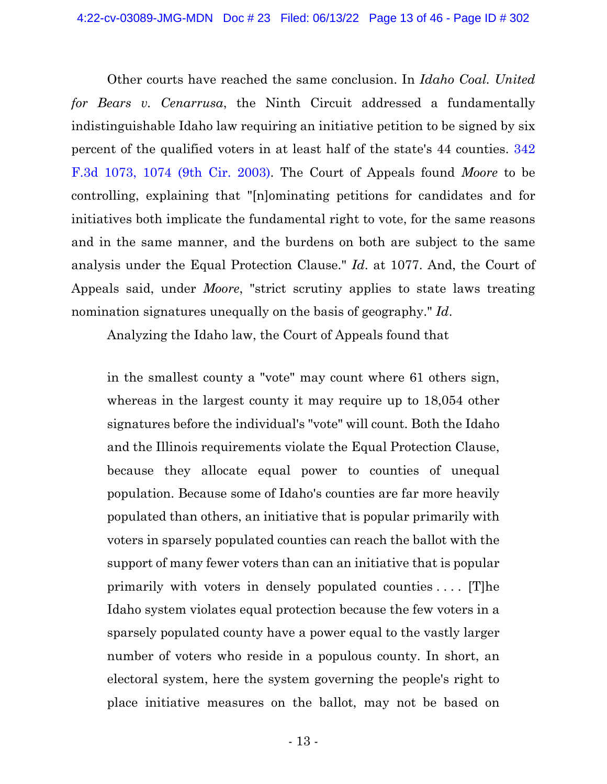Other courts have reached the same conclusion. In *Idaho Coal. United for Bears v. Cenarrusa*, the Ninth Circuit addressed a fundamentally indistinguishable Idaho law requiring an initiative petition to be signed by six percent of the qualified voters in at least half of the state's 44 counties. [342](https://www.westlaw.com/Document/Ibb37657789eb11d9903eeb4634b8d78e/View/FullText.html?transitionType=Default&contextData=(sc.Default)&VR=3.0&RS=da3.0&fragmentIdentifier=co_pp_sp_506_1074) F.3d 1073, 1074 (9th Cir. [2003\).](https://www.westlaw.com/Document/Ibb37657789eb11d9903eeb4634b8d78e/View/FullText.html?transitionType=Default&contextData=(sc.Default)&VR=3.0&RS=da3.0&fragmentIdentifier=co_pp_sp_506_1074) The Court of Appeals found *Moore* to be controlling, explaining that "[n]ominating petitions for candidates and for initiatives both implicate the fundamental right to vote, for the same reasons and in the same manner, and the burdens on both are subject to the same analysis under the Equal Protection Clause." *Id*. at 1077. And, the Court of Appeals said, under *Moore*, "strict scrutiny applies to state laws treating nomination signatures unequally on the basis of geography." *Id*.

Analyzing the Idaho law, the Court of Appeals found that

in the smallest county a "vote" may count where 61 others sign, whereas in the largest county it may require up to 18,054 other signatures before the individual's "vote" will count. Both the Idaho and the Illinois requirements violate the Equal Protection Clause, because they allocate equal power to counties of unequal population. Because some of Idaho's counties are far more heavily populated than others, an initiative that is popular primarily with voters in sparsely populated counties can reach the ballot with the support of many fewer voters than can an initiative that is popular primarily with voters in densely populated counties . . . . [T]he Idaho system violates equal protection because the few voters in a sparsely populated county have a power equal to the vastly larger number of voters who reside in a populous county. In short, an electoral system, here the system governing the people's right to place initiative measures on the ballot, may not be based on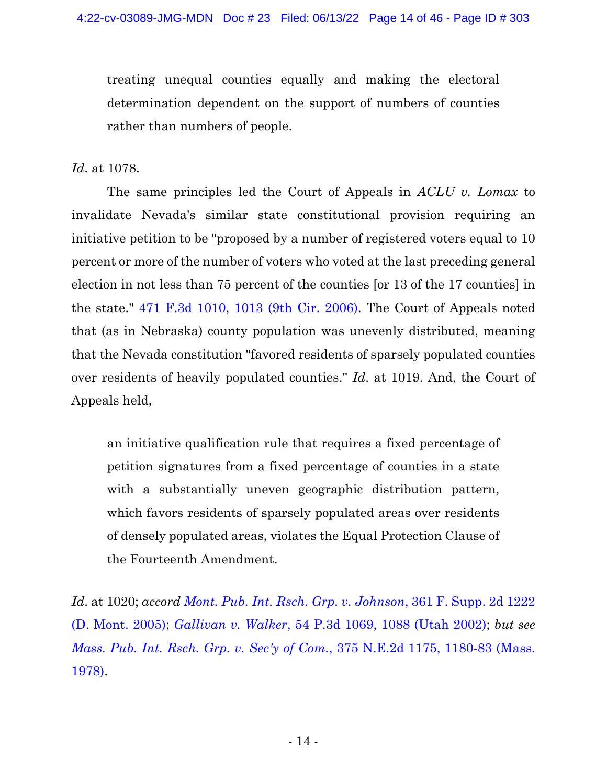treating unequal counties equally and making the electoral determination dependent on the support of numbers of counties rather than numbers of people.

*Id*. at 1078.

The same principles led the Court of Appeals in *ACLU v. Lomax* to invalidate Nevada's similar state constitutional provision requiring an initiative petition to be "proposed by a number of registered voters equal to 10 percent or more of the number of voters who voted at the last preceding general election in not less than 75 percent of the counties [or 13 of the 17 counties] in the state." 471 F.3d 1010, 1013 (9th Cir. [2006\).](https://www.westlaw.com/Document/I54d90ce886cd11dbb38df5bc58c34d92/View/FullText.html?transitionType=Default&contextData=(sc.Default)&VR=3.0&RS=da3.0&fragmentIdentifier=co_pp_sp_506_1013) The Court of Appeals noted that (as in Nebraska) county population was unevenly distributed, meaning that the Nevada constitution "favored residents of sparsely populated counties over residents of heavily populated counties." *Id*. at 1019. And, the Court of Appeals held,

an initiative qualification rule that requires a fixed percentage of petition signatures from a fixed percentage of counties in a state with a substantially uneven geographic distribution pattern, which favors residents of sparsely populated areas over residents of densely populated areas, violates the Equal Protection Clause of the Fourteenth Amendment.

*Id*. at 1020; *accord Mont. Pub. Int. Rsch. Grp. v. [Johnson](https://www.westlaw.com/Document/I04cabacea23d11d9bdd1cfdd544ca3a4/View/FullText.html?transitionType=Default&contextData=(sc.Default)&VR=3.0&RS=da3.0)*, 361 F. Supp. 2d 122[2](https://www.westlaw.com/Document/I04cabacea23d11d9bdd1cfdd544ca3a4/View/FullText.html?transitionType=Default&contextData=(sc.Default)&VR=3.0&RS=da3.0) (D. Mont. [2005\);](https://www.westlaw.com/Document/I04cabacea23d11d9bdd1cfdd544ca3a4/View/FullText.html?transitionType=Default&contextData=(sc.Default)&VR=3.0&RS=da3.0) *[Gallivan](https://www.westlaw.com/Document/I9738f163f53a11d99439b076ef9ec4de/View/FullText.html?transitionType=Default&contextData=(sc.Default)&VR=3.0&RS=da3.0&fragmentIdentifier=co_pp_sp_4645_1088) v. Walker*, 54 P.3d 1069, 1088 (Utah [2002\);](https://www.westlaw.com/Document/I9738f163f53a11d99439b076ef9ec4de/View/FullText.html?transitionType=Default&contextData=(sc.Default)&VR=3.0&RS=da3.0&fragmentIdentifier=co_pp_sp_4645_1088) *but see Mass. Pub. Int. Rsch. Grp. v. Sec'y of Com.*, 375 N.E.2d 1175, [1180-83](https://www.westlaw.com/Document/I8f352548d11a11d98ac8f235252e36df/View/FullText.html?transitionType=Default&contextData=(sc.Default)&VR=3.0&RS=da3.0&fragmentIdentifier=co_pp_sp_578_1180) (Mass[.](https://www.westlaw.com/Document/I8f352548d11a11d98ac8f235252e36df/View/FullText.html?transitionType=Default&contextData=(sc.Default)&VR=3.0&RS=da3.0&fragmentIdentifier=co_pp_sp_578_1180) [1978\).](https://www.westlaw.com/Document/I8f352548d11a11d98ac8f235252e36df/View/FullText.html?transitionType=Default&contextData=(sc.Default)&VR=3.0&RS=da3.0&fragmentIdentifier=co_pp_sp_578_1180)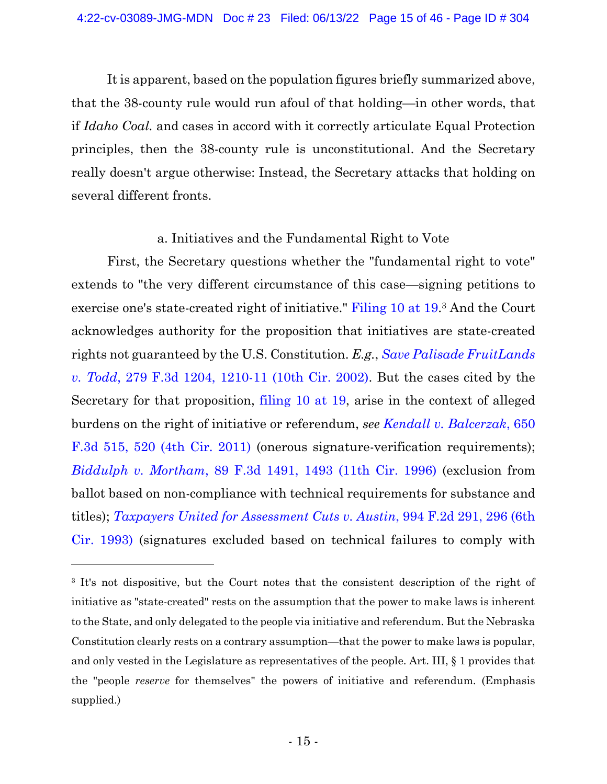It is apparent, based on the population figures briefly summarized above, that the 38-county rule would run afoul of that holding—in other words, that if *Idaho Coal.* and cases in accord with it correctly articulate Equal Protection principles, then the 38-county rule is unconstitutional. And the Secretary really doesn't argue otherwise: Instead, the Secretary attacks that holding on several different fronts.

## a. Initiatives and the Fundamental Right to Vote

First, the Secretary questions whether the "fundamental right to vote" extends to "the very different circumstance of this case—signing petitions to exercise one's state-created right of initiative." [Filing](https://ecf.ned.uscourts.gov/doc1/11314967650?page=19) 10 at 19. <sup>3</sup> And the Court acknowledges authority for the proposition that initiatives are state-created rights not guaranteed by the U.S. Constitution. *E.g.*, *Save Palisade [FruitLands](https://www.westlaw.com/Document/I08eb8df979ca11d99c4dbb2f0352441d/View/FullText.html?transitionType=Default&contextData=(sc.Default)&VR=3.0&RS=da3.0&fragmentIdentifier=co_pp_sp_506_1210) v. Todd*, 279 F.3d 1204, [1210-11](https://www.westlaw.com/Document/I08eb8df979ca11d99c4dbb2f0352441d/View/FullText.html?transitionType=Default&contextData=(sc.Default)&VR=3.0&RS=da3.0&fragmentIdentifier=co_pp_sp_506_1210) (10th Cir. 2002). But the cases cited by the Secretary for that proposition, [filing](https://ecf.ned.uscourts.gov/doc1/11314967650?page=19) 10 at 19, arise in the context of alleged burdens on the right of initiative or referendum, *see Kendall v. [Balcerzak](https://www.westlaw.com/Document/I479ca35a594811e0b63e897ab6fa6920/View/FullText.html?transitionType=Default&contextData=(sc.Default)&VR=3.0&RS=da3.0&fragmentIdentifier=co_pp_sp_506_520)*, 65[0](https://www.westlaw.com/Document/I479ca35a594811e0b63e897ab6fa6920/View/FullText.html?transitionType=Default&contextData=(sc.Default)&VR=3.0&RS=da3.0&fragmentIdentifier=co_pp_sp_506_520) F.3d 515, 520 (4th Cir. [2011\)](https://www.westlaw.com/Document/I479ca35a594811e0b63e897ab6fa6920/View/FullText.html?transitionType=Default&contextData=(sc.Default)&VR=3.0&RS=da3.0&fragmentIdentifier=co_pp_sp_506_520) (onerous signature-verification requirements); *[Biddulph](https://www.westlaw.com/Document/I8fbf74b1933111d9a707f4371c9c34f0/View/FullText.html?transitionType=Default&contextData=(sc.Default)&VR=3.0&RS=da3.0&fragmentIdentifier=co_pp_sp_506_1493) v. Mortham*, 89 F.3d 1491, 1493 (11th Cir. [1996\)](https://www.westlaw.com/Document/I8fbf74b1933111d9a707f4371c9c34f0/View/FullText.html?transitionType=Default&contextData=(sc.Default)&VR=3.0&RS=da3.0&fragmentIdentifier=co_pp_sp_506_1493) (exclusion from ballot based on non-compliance with technical requirements for substance and titles); *Taxpayers United for [Assessment](https://www.westlaw.com/Document/I097d8b5c958211d9bc61beebb95be672/View/FullText.html?transitionType=Default&contextData=(sc.Default)&VR=3.0&RS=da3.0&fragmentIdentifier=co_pp_sp_350_296) Cuts v. Austin*, 994 F.2d 291, 296 (6t[h](https://www.westlaw.com/Document/I097d8b5c958211d9bc61beebb95be672/View/FullText.html?transitionType=Default&contextData=(sc.Default)&VR=3.0&RS=da3.0&fragmentIdentifier=co_pp_sp_350_296) Cir. [1993\)](https://www.westlaw.com/Document/I097d8b5c958211d9bc61beebb95be672/View/FullText.html?transitionType=Default&contextData=(sc.Default)&VR=3.0&RS=da3.0&fragmentIdentifier=co_pp_sp_350_296) (signatures excluded based on technical failures to comply with

<sup>3</sup> It's not dispositive, but the Court notes that the consistent description of the right of initiative as "state-created" rests on the assumption that the power to make laws is inherent to the State, and only delegated to the people via initiative and referendum. But the Nebraska Constitution clearly rests on a contrary assumption—that the power to make laws is popular, and only vested in the Legislature as representatives of the people. Art. III, § 1 provides that the "people *reserve* for themselves" the powers of initiative and referendum. (Emphasis supplied.)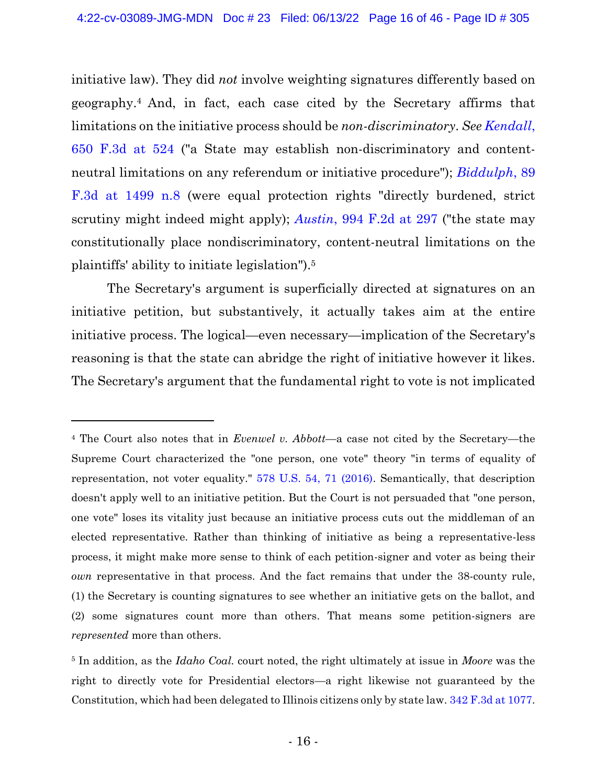initiative law). They did *not* involve weighting signatures differently based on geography.<sup>4</sup> And, in fact, each case cited by the Secretary affirms that limitations on the initiative process should be *non-discriminatory*. *See [Kendall](https://www.westlaw.com/Document/I479ca35a594811e0b63e897ab6fa6920/View/FullText.html?transitionType=Default&contextData=(sc.Default)&VR=3.0&RS=da3.0&fragmentIdentifier=co_pp_sp_506_524)*[,](https://www.westlaw.com/Document/I479ca35a594811e0b63e897ab6fa6920/View/FullText.html?transitionType=Default&contextData=(sc.Default)&VR=3.0&RS=da3.0&fragmentIdentifier=co_pp_sp_506_524) 650 [F.3d](https://www.westlaw.com/Document/I479ca35a594811e0b63e897ab6fa6920/View/FullText.html?transitionType=Default&contextData=(sc.Default)&VR=3.0&RS=da3.0&fragmentIdentifier=co_pp_sp_506_524) at 524 ("a State may establish non-discriminatory and contentneutral limitations on any referendum or initiative procedure"); *[Biddulph](https://www.westlaw.com/Document/I8fbf74b1933111d9a707f4371c9c34f0/View/FullText.html?transitionType=Default&contextData=(sc.Default)&VR=3.0&RS=da3.0&fragmentIdentifier=co_pp_sp_506_1499)*, 8[9](https://www.westlaw.com/Document/I8fbf74b1933111d9a707f4371c9c34f0/View/FullText.html?transitionType=Default&contextData=(sc.Default)&VR=3.0&RS=da3.0&fragmentIdentifier=co_pp_sp_506_1499) F.3d at [1499](https://www.westlaw.com/Document/I8fbf74b1933111d9a707f4371c9c34f0/View/FullText.html?transitionType=Default&contextData=(sc.Default)&VR=3.0&RS=da3.0&fragmentIdentifier=co_pp_sp_506_1499) n.8 (were equal protection rights "directly burdened, strict scrutiny might indeed might apply); *[Austin](https://www.westlaw.com/Document/I097d8b5c958211d9bc61beebb95be672/View/FullText.html?transitionType=Default&contextData=(sc.Default)&VR=3.0&RS=da3.0&fragmentIdentifier=co_pp_sp_350_297)*, 994 F.2d at [297](https://www.westlaw.com/Document/I097d8b5c958211d9bc61beebb95be672/View/FullText.html?transitionType=Default&contextData=(sc.Default)&VR=3.0&RS=da3.0&fragmentIdentifier=co_pp_sp_350_297) ("the state may constitutionally place nondiscriminatory, content-neutral limitations on the plaintiffs' ability to initiate legislation").<sup>5</sup>

The Secretary's argument is superficially directed at signatures on an initiative petition, but substantively, it actually takes aim at the entire initiative process. The logical—even necessary—implication of the Secretary's reasoning is that the state can abridge the right of initiative however it likes. The Secretary's argument that the fundamental right to vote is not implicated

<sup>4</sup> The Court also notes that in *Evenwel v. Abbott*—a case not cited by the Secretary—the Supreme Court characterized the "one person, one vote" theory "in terms of equality of representation, not voter equality." [578 U.S. 54, 71 \(2016\).](https://www.westlaw.com/Document/I82d7f9abfa4411e5a807ad48145ed9f1/View/FullText.html?transitionType=Default&contextData=(sc.Default)&VR=3.0&RS=da3.0&fragmentIdentifier=co_pp_sp_780_71) Semantically, that description doesn't apply well to an initiative petition. But the Court is not persuaded that "one person, one vote" loses its vitality just because an initiative process cuts out the middleman of an elected representative. Rather than thinking of initiative as being a representative-less process, it might make more sense to think of each petition-signer and voter as being their *own* representative in that process. And the fact remains that under the 38-county rule, (1) the Secretary is counting signatures to see whether an initiative gets on the ballot, and (2) some signatures count more than others. That means some petition-signers are *represented* more than others.

<sup>5</sup> In addition, as the *Idaho Coal.* court noted, the right ultimately at issue in *Moore* was the right to directly vote for Presidential electors—a right likewise not guaranteed by the Constitution, which had been delegated to Illinois citizens only by state law. [342 F.3d at 1077.](https://www.westlaw.com/Document/Ibb37657789eb11d9903eeb4634b8d78e/View/FullText.html?transitionType=Default&contextData=(sc.Default)&VR=3.0&RS=da3.0&fragmentIdentifier=co_pp_sp_506_1077)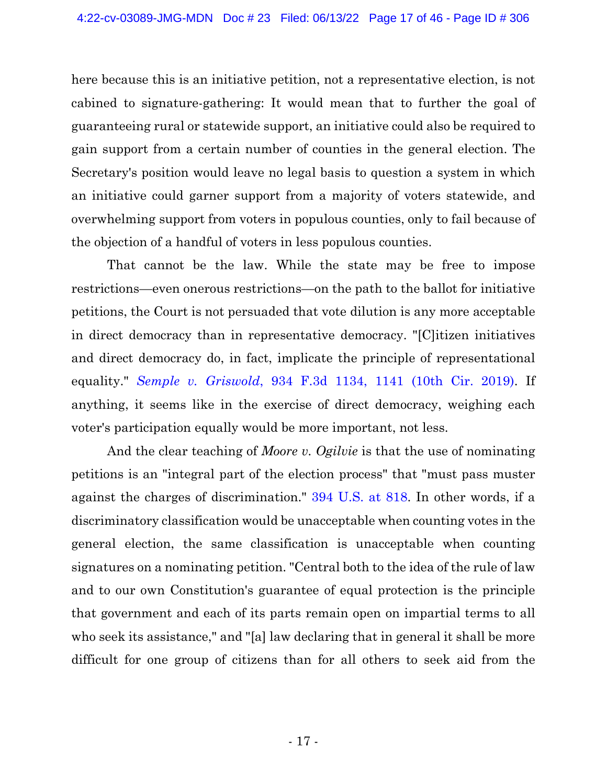here because this is an initiative petition, not a representative election, is not cabined to signature-gathering: It would mean that to further the goal of guaranteeing rural or statewide support, an initiative could also be required to gain support from a certain number of counties in the general election. The Secretary's position would leave no legal basis to question a system in which an initiative could garner support from a majority of voters statewide, and overwhelming support from voters in populous counties, only to fail because of the objection of a handful of voters in less populous counties.

That cannot be the law. While the state may be free to impose restrictions—even onerous restrictions—on the path to the ballot for initiative petitions, the Court is not persuaded that vote dilution is any more acceptable in direct democracy than in representative democracy. "[C]itizen initiatives and direct democracy do, in fact, implicate the principle of representational equality." *Semple v. [Griswold](https://www.westlaw.com/Document/Idb2928a0c39211e9aec88be692101305/View/FullText.html?transitionType=Default&contextData=(sc.Default)&VR=3.0&RS=da3.0&fragmentIdentifier=co_pp_sp_506_1141)*, 934 F.3d 1134, 1141 (10th Cir. [2019\).](https://www.westlaw.com/Document/Idb2928a0c39211e9aec88be692101305/View/FullText.html?transitionType=Default&contextData=(sc.Default)&VR=3.0&RS=da3.0&fragmentIdentifier=co_pp_sp_506_1141) If anything, it seems like in the exercise of direct democracy, weighing each voter's participation equally would be more important, not less.

And the clear teaching of *Moore v. Ogilvie* is that the use of nominating petitions is an "integral part of the election process" that "must pass muster against the charges of discrimination." 394 [U.S.](https://www.westlaw.com/Document/I18ca16569bea11d9bdd1cfdd544ca3a4/View/FullText.html?transitionType=Default&contextData=(sc.Default)&VR=3.0&RS=da3.0&fragmentIdentifier=co_pp_sp_780_818) at 818. In other words, if a discriminatory classification would be unacceptable when counting votes in the general election, the same classification is unacceptable when counting signatures on a nominating petition. "Central both to the idea of the rule of law and to our own Constitution's guarantee of equal protection is the principle that government and each of its parts remain open on impartial terms to all who seek its assistance," and "[a] law declaring that in general it shall be more difficult for one group of citizens than for all others to seek aid from the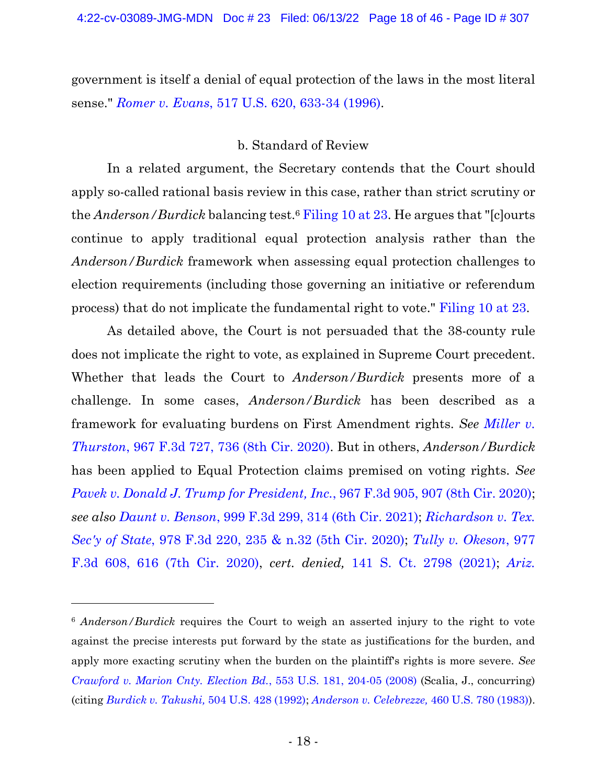government is itself a denial of equal protection of the laws in the most literal sense." *Romer v. Evans*, 517 U.S. 620, [633-34](https://www.westlaw.com/Document/I38fed9ac9c4611d991d0cc6b54f12d4d/View/FullText.html?transitionType=Default&contextData=(sc.Default)&VR=3.0&RS=da3.0&fragmentIdentifier=co_pp_sp_780_633) [\(1996\).](https://www.westlaw.com/Document/I38fed9ac9c4611d991d0cc6b54f12d4d/View/FullText.html?transitionType=Default&contextData=(sc.Default)&VR=3.0&RS=da3.0&fragmentIdentifier=co_pp_sp_780_633)

## b. Standard of Review

In a related argument, the Secretary contends that the Court should apply so-called rational basis review in this case, rather than strict scrutiny or the *Anderson/Burdick* balancing test.<sup>6</sup> [Filing](https://ecf.ned.uscourts.gov/doc1/11314967650?page=23) 10 at 23. He argues that "[c]ourts continue to apply traditional equal protection analysis rather than the *Anderson/Burdick* framework when assessing equal protection challenges to election requirements (including those governing an initiative or referendum process) that do not implicate the fundamental right to vote." [Filing](https://ecf.ned.uscourts.gov/doc1/11314967650?page=23) 10 at 23.

As detailed above, the Court is not persuaded that the 38-county rule does not implicate the right to vote, as explained in Supreme Court precedent. Whether that leads the Court to *Anderson/Burdick* presents more of a challenge. In some cases, *Anderson/Burdick* has been described as a framework for evaluating burdens on First Amendment rights. *See [Miller](https://www.westlaw.com/Document/I95ceea90cd4311eab502f8a91db8f87a/View/FullText.html?transitionType=Default&contextData=(sc.Default)&VR=3.0&RS=da3.0&fragmentIdentifier=co_pp_sp_506_736) v. [Thurston](https://www.westlaw.com/Document/I95ceea90cd4311eab502f8a91db8f87a/View/FullText.html?transitionType=Default&contextData=(sc.Default)&VR=3.0&RS=da3.0&fragmentIdentifier=co_pp_sp_506_736)*, 967 F.3d 727, 736 (8th Cir. 2020). But in others, *Anderson/Burdick* has been applied to Equal Protection claims premised on voting rights. *See Pavek v. Donald J. Trump for [President,](https://www.westlaw.com/Document/Iffbf7fc0d38611ea8f0eec838d2c18dc/View/FullText.html?transitionType=Default&contextData=(sc.Default)&VR=3.0&RS=da3.0&fragmentIdentifier=co_pp_sp_506_907) Inc.*, 967 F.3d 905, 907 (8th Cir. [2020\);](https://www.westlaw.com/Document/Iffbf7fc0d38611ea8f0eec838d2c18dc/View/FullText.html?transitionType=Default&contextData=(sc.Default)&VR=3.0&RS=da3.0&fragmentIdentifier=co_pp_sp_506_907) *see also Daunt v. [Benson](https://www.westlaw.com/Document/I7422ceb0bf4c11ebbf1c898056bbdcb4/View/FullText.html?transitionType=Default&contextData=(sc.Default)&VR=3.0&RS=da3.0&fragmentIdentifier=co_pp_sp_506_314)*, 999 F.3d 299, 314 (6th Cir. [2021\);](https://www.westlaw.com/Document/I7422ceb0bf4c11ebbf1c898056bbdcb4/View/FullText.html?transitionType=Default&contextData=(sc.Default)&VR=3.0&RS=da3.0&fragmentIdentifier=co_pp_sp_506_314) *[Richardson](https://www.westlaw.com/Document/Iaafcb070125111eba034d891cc25f3cc/View/FullText.html?transitionType=Default&contextData=(sc.Default)&VR=3.0&RS=da3.0&fragmentIdentifier=co_pp_sp_506_235+%26+n.32) v. Tex. Sec'y of [State](https://www.westlaw.com/Document/Iaafcb070125111eba034d891cc25f3cc/View/FullText.html?transitionType=Default&contextData=(sc.Default)&VR=3.0&RS=da3.0&fragmentIdentifier=co_pp_sp_506_235+%26+n.32)*, 978 F.3d 220, 235 & n.32 (5th Cir. [2020\);](https://www.westlaw.com/Document/Iaafcb070125111eba034d891cc25f3cc/View/FullText.html?transitionType=Default&contextData=(sc.Default)&VR=3.0&RS=da3.0&fragmentIdentifier=co_pp_sp_506_235+%26+n.32) *Tully v. [Okeson](https://www.westlaw.com/Document/I6c6a89f0084111ebb0bbcfa37ab37316/View/FullText.html?transitionType=Default&contextData=(sc.Default)&VR=3.0&RS=da3.0&fragmentIdentifier=co_pp_sp_506_616)*, 97[7](https://www.westlaw.com/Document/I6c6a89f0084111ebb0bbcfa37ab37316/View/FullText.html?transitionType=Default&contextData=(sc.Default)&VR=3.0&RS=da3.0&fragmentIdentifier=co_pp_sp_506_616) F.3d 608, 616 (7th Cir. [2020\),](https://www.westlaw.com/Document/I6c6a89f0084111ebb0bbcfa37ab37316/View/FullText.html?transitionType=Default&contextData=(sc.Default)&VR=3.0&RS=da3.0&fragmentIdentifier=co_pp_sp_506_616) *cert. denied,* 141 S. Ct. 2798 [\(2021\);](https://www.westlaw.com/Link/Document/FullText?cite=141SCT2798&VR=3.0&RS=da3.0) *[Ariz.](https://www.westlaw.com/Document/Iaa0f43a0081311eb8cddf39cfa051b39/View/FullText.html?transitionType=Default&contextData=(sc.Default)&VR=3.0&RS=da3.0&fragmentIdentifier=co_pp_sp_506_1086)*

<sup>6</sup> *Anderson/Burdick* requires the Court to weigh an asserted injury to the right to vote against the precise interests put forward by the state as justifications for the burden, and apply more exacting scrutiny when the burden on the plaintiff's rights is more severe. *See [Crawford v. Marion Cnty. Election Bd.](https://www.westlaw.com/Document/I9a53a1fb151d11ddb595a478de34cd72/View/FullText.html?transitionType=Default&contextData=(sc.Default)&VR=3.0&RS=da3.0&fragmentIdentifier=co_pp_sp_780_204)*, 553 U.S. 181, 204[-05 \(2008\)](https://www.westlaw.com/Document/I9a53a1fb151d11ddb595a478de34cd72/View/FullText.html?transitionType=Default&contextData=(sc.Default)&VR=3.0&RS=da3.0&fragmentIdentifier=co_pp_sp_780_204) (Scalia, J., concurring) (citing *[Burdick v. Takushi,](https://www.westlaw.com/Document/I72e88d159c9a11d991d0cc6b54f12d4d/View/FullText.html?transitionType=Default&contextData=(sc.Default)&VR=3.0&RS=da3.0)* [504 U.S. 428 \(1992\);](https://www.westlaw.com/Document/I72e88d159c9a11d991d0cc6b54f12d4d/View/FullText.html?transitionType=Default&contextData=(sc.Default)&VR=3.0&RS=da3.0) *[Anderson v. Celebrezze,](https://www.westlaw.com/Document/I221e07be9bf011d993e6d35cc61aab4a/View/FullText.html?transitionType=Default&contextData=(sc.Default)&VR=3.0&RS=da3.0)* [460 U.S. 780 \(1983\)\)](https://www.westlaw.com/Document/I221e07be9bf011d993e6d35cc61aab4a/View/FullText.html?transitionType=Default&contextData=(sc.Default)&VR=3.0&RS=da3.0).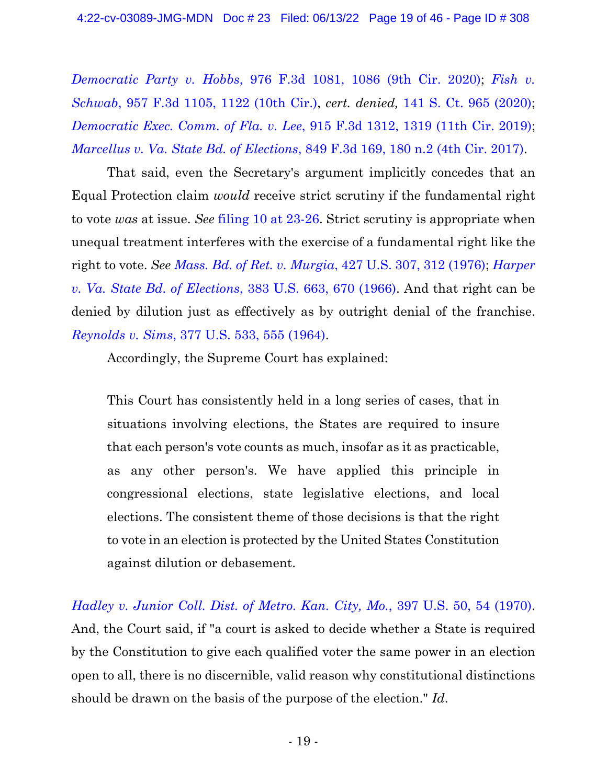*[Democratic](https://www.westlaw.com/Document/Iaa0f43a0081311eb8cddf39cfa051b39/View/FullText.html?transitionType=Default&contextData=(sc.Default)&VR=3.0&RS=da3.0&fragmentIdentifier=co_pp_sp_506_1086) Party v. Hobbs*, 976 F.3d 1081, 1086 (9th Cir. 2020); *[Fish](https://www.westlaw.com/Document/Icfa434808a6011eaabeef54b36ec0a79/View/FullText.html?transitionType=Default&contextData=(sc.Default)&VR=3.0&RS=da3.0&fragmentIdentifier=co_pp_sp_506_1122) v. [Schwab](https://www.westlaw.com/Document/Icfa434808a6011eaabeef54b36ec0a79/View/FullText.html?transitionType=Default&contextData=(sc.Default)&VR=3.0&RS=da3.0&fragmentIdentifier=co_pp_sp_506_1122)*, 957 F.3d 1105, 1122 (10th Cir.), *cert. denied,* 141 S. Ct. 965 [\(2020\);](https://www.westlaw.com/Link/Document/FullText?cite=141SCT965&VR=3.0&RS=da3.0) *[Democratic](https://www.westlaw.com/Document/I2fab5b00314e11e9bc469b767245e66a/View/FullText.html?transitionType=Default&contextData=(sc.Default)&VR=3.0&RS=da3.0&fragmentIdentifier=co_pp_sp_506_1319) Exec. Comm. of Fla. v. Lee*, 915 F.3d 1312, 1319 (11th Cir. [2019\);](https://www.westlaw.com/Document/I2fab5b00314e11e9bc469b767245e66a/View/FullText.html?transitionType=Default&contextData=(sc.Default)&VR=3.0&RS=da3.0&fragmentIdentifier=co_pp_sp_506_1319) *[Marcellus](https://www.westlaw.com/Document/I1c0968c0f8d511e69a9296e6a6f4a986/View/FullText.html?transitionType=Default&contextData=(sc.Default)&VR=3.0&RS=da3.0&fragmentIdentifier=co_pp_sp_506_180+n.2) v. Va. State Bd. of Elections*, 849 F.3d 169, 180 n.2 (4th Cir. [2017\).](https://www.westlaw.com/Document/I1c0968c0f8d511e69a9296e6a6f4a986/View/FullText.html?transitionType=Default&contextData=(sc.Default)&VR=3.0&RS=da3.0&fragmentIdentifier=co_pp_sp_506_180+n.2)

That said, even the Secretary's argument implicitly concedes that an Equal Protection claim *would* receive strict scrutiny if the fundamental right to vote *was* at issue. *See* filing 10 at [23-26.](https://ecf.ned.uscourts.gov/doc1/11314967650?page=23) Strict scrutiny is appropriate when unequal treatment interferes with the exercise of a fundamental right like the right to vote. *See Mass. Bd. of Ret. v. [Murgia](https://www.westlaw.com/Document/Id4c0cc9f9c1d11d991d0cc6b54f12d4d/View/FullText.html?transitionType=Default&contextData=(sc.Default)&VR=3.0&RS=da3.0&fragmentIdentifier=co_pp_sp_780_312)*, 427 U.S. 307, 312 [\(1976\);](https://www.westlaw.com/Document/Id4c0cc9f9c1d11d991d0cc6b54f12d4d/View/FullText.html?transitionType=Default&contextData=(sc.Default)&VR=3.0&RS=da3.0&fragmentIdentifier=co_pp_sp_780_312) *[Harper](https://www.westlaw.com/Document/I64f850439c1d11d9bc61beebb95be672/View/FullText.html?transitionType=Default&contextData=(sc.Default)&VR=3.0&RS=da3.0&fragmentIdentifier=co_pp_sp_780_670) v. Va. State Bd. of [Elections](https://www.westlaw.com/Document/I64f850439c1d11d9bc61beebb95be672/View/FullText.html?transitionType=Default&contextData=(sc.Default)&VR=3.0&RS=da3.0&fragmentIdentifier=co_pp_sp_780_670)*, 383 U.S. 663, 670 (1966). And that right can be denied by dilution just as effectively as by outright denial of the franchise. *[Reynolds](https://www.westlaw.com/Document/Id4ca42739c1d11d991d0cc6b54f12d4d/View/FullText.html?transitionType=Default&contextData=(sc.Default)&VR=3.0&RS=da3.0&fragmentIdentifier=co_pp_sp_780_555) v. Sims*, 377 U.S. 533, 555 [\(1964\).](https://www.westlaw.com/Document/Id4ca42739c1d11d991d0cc6b54f12d4d/View/FullText.html?transitionType=Default&contextData=(sc.Default)&VR=3.0&RS=da3.0&fragmentIdentifier=co_pp_sp_780_555)

Accordingly, the Supreme Court has explained:

This Court has consistently held in a long series of cases, that in situations involving elections, the States are required to insure that each person's vote counts as much, insofar as it as practicable, as any other person's. We have applied this principle in congressional elections, state legislative elections, and local elections. The consistent theme of those decisions is that the right to vote in an election is protected by the United States Constitution against dilution or debasement.

*[Hadley](https://www.westlaw.com/Document/Id8ed06969c1c11d993e6d35cc61aab4a/View/FullText.html?transitionType=Default&contextData=(sc.Default)&VR=3.0&RS=da3.0&fragmentIdentifier=co_pp_sp_780_54) v. Junior Coll. Dist. of Metro. Kan. City, Mo.*, 397 U.S. 50, 54 [\(1970\).](https://www.westlaw.com/Document/Id8ed06969c1c11d993e6d35cc61aab4a/View/FullText.html?transitionType=Default&contextData=(sc.Default)&VR=3.0&RS=da3.0&fragmentIdentifier=co_pp_sp_780_54) And, the Court said, if "a court is asked to decide whether a State is required by the Constitution to give each qualified voter the same power in an election open to all, there is no discernible, valid reason why constitutional distinctions should be drawn on the basis of the purpose of the election." *Id*.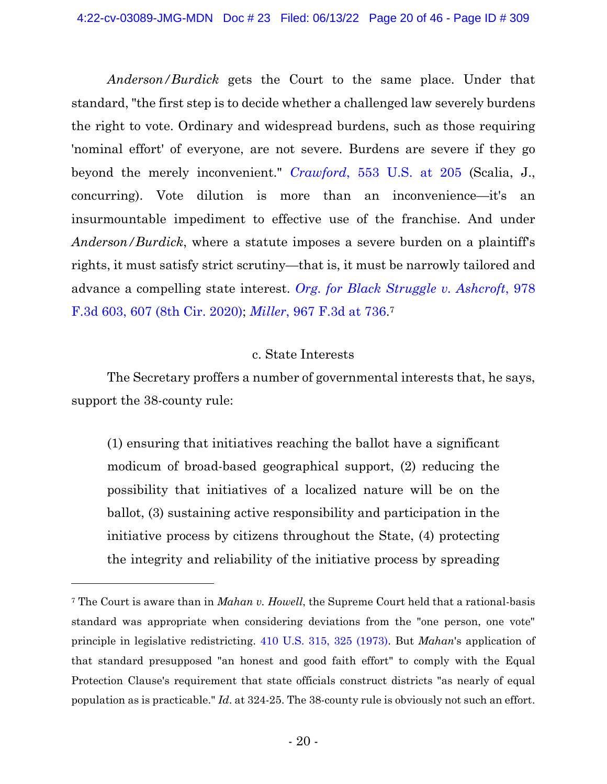*Anderson/Burdick* gets the Court to the same place. Under that standard, "the first step is to decide whether a challenged law severely burdens the right to vote. Ordinary and widespread burdens, such as those requiring 'nominal effort' of everyone, are not severe. Burdens are severe if they go beyond the merely inconvenient." *[Crawford](https://www.westlaw.com/Document/I9a53a1fb151d11ddb595a478de34cd72/View/FullText.html?transitionType=Default&contextData=(sc.Default)&VR=3.0&RS=da3.0&fragmentIdentifier=co_pp_sp_780_205)*, 553 U.S. at [205](https://www.westlaw.com/Document/I9a53a1fb151d11ddb595a478de34cd72/View/FullText.html?transitionType=Default&contextData=(sc.Default)&VR=3.0&RS=da3.0&fragmentIdentifier=co_pp_sp_780_205) (Scalia, J., concurring). Vote dilution is more than an inconvenience—it's an insurmountable impediment to effective use of the franchise. And under *Anderson/Burdick*, where a statute imposes a severe burden on a plaintiff's rights, it must satisfy strict scrutiny—that is, it must be narrowly tailored and advance a compelling state interest. *Org. for Black [Struggle](https://www.westlaw.com/Document/I27733a3015bc11ebb0bbcfa37ab37316/View/FullText.html?transitionType=Default&contextData=(sc.Default)&VR=3.0&RS=da3.0&fragmentIdentifier=co_pp_sp_506_607) v. Ashcroft*, 97[8](https://www.westlaw.com/Document/I27733a3015bc11ebb0bbcfa37ab37316/View/FullText.html?transitionType=Default&contextData=(sc.Default)&VR=3.0&RS=da3.0&fragmentIdentifier=co_pp_sp_506_607) F.3d 603, 607 (8th Cir. [2020\);](https://www.westlaw.com/Document/I27733a3015bc11ebb0bbcfa37ab37316/View/FullText.html?transitionType=Default&contextData=(sc.Default)&VR=3.0&RS=da3.0&fragmentIdentifier=co_pp_sp_506_607) *[Miller](https://www.westlaw.com/Document/I95ceea90cd4311eab502f8a91db8f87a/View/FullText.html?transitionType=Default&contextData=(sc.Default)&VR=3.0&RS=da3.0&fragmentIdentifier=co_pp_sp_506_736)*, 967 F.3d at [736.](https://www.westlaw.com/Document/I95ceea90cd4311eab502f8a91db8f87a/View/FullText.html?transitionType=Default&contextData=(sc.Default)&VR=3.0&RS=da3.0&fragmentIdentifier=co_pp_sp_506_736) 7

## c. State Interests

The Secretary proffers a number of governmental interests that, he says, support the 38-county rule:

(1) ensuring that initiatives reaching the ballot have a significant modicum of broad-based geographical support, (2) reducing the possibility that initiatives of a localized nature will be on the ballot, (3) sustaining active responsibility and participation in the initiative process by citizens throughout the State, (4) protecting the integrity and reliability of the initiative process by spreading

<sup>7</sup> The Court is aware than in *Mahan v. Howell*, the Supreme Court held that a rational-basis standard was appropriate when considering deviations from the "one person, one vote" principle in legislative redistricting. [410 U.S. 315, 325 \(1973\).](https://www.westlaw.com/Document/I18d7aae49bea11d9bdd1cfdd544ca3a4/View/FullText.html?transitionType=Default&contextData=(sc.Default)&VR=3.0&RS=da3.0&fragmentIdentifier=co_pp_sp_780_325) But *Mahan*'s application of that standard presupposed "an honest and good faith effort" to comply with the Equal Protection Clause's requirement that state officials construct districts "as nearly of equal population as is practicable." *Id*. at 324-25. The 38-county rule is obviously not such an effort.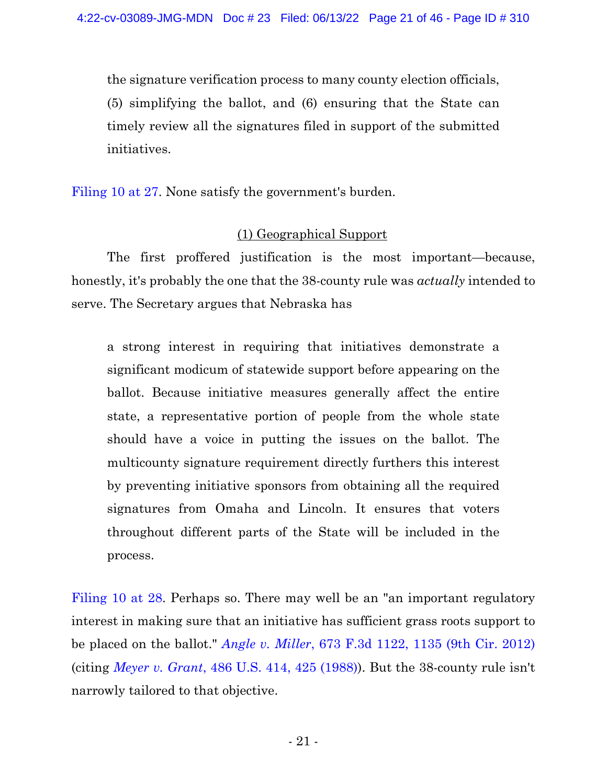the signature verification process to many county election officials, (5) simplifying the ballot, and (6) ensuring that the State can timely review all the signatures filed in support of the submitted initiatives.

[Filing](https://ecf.ned.uscourts.gov/doc1/11314967650?page=27) 10 at 27. None satisfy the government's burden.

## (1) Geographical Support

The first proffered justification is the most important—because, honestly, it's probably the one that the 38-county rule was *actually* intended to serve. The Secretary argues that Nebraska has

a strong interest in requiring that initiatives demonstrate a significant modicum of statewide support before appearing on the ballot. Because initiative measures generally affect the entire state, a representative portion of people from the whole state should have a voice in putting the issues on the ballot. The multicounty signature requirement directly furthers this interest by preventing initiative sponsors from obtaining all the required signatures from Omaha and Lincoln. It ensures that voters throughout different parts of the State will be included in the process.

[Filing](https://ecf.ned.uscourts.gov/doc1/11314967650?page=28) 10 at 28. Perhaps so. There may well be an "an important regulatory" interest in making sure that an initiative has sufficient grass roots support to be placed on the ballot." *Angle v. [Miller](https://www.westlaw.com/Document/I9e88d6936dbd11e1be29b2facdefeebe/View/FullText.html?transitionType=Default&contextData=(sc.Default)&VR=3.0&RS=da3.0&fragmentIdentifier=co_pp_sp_506_1135)*, 673 F.3d 1122, 1135 (9th Cir. [2012\)](https://www.westlaw.com/Document/I9e88d6936dbd11e1be29b2facdefeebe/View/FullText.html?transitionType=Default&contextData=(sc.Default)&VR=3.0&RS=da3.0&fragmentIdentifier=co_pp_sp_506_1135) (citing *[Meyer](https://www.westlaw.com/Document/Ic1d73a139c1e11d991d0cc6b54f12d4d/View/FullText.html?transitionType=Default&contextData=(sc.Default)&VR=3.0&RS=da3.0&fragmentIdentifier=co_pp_sp_780_425) v. Grant*, 486 U.S. 414, 425 [\(1988\)\)](https://www.westlaw.com/Document/Ic1d73a139c1e11d991d0cc6b54f12d4d/View/FullText.html?transitionType=Default&contextData=(sc.Default)&VR=3.0&RS=da3.0&fragmentIdentifier=co_pp_sp_780_425). But the 38-county rule isn't narrowly tailored to that objective.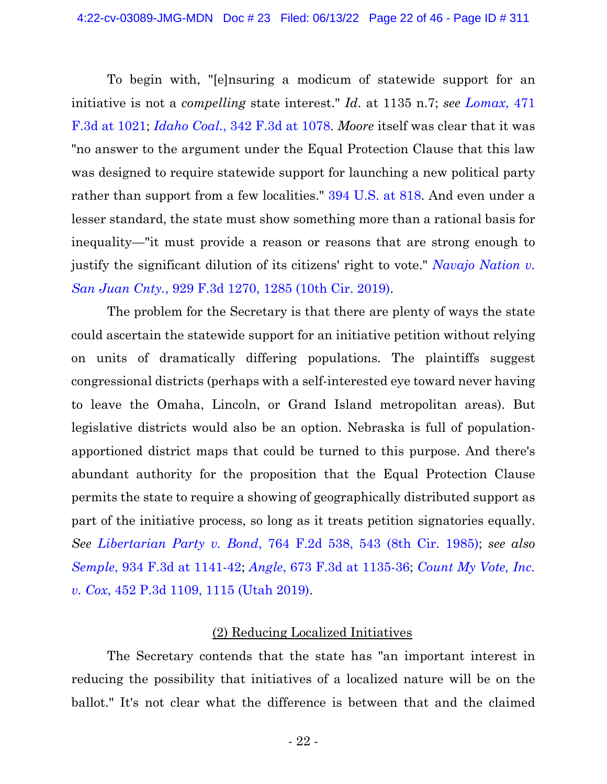To begin with, "[e]nsuring a modicum of statewide support for an initiative is not a *compelling* state interest." *Id*. at 1135 n.7; *see [Lomax](https://www.westlaw.com/Document/I54d90ce886cd11dbb38df5bc58c34d92/View/FullText.html?transitionType=Default&contextData=(sc.Default)&VR=3.0&RS=da3.0&fragmentIdentifier=co_pp_sp_506_1021)*, 47[1](https://www.westlaw.com/Document/I54d90ce886cd11dbb38df5bc58c34d92/View/FullText.html?transitionType=Default&contextData=(sc.Default)&VR=3.0&RS=da3.0&fragmentIdentifier=co_pp_sp_506_1021) F.3d at [1021;](https://www.westlaw.com/Document/I54d90ce886cd11dbb38df5bc58c34d92/View/FullText.html?transitionType=Default&contextData=(sc.Default)&VR=3.0&RS=da3.0&fragmentIdentifier=co_pp_sp_506_1021) *[Idaho](https://www.westlaw.com/Document/Ibb37657789eb11d9903eeb4634b8d78e/View/FullText.html?transitionType=Default&contextData=(sc.Default)&VR=3.0&RS=da3.0&fragmentIdentifier=co_pp_sp_506_1078) Coal.*, 342 F.3d at [1078.](https://www.westlaw.com/Document/Ibb37657789eb11d9903eeb4634b8d78e/View/FullText.html?transitionType=Default&contextData=(sc.Default)&VR=3.0&RS=da3.0&fragmentIdentifier=co_pp_sp_506_1078) *Moore* itself was clear that it was "no answer to the argument under the Equal Protection Clause that this law was designed to require statewide support for launching a new political party rather than support from a few localities." 394 [U.S.](https://www.westlaw.com/Document/I18ca16569bea11d9bdd1cfdd544ca3a4/View/FullText.html?transitionType=Default&contextData=(sc.Default)&VR=3.0&RS=da3.0&fragmentIdentifier=co_pp_sp_780_818) at 818. And even under a lesser standard, the state must show something more than a rational basis for inequality—"it must provide a reason or reasons that are strong enough to justify the significant dilution of its citizens' right to vote." *[Navajo](https://www.westlaw.com/Document/I44ec6ca0a7f211e981b9f3f7c11376fd/View/FullText.html?transitionType=Default&contextData=(sc.Default)&VR=3.0&RS=da3.0&fragmentIdentifier=co_pp_sp_506_1285) Nation v. San Juan Cnty.*, 929 F.3d [1270,](https://www.westlaw.com/Document/I44ec6ca0a7f211e981b9f3f7c11376fd/View/FullText.html?transitionType=Default&contextData=(sc.Default)&VR=3.0&RS=da3.0&fragmentIdentifier=co_pp_sp_506_1285) 1285 (10th Cir. [2019\).](https://www.westlaw.com/Document/I44ec6ca0a7f211e981b9f3f7c11376fd/View/FullText.html?transitionType=Default&contextData=(sc.Default)&VR=3.0&RS=da3.0&fragmentIdentifier=co_pp_sp_506_1285)

The problem for the Secretary is that there are plenty of ways the state could ascertain the statewide support for an initiative petition without relying on units of dramatically differing populations. The plaintiffs suggest congressional districts (perhaps with a self-interested eye toward never having to leave the Omaha, Lincoln, or Grand Island metropolitan areas). But legislative districts would also be an option. Nebraska is full of populationapportioned district maps that could be turned to this purpose. And there's abundant authority for the proposition that the Equal Protection Clause permits the state to require a showing of geographically distributed support as part of the initiative process, so long as it treats petition signatories equally. *See [Libertarian](https://www.westlaw.com/Document/I86ff1f6894ad11d9bdd1cfdd544ca3a4/View/FullText.html?transitionType=Default&contextData=(sc.Default)&VR=3.0&RS=da3.0&fragmentIdentifier=co_pp_sp_350_543) Party v. Bond*, 764 F.2d 538, 543 (8th Cir. [1985\);](https://www.westlaw.com/Document/I86ff1f6894ad11d9bdd1cfdd544ca3a4/View/FullText.html?transitionType=Default&contextData=(sc.Default)&VR=3.0&RS=da3.0&fragmentIdentifier=co_pp_sp_350_543) *see also [Semple](https://www.westlaw.com/Document/Idb2928a0c39211e9aec88be692101305/View/FullText.html?transitionType=Default&contextData=(sc.Default)&VR=3.0&RS=da3.0&fragmentIdentifier=co_pp_sp_506_1141)*, 934 F.3d at 1141[-42;](https://www.westlaw.com/Document/Idb2928a0c39211e9aec88be692101305/View/FullText.html?transitionType=Default&contextData=(sc.Default)&VR=3.0&RS=da3.0&fragmentIdentifier=co_pp_sp_506_1141) *Angle*, 673 F.3d at [1135-36;](https://www.westlaw.com/Document/I9e88d6936dbd11e1be29b2facdefeebe/View/FullText.html?transitionType=Default&contextData=(sc.Default)&VR=3.0&RS=da3.0&fragmentIdentifier=co_pp_sp_506_1135) *[Count](https://www.westlaw.com/Document/Ieaff14d0ec5d11e9be36860eb2f983f8/View/FullText.html?transitionType=Default&contextData=(sc.Default)&VR=3.0&RS=da3.0&fragmentIdentifier=co_pp_sp_4645_1115) My Vote, Inc. v. Cox*, 452 P.3d 1109, 1115 [\(Utah](https://www.westlaw.com/Document/Ieaff14d0ec5d11e9be36860eb2f983f8/View/FullText.html?transitionType=Default&contextData=(sc.Default)&VR=3.0&RS=da3.0&fragmentIdentifier=co_pp_sp_4645_1115) 2019).

## (2) Reducing Localized Initiatives

The Secretary contends that the state has "an important interest in reducing the possibility that initiatives of a localized nature will be on the ballot." It's not clear what the difference is between that and the claimed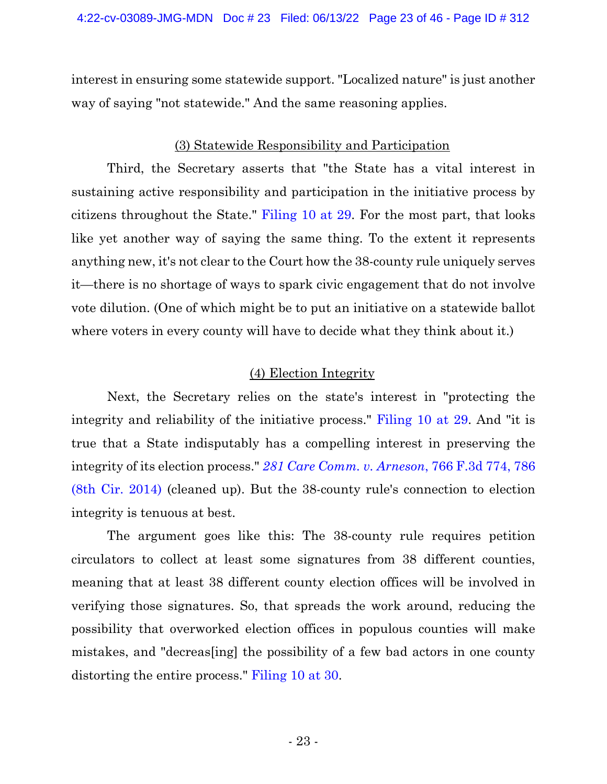interest in ensuring some statewide support. "Localized nature" is just another way of saying "not statewide." And the same reasoning applies.

# (3) Statewide Responsibility and Participation

Third, the Secretary asserts that "the State has a vital interest in sustaining active responsibility and participation in the initiative process by citizens throughout the State." [Filing](https://ecf.ned.uscourts.gov/doc1/11314967650?page=29) 10 at 29. For the most part, that looks like yet another way of saying the same thing. To the extent it represents anything new, it's not clear to the Court how the 38-county rule uniquely serves it—there is no shortage of ways to spark civic engagement that do not involve vote dilution. (One of which might be to put an initiative on a statewide ballot where voters in every county will have to decide what they think about it.)

# (4) Election Integrity

Next, the Secretary relies on the state's interest in "protecting the integrity and reliability of the initiative process." [Filing](https://ecf.ned.uscourts.gov/doc1/11314967650?page=29) 10 at 29. And "it is true that a State indisputably has a compelling interest in preserving the integrity of its election process." *281 Care Comm. v. [Arneson](https://www.westlaw.com/Document/If2977af332c411e4a795ac035416da91/View/FullText.html?transitionType=Default&contextData=(sc.Default)&VR=3.0&RS=da3.0&fragmentIdentifier=co_pp_sp_506_786)*, 766 F.3d 774, 78[6](https://www.westlaw.com/Document/If2977af332c411e4a795ac035416da91/View/FullText.html?transitionType=Default&contextData=(sc.Default)&VR=3.0&RS=da3.0&fragmentIdentifier=co_pp_sp_506_786) (8th Cir. [2014\)](https://www.westlaw.com/Document/If2977af332c411e4a795ac035416da91/View/FullText.html?transitionType=Default&contextData=(sc.Default)&VR=3.0&RS=da3.0&fragmentIdentifier=co_pp_sp_506_786) (cleaned up). But the 38-county rule's connection to election integrity is tenuous at best.

The argument goes like this: The 38-county rule requires petition circulators to collect at least some signatures from 38 different counties, meaning that at least 38 different county election offices will be involved in verifying those signatures. So, that spreads the work around, reducing the possibility that overworked election offices in populous counties will make mistakes, and "decreas[ing] the possibility of a few bad actors in one county distorting the entire process." [Filing](https://ecf.ned.uscourts.gov/doc1/11314967650?page=30) 10 at 30.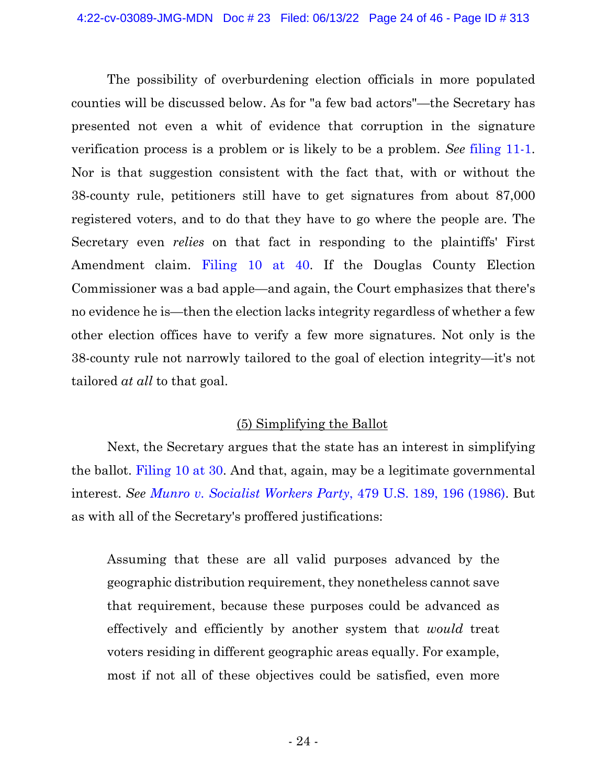The possibility of overburdening election officials in more populated counties will be discussed below. As for "a few bad actors"—the Secretary has presented not even a whit of evidence that corruption in the signature verification process is a problem or is likely to be a problem. *See* [filing](https://ecf.ned.uscourts.gov/doc1/11314967668) 11-1. Nor is that suggestion consistent with the fact that, with or without the 38-county rule, petitioners still have to get signatures from about 87,000 registered voters, and to do that they have to go where the people are. The Secretary even *relies* on that fact in responding to the plaintiffs' First Amendment claim. [Filing](https://ecf.ned.uscourts.gov/doc1/11314967650?page=40) 10 at 40. If the Douglas County Election Commissioner was a bad apple—and again, the Court emphasizes that there's no evidence he is—then the election lacks integrity regardless of whether a few other election offices have to verify a few more signatures. Not only is the 38-county rule not narrowly tailored to the goal of election integrity—it's not tailored *at all* to that goal.

# (5) Simplifying the Ballot

Next, the Secretary argues that the state has an interest in simplifying the ballot. [Filing](https://ecf.ned.uscourts.gov/doc1/11314967650?page=30) 10 at 30. And that, again, may be a legitimate governmental interest. *See Munro v. [Socialist](https://www.westlaw.com/Document/Id4c316969c1d11d991d0cc6b54f12d4d/View/FullText.html?transitionType=Default&contextData=(sc.Default)&VR=3.0&RS=da3.0&fragmentIdentifier=co_pp_sp_780_196) Workers Party*, 479 U.S. 189, 196 [\(1986\).](https://www.westlaw.com/Document/Id4c316969c1d11d991d0cc6b54f12d4d/View/FullText.html?transitionType=Default&contextData=(sc.Default)&VR=3.0&RS=da3.0&fragmentIdentifier=co_pp_sp_780_196) But as with all of the Secretary's proffered justifications:

Assuming that these are all valid purposes advanced by the geographic distribution requirement, they nonetheless cannot save that requirement, because these purposes could be advanced as effectively and efficiently by another system that *would* treat voters residing in different geographic areas equally. For example, most if not all of these objectives could be satisfied, even more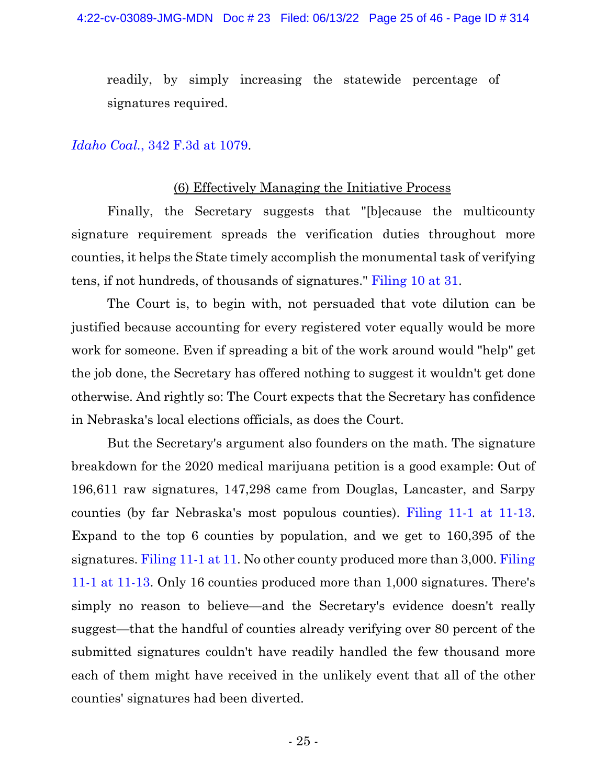readily, by simply increasing the statewide percentage of signatures required.

#### *[Idaho](https://www.westlaw.com/Document/Ibb37657789eb11d9903eeb4634b8d78e/View/FullText.html?transitionType=Default&contextData=(sc.Default)&VR=3.0&RS=da3.0&fragmentIdentifier=co_pp_sp_506_1079) Coal.*, 342 F.3d at [1079.](https://www.westlaw.com/Document/Ibb37657789eb11d9903eeb4634b8d78e/View/FullText.html?transitionType=Default&contextData=(sc.Default)&VR=3.0&RS=da3.0&fragmentIdentifier=co_pp_sp_506_1079)

#### (6) Effectively Managing the Initiative Process

Finally, the Secretary suggests that "[b]ecause the multicounty signature requirement spreads the verification duties throughout more counties, it helps the State timely accomplish the monumental task of verifying tens, if not hundreds, of thousands of signatures." [Filing](https://ecf.ned.uscourts.gov/doc1/11314967650?page=31) 10 at 31.

The Court is, to begin with, not persuaded that vote dilution can be justified because accounting for every registered voter equally would be more work for someone. Even if spreading a bit of the work around would "help" get the job done, the Secretary has offered nothing to suggest it wouldn't get done otherwise. And rightly so: The Court expects that the Secretary has confidence in Nebraska's local elections officials, as does the Court.

But the Secretary's argument also founders on the math. The signature breakdown for the 2020 medical marijuana petition is a good example: Out of 196,611 raw signatures, 147,298 came from Douglas, Lancaster, and Sarpy counties (by far Nebraska's most populous counties). [Filing](https://ecf.ned.uscourts.gov/doc1/11314967668?page=11) 11-1 at 11-13. Expand to the top 6 counties by population, and we get to 160,395 of the signatures. [Filing](https://ecf.ned.uscourts.gov/doc1/11314967668?page=11) 11-1 at 11. No other county produced more than 3,000. [Filing](https://ecf.ned.uscourts.gov/doc1/11314967668?page=11) 11-1 at [11-13.](https://ecf.ned.uscourts.gov/doc1/11314967668?page=11) Only 16 counties produced more than 1,000 signatures. There's simply no reason to believe—and the Secretary's evidence doesn't really suggest—that the handful of counties already verifying over 80 percent of the submitted signatures couldn't have readily handled the few thousand more each of them might have received in the unlikely event that all of the other counties' signatures had been diverted.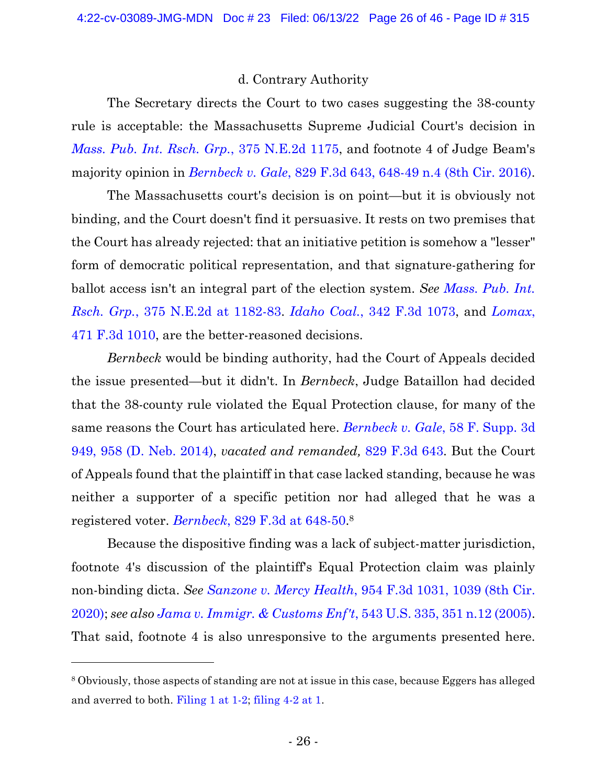## d. Contrary Authority

The Secretary directs the Court to two cases suggesting the 38-county rule is acceptable: the Massachusetts Supreme Judicial Court's decision in *Mass. Pub. Int. Rsch. Grp.*, 375 [N.E.2d](https://www.westlaw.com/Document/I8f352548d11a11d98ac8f235252e36df/View/FullText.html?transitionType=Default&contextData=(sc.Default)&VR=3.0&RS=da3.0) [1175,](https://www.westlaw.com/Document/I8f352548d11a11d98ac8f235252e36df/View/FullText.html?transitionType=Default&contextData=(sc.Default)&VR=3.0&RS=da3.0) and footnote 4 of Judge Beam's majority opinion in *[Bernbeck](https://www.westlaw.com/Document/I5b2088f04a6511e687dda03c2315206d/View/FullText.html?transitionType=Default&contextData=(sc.Default)&VR=3.0&RS=da3.0&fragmentIdentifier=co_pp_sp_506_648) v. Gale*, 829 F.3d 643, 648-49 n.4 (8th Cir. [2016\).](https://www.westlaw.com/Document/I5b2088f04a6511e687dda03c2315206d/View/FullText.html?transitionType=Default&contextData=(sc.Default)&VR=3.0&RS=da3.0&fragmentIdentifier=co_pp_sp_506_648)

The Massachusetts court's decision is on point—but it is obviously not binding, and the Court doesn't find it persuasive. It rests on two premises that the Court has already rejected: that an initiative petition is somehow a "lesser" form of democratic political representation, and that signature-gathering for ballot access isn't an integral part of the election system. *See [Mass.](https://www.westlaw.com/Document/I8f352548d11a11d98ac8f235252e36df/View/FullText.html?transitionType=Default&contextData=(sc.Default)&VR=3.0&RS=da3.0&fragmentIdentifier=co_pp_sp_578_1182) Pub. Int. Rsch. Grp.*, 375 [N.E.2d](https://www.westlaw.com/Document/I8f352548d11a11d98ac8f235252e36df/View/FullText.html?transitionType=Default&contextData=(sc.Default)&VR=3.0&RS=da3.0&fragmentIdentifier=co_pp_sp_578_1182) at [1182-83.](https://www.westlaw.com/Document/I8f352548d11a11d98ac8f235252e36df/View/FullText.html?transitionType=Default&contextData=(sc.Default)&VR=3.0&RS=da3.0&fragmentIdentifier=co_pp_sp_578_1182) *[Idaho](https://www.westlaw.com/Document/Ibb37657789eb11d9903eeb4634b8d78e/View/FullText.html?transitionType=Default&contextData=(sc.Default)&VR=3.0&RS=da3.0) Coal.*, 342 F.3d [1073,](https://www.westlaw.com/Document/Ibb37657789eb11d9903eeb4634b8d78e/View/FullText.html?transitionType=Default&contextData=(sc.Default)&VR=3.0&RS=da3.0) and *[Lomax](https://www.westlaw.com/Document/I54d90ce886cd11dbb38df5bc58c34d92/View/FullText.html?transitionType=Default&contextData=(sc.Default)&VR=3.0&RS=da3.0)*[,](https://www.westlaw.com/Document/I54d90ce886cd11dbb38df5bc58c34d92/View/FullText.html?transitionType=Default&contextData=(sc.Default)&VR=3.0&RS=da3.0) 471 F.3d [1010,](https://www.westlaw.com/Document/I54d90ce886cd11dbb38df5bc58c34d92/View/FullText.html?transitionType=Default&contextData=(sc.Default)&VR=3.0&RS=da3.0) are the better-reasoned decisions.

*Bernbeck* would be binding authority, had the Court of Appeals decided the issue presented—but it didn't. In *Bernbeck*, Judge Bataillon had decided that the 38-county rule violated the Equal Protection clause, for many of the same reasons the Court has articulated here. *[Bernbeck](https://www.westlaw.com/Document/Ia81d975569c611e49488c8f438320c70/View/FullText.html?transitionType=Default&contextData=(sc.Default)&VR=3.0&RS=da3.0&fragmentIdentifier=co_pp_sp_7903_958) v. Gale*, 58 F. Supp. 3[d](https://www.westlaw.com/Document/Ia81d975569c611e49488c8f438320c70/View/FullText.html?transitionType=Default&contextData=(sc.Default)&VR=3.0&RS=da3.0&fragmentIdentifier=co_pp_sp_7903_958) 949, 958 (D. Neb. [2014\),](https://www.westlaw.com/Document/Ia81d975569c611e49488c8f438320c70/View/FullText.html?transitionType=Default&contextData=(sc.Default)&VR=3.0&RS=da3.0&fragmentIdentifier=co_pp_sp_7903_958) *vacated and remanded,* 829 [F.3d](https://www.westlaw.com/Document/I5b2088f04a6511e687dda03c2315206d/View/FullText.html?transitionType=Default&contextData=(sc.Default)&VR=3.0&RS=da3.0) 643. But the Court of Appeals found that the plaintiff in that case lacked standing, because he was neither a supporter of a specific petition nor had alleged that he was a registered voter. *[Bernbeck](https://www.westlaw.com/Document/I5b2088f04a6511e687dda03c2315206d/View/FullText.html?transitionType=Default&contextData=(sc.Default)&VR=3.0&RS=da3.0&fragmentIdentifier=co_pp_sp_506_648)*, 829 F.3d at 648[-50.](https://www.westlaw.com/Document/I5b2088f04a6511e687dda03c2315206d/View/FullText.html?transitionType=Default&contextData=(sc.Default)&VR=3.0&RS=da3.0&fragmentIdentifier=co_pp_sp_506_648) 8

Because the dispositive finding was a lack of subject-matter jurisdiction, footnote 4's discussion of the plaintiff's Equal Protection claim was plainly non-binding dicta. *See [Sanzone](https://www.westlaw.com/Document/I98c024d0708211ea8a27c5f88245c3b8/View/FullText.html?transitionType=Default&contextData=(sc.Default)&VR=3.0&RS=da3.0&fragmentIdentifier=co_pp_sp_506_1039) v. Mercy Health*, 954 F.3d 1031, 1039 (8th Cir[.](https://www.westlaw.com/Document/I98c024d0708211ea8a27c5f88245c3b8/View/FullText.html?transitionType=Default&contextData=(sc.Default)&VR=3.0&RS=da3.0&fragmentIdentifier=co_pp_sp_506_1039) [2020\);](https://www.westlaw.com/Document/I98c024d0708211ea8a27c5f88245c3b8/View/FullText.html?transitionType=Default&contextData=(sc.Default)&VR=3.0&RS=da3.0&fragmentIdentifier=co_pp_sp_506_1039) *see also Jama v. Immigr. & [Customs](https://www.westlaw.com/Document/Idf2140f99c9c11d993e6d35cc61aab4a/View/FullText.html?transitionType=Default&contextData=(sc.Default)&VR=3.0&RS=da3.0&fragmentIdentifier=co_pp_sp_780_351+n.12) Enf't*, 543 U.S. 335, 351 n.12 [\(2005\).](https://www.westlaw.com/Document/Idf2140f99c9c11d993e6d35cc61aab4a/View/FullText.html?transitionType=Default&contextData=(sc.Default)&VR=3.0&RS=da3.0&fragmentIdentifier=co_pp_sp_780_351+n.12) That said, footnote 4 is also unresponsive to the arguments presented here.

<sup>8</sup> Obviously, those aspects of standing are not at issue in this case, because Eggers has alleged and averred to both. [Filing 1 at 1-2;](https://ecf.ned.uscourts.gov/doc1/11314956971?page=1) [filing 4-2 at 1.](https://ecf.ned.uscourts.gov/doc1/11314957011?page=1)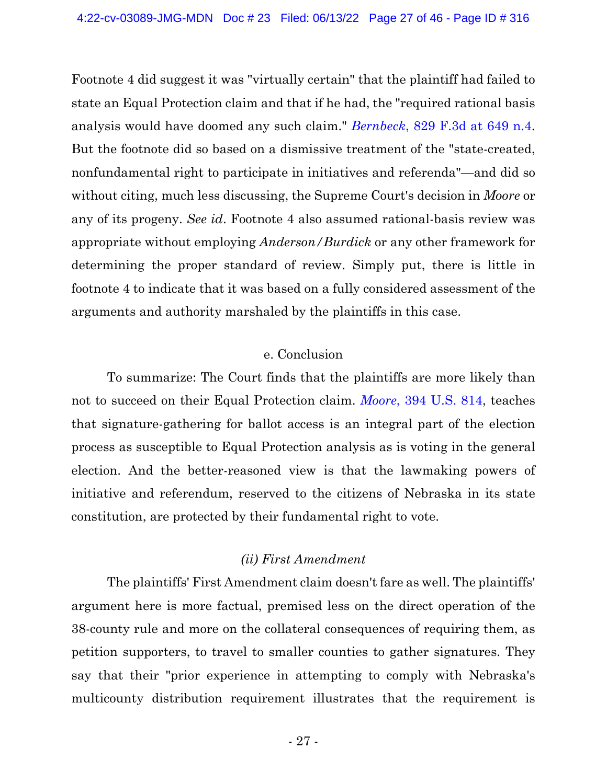Footnote 4 did suggest it was "virtually certain" that the plaintiff had failed to state an Equal Protection claim and that if he had, the "required rational basis analysis would have doomed any such claim." *[Bernbeck](https://www.westlaw.com/Document/I5b2088f04a6511e687dda03c2315206d/View/FullText.html?transitionType=Default&contextData=(sc.Default)&VR=3.0&RS=da3.0&fragmentIdentifier=co_pp_sp_506_649)*, 829 F.3d at 649 [n.4.](https://www.westlaw.com/Document/I5b2088f04a6511e687dda03c2315206d/View/FullText.html?transitionType=Default&contextData=(sc.Default)&VR=3.0&RS=da3.0&fragmentIdentifier=co_pp_sp_506_649) But the footnote did so based on a dismissive treatment of the "state-created, nonfundamental right to participate in initiatives and referenda"—and did so without citing, much less discussing, the Supreme Court's decision in *Moore* or any of its progeny. *See id*. Footnote 4 also assumed rational-basis review was appropriate without employing *Anderson/Burdick* or any other framework for determining the proper standard of review. Simply put, there is little in footnote 4 to indicate that it was based on a fully considered assessment of the arguments and authority marshaled by the plaintiffs in this case.

#### e. Conclusion

To summarize: The Court finds that the plaintiffs are more likely than not to succeed on their Equal Protection claim. *[Moore](https://www.westlaw.com/Document/I18ca16569bea11d9bdd1cfdd544ca3a4/View/FullText.html?transitionType=Default&contextData=(sc.Default)&VR=3.0&RS=da3.0)*, 394 U.S. [814,](https://www.westlaw.com/Document/I18ca16569bea11d9bdd1cfdd544ca3a4/View/FullText.html?transitionType=Default&contextData=(sc.Default)&VR=3.0&RS=da3.0) teaches that signature-gathering for ballot access is an integral part of the election process as susceptible to Equal Protection analysis as is voting in the general election. And the better-reasoned view is that the lawmaking powers of initiative and referendum, reserved to the citizens of Nebraska in its state constitution, are protected by their fundamental right to vote.

## *(ii) First Amendment*

The plaintiffs' First Amendment claim doesn't fare as well. The plaintiffs' argument here is more factual, premised less on the direct operation of the 38-county rule and more on the collateral consequences of requiring them, as petition supporters, to travel to smaller counties to gather signatures. They say that their "prior experience in attempting to comply with Nebraska's multicounty distribution requirement illustrates that the requirement is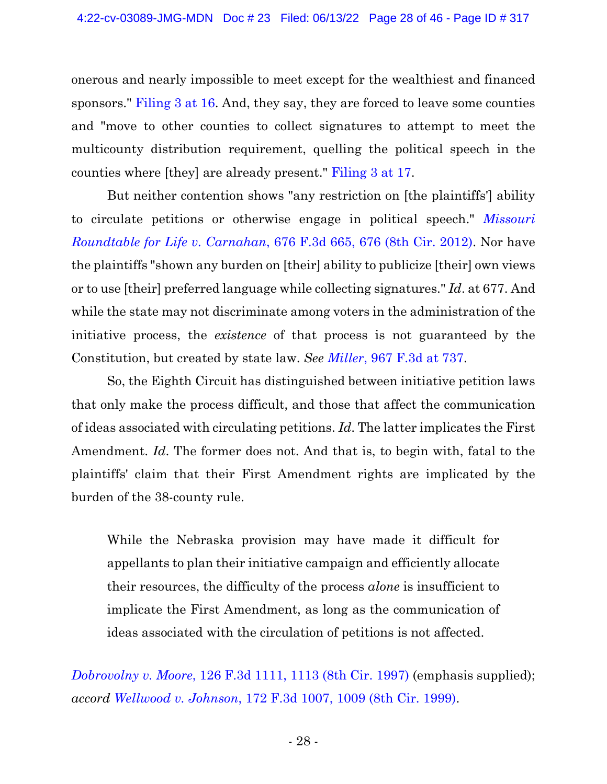onerous and nearly impossible to meet except for the wealthiest and financed sponsors." [Filing 3 at 16.](https://ecf.ned.uscourts.gov/doc1/11314956989?page=16) And, they say, they are forced to leave some counties and "move to other counties to collect signatures to attempt to meet the multicounty distribution requirement, quelling the political speech in the counties where [they] are already present." [Filing 3 at 17.](https://ecf.ned.uscourts.gov/doc1/11314956989?page=17)

But neither contention shows "any restriction on [the plaintiffs'] ability to circulate petitions or otherwise engage in political speech." *[Missouri](https://www.westlaw.com/Document/I8f258f266e8311e1be29b2facdefeebe/View/FullText.html?transitionType=Default&contextData=(sc.Default)&VR=3.0&RS=da3.0&fragmentIdentifier=co_pp_sp_506_676) [Roundtable](https://www.westlaw.com/Document/I8f258f266e8311e1be29b2facdefeebe/View/FullText.html?transitionType=Default&contextData=(sc.Default)&VR=3.0&RS=da3.0&fragmentIdentifier=co_pp_sp_506_676) for Life v. Carnahan*, 676 F.3d 665, 676 (8th Cir. 2012). Nor have the plaintiffs "shown any burden on [their] ability to publicize [their] own views or to use [their] preferred language while collecting signatures." *Id*. at 677. And while the state may not discriminate among voters in the administration of the initiative process, the *existence* of that process is not guaranteed by the Constitution, but created by state law. *See [Miller](https://www.westlaw.com/Document/I95ceea90cd4311eab502f8a91db8f87a/View/FullText.html?transitionType=Default&contextData=(sc.Default)&VR=3.0&RS=da3.0&fragmentIdentifier=co_pp_sp_506_737)*, 967 F.3d at [737.](https://www.westlaw.com/Document/I95ceea90cd4311eab502f8a91db8f87a/View/FullText.html?transitionType=Default&contextData=(sc.Default)&VR=3.0&RS=da3.0&fragmentIdentifier=co_pp_sp_506_737)

So, the Eighth Circuit has distinguished between initiative petition laws that only make the process difficult, and those that affect the communication of ideas associated with circulating petitions. *Id*. The latter implicates the First Amendment. *Id*. The former does not. And that is, to begin with, fatal to the plaintiffs' claim that their First Amendment rights are implicated by the burden of the 38-county rule.

While the Nebraska provision may have made it difficult for appellants to plan their initiative campaign and efficiently allocate their resources, the difficulty of the process *alone* is insufficient to implicate the First Amendment, as long as the communication of ideas associated with the circulation of petitions is not affected.

*[Dobrovolny](https://www.westlaw.com/Document/I0861a114942f11d993e6d35cc61aab4a/View/FullText.html?transitionType=Default&contextData=(sc.Default)&VR=3.0&RS=da3.0&fragmentIdentifier=co_pp_sp_506_1113) v. Moore*, 126 F.3d 1111, 1113 (8th Cir. [1997\)](https://www.westlaw.com/Document/I0861a114942f11d993e6d35cc61aab4a/View/FullText.html?transitionType=Default&contextData=(sc.Default)&VR=3.0&RS=da3.0&fragmentIdentifier=co_pp_sp_506_1113) (emphasis supplied); *accord [Wellwood](https://www.westlaw.com/Document/I21a67cd4949411d993e6d35cc61aab4a/View/FullText.html?transitionType=Default&contextData=(sc.Default)&VR=3.0&RS=da3.0&fragmentIdentifier=co_pp_sp_506_1009) v. Johnson*, 172 F.3d 1007, 1009 (8th Cir. [1999\).](https://www.westlaw.com/Document/I21a67cd4949411d993e6d35cc61aab4a/View/FullText.html?transitionType=Default&contextData=(sc.Default)&VR=3.0&RS=da3.0&fragmentIdentifier=co_pp_sp_506_1009)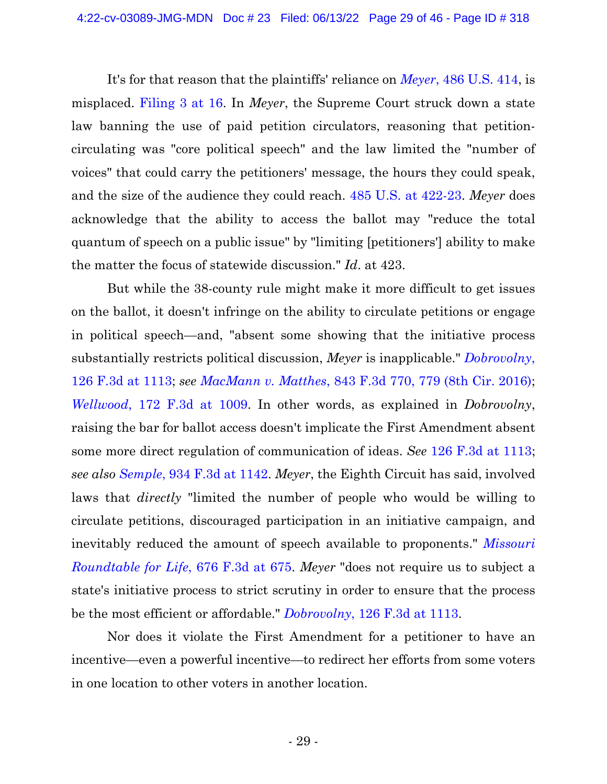It's for that reason that the plaintiffs' reliance on *[Meyer](https://www.westlaw.com/Document/Ic1d73a139c1e11d991d0cc6b54f12d4d/View/FullText.html?transitionType=Default&contextData=(sc.Default)&VR=3.0&RS=da3.0&fragmentIdentifier=co_pp_sp_780_425)*, 486 U.S. [414,](https://www.westlaw.com/Document/Ic1d73a139c1e11d991d0cc6b54f12d4d/View/FullText.html?transitionType=Default&contextData=(sc.Default)&VR=3.0&RS=da3.0&fragmentIdentifier=co_pp_sp_780_425) is misplaced. [Filing 3 at 16.](https://ecf.ned.uscourts.gov/doc1/11314956989?page=16) In *Meyer*, the Supreme Court struck down a state law banning the use of paid petition circulators, reasoning that petitioncirculating was "core political speech" and the law limited the "number of voices" that could carry the petitioners' message, the hours they could speak, and the size of the audience they could reach. 485 U.S. at [422-23.](https://www.westlaw.com/Document/Ic1dd54a19c1e11d991d0cc6b54f12d4d/View/FullText.html?transitionType=Default&contextData=(sc.Default)&VR=3.0&RS=da3.0&fragmentIdentifier=co_pp_sp_780_422) *Meyer* does acknowledge that the ability to access the ballot may "reduce the total quantum of speech on a public issue" by "limiting [petitioners'] ability to make the matter the focus of statewide discussion." *Id*. at 423.

But while the 38-county rule might make it more difficult to get issues on the ballot, it doesn't infringe on the ability to circulate petitions or engage in political speech—and, "absent some showing that the initiative process substantially restricts political discussion, *Meyer* is inapplicable." *[Dobrovolny](https://www.westlaw.com/Document/I0861a114942f11d993e6d35cc61aab4a/View/FullText.html?transitionType=Default&contextData=(sc.Default)&VR=3.0&RS=da3.0&fragmentIdentifier=co_pp_sp_506_1113)*[,](https://www.westlaw.com/Document/I0861a114942f11d993e6d35cc61aab4a/View/FullText.html?transitionType=Default&contextData=(sc.Default)&VR=3.0&RS=da3.0&fragmentIdentifier=co_pp_sp_506_1113) 126 F.3d at [1113;](https://www.westlaw.com/Document/I0861a114942f11d993e6d35cc61aab4a/View/FullText.html?transitionType=Default&contextData=(sc.Default)&VR=3.0&RS=da3.0&fragmentIdentifier=co_pp_sp_506_1113) *see [MacMann](https://www.westlaw.com/Document/I1f74ef60be7f11e6ac07a76176915fee/View/FullText.html?transitionType=Default&contextData=(sc.Default)&VR=3.0&RS=da3.0&fragmentIdentifier=co_pp_sp_506_779) v. Matthes*, 843 F.3d 770, 779 (8th Cir. [2016\);](https://www.westlaw.com/Document/I1f74ef60be7f11e6ac07a76176915fee/View/FullText.html?transitionType=Default&contextData=(sc.Default)&VR=3.0&RS=da3.0&fragmentIdentifier=co_pp_sp_506_779) *[Wellwood](https://www.westlaw.com/Document/I21a67cd4949411d993e6d35cc61aab4a/View/FullText.html?transitionType=Default&contextData=(sc.Default)&VR=3.0&RS=da3.0&fragmentIdentifier=co_pp_sp_506_1009)*, 172 F.3d at [1009.](https://www.westlaw.com/Document/I21a67cd4949411d993e6d35cc61aab4a/View/FullText.html?transitionType=Default&contextData=(sc.Default)&VR=3.0&RS=da3.0&fragmentIdentifier=co_pp_sp_506_1009) In other words, as explained in *Dobrovolny*, raising the bar for ballot access doesn't implicate the First Amendment absent some more direct regulation of communication of ideas. *See* 126 F.3d at [1113;](https://www.westlaw.com/Document/I0861a114942f11d993e6d35cc61aab4a/View/FullText.html?transitionType=Default&contextData=(sc.Default)&VR=3.0&RS=da3.0&fragmentIdentifier=co_pp_sp_506_1113) *see also [Semple](https://www.westlaw.com/Document/Idb2928a0c39211e9aec88be692101305/View/FullText.html?transitionType=Default&contextData=(sc.Default)&VR=3.0&RS=da3.0&fragmentIdentifier=co_pp_sp_506_1142)*, 934 F.3d at [1142.](https://www.westlaw.com/Document/Idb2928a0c39211e9aec88be692101305/View/FullText.html?transitionType=Default&contextData=(sc.Default)&VR=3.0&RS=da3.0&fragmentIdentifier=co_pp_sp_506_1142) *Meyer*, the Eighth Circuit has said, involved laws that *directly* "limited the number of people who would be willing to circulate petitions, discouraged participation in an initiative campaign, and inevitably reduced the amount of speech available to proponents." *[Missouri](https://www.westlaw.com/Document/I8f258f266e8311e1be29b2facdefeebe/View/FullText.html?transitionType=Default&contextData=(sc.Default)&VR=3.0&RS=da3.0&fragmentIdentifier=co_pp_sp_506_675) [Roundtable](https://www.westlaw.com/Document/I8f258f266e8311e1be29b2facdefeebe/View/FullText.html?transitionType=Default&contextData=(sc.Default)&VR=3.0&RS=da3.0&fragmentIdentifier=co_pp_sp_506_675) for Life*, 676 F.3d at 675. *Meyer* "does not require us to subject a state's initiative process to strict scrutiny in order to ensure that the process be the most efficient or affordable." *[Dobrovolny](https://www.westlaw.com/Document/I0861a114942f11d993e6d35cc61aab4a/View/FullText.html?transitionType=Default&contextData=(sc.Default)&VR=3.0&RS=da3.0&fragmentIdentifier=co_pp_sp_506_1113)*, 126 F.3d at [1113.](https://www.westlaw.com/Document/I0861a114942f11d993e6d35cc61aab4a/View/FullText.html?transitionType=Default&contextData=(sc.Default)&VR=3.0&RS=da3.0&fragmentIdentifier=co_pp_sp_506_1113)

Nor does it violate the First Amendment for a petitioner to have an incentive—even a powerful incentive—to redirect her efforts from some voters in one location to other voters in another location.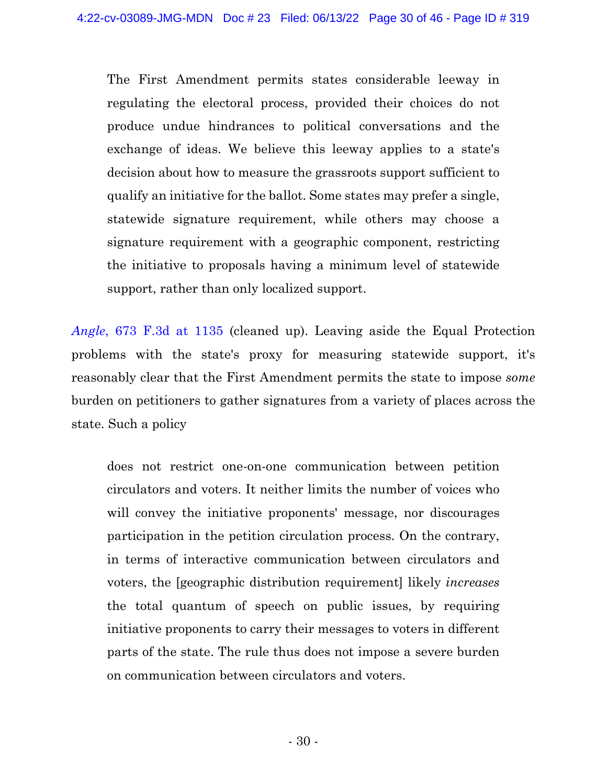The First Amendment permits states considerable leeway in regulating the electoral process, provided their choices do not produce undue hindrances to political conversations and the exchange of ideas. We believe this leeway applies to a state's decision about how to measure the grassroots support sufficient to qualify an initiative for the ballot. Some states may prefer a single, statewide signature requirement, while others may choose a signature requirement with a geographic component, restricting the initiative to proposals having a minimum level of statewide support, rather than only localized support.

*[Angle](https://www.westlaw.com/Document/I9e88d6936dbd11e1be29b2facdefeebe/View/FullText.html?transitionType=Default&contextData=(sc.Default)&VR=3.0&RS=da3.0&fragmentIdentifier=co_pp_sp_506_1135)*, 673 F.3d at [1135](https://www.westlaw.com/Document/I9e88d6936dbd11e1be29b2facdefeebe/View/FullText.html?transitionType=Default&contextData=(sc.Default)&VR=3.0&RS=da3.0&fragmentIdentifier=co_pp_sp_506_1135) (cleaned up). Leaving aside the Equal Protection problems with the state's proxy for measuring statewide support, it's reasonably clear that the First Amendment permits the state to impose *some* burden on petitioners to gather signatures from a variety of places across the state. Such a policy

does not restrict one-on-one communication between petition circulators and voters. It neither limits the number of voices who will convey the initiative proponents' message, nor discourages participation in the petition circulation process. On the contrary, in terms of interactive communication between circulators and voters, the [geographic distribution requirement] likely *increases* the total quantum of speech on public issues, by requiring initiative proponents to carry their messages to voters in different parts of the state. The rule thus does not impose a severe burden on communication between circulators and voters.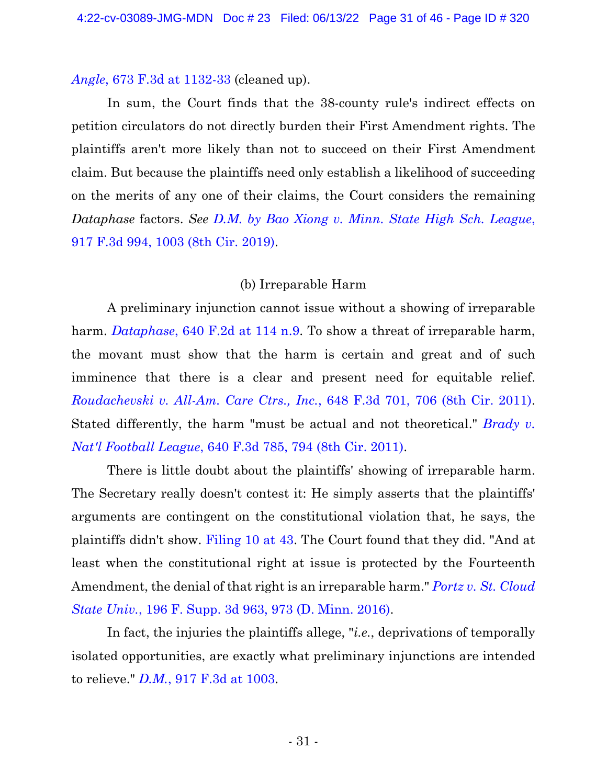#### *Angle*, 673 F.3d at [1132-33](https://www.westlaw.com/Document/I9e88d6936dbd11e1be29b2facdefeebe/View/FullText.html?transitionType=Default&contextData=(sc.Default)&VR=3.0&RS=da3.0&fragmentIdentifier=co_pp_sp_506_1132) (cleaned up).

In sum, the Court finds that the 38-county rule's indirect effects on petition circulators do not directly burden their First Amendment rights. The plaintiffs aren't more likely than not to succeed on their First Amendment claim. But because the plaintiffs need only establish a likelihood of succeeding on the merits of any one of their claims, the Court considers the remaining *Dataphase* factors. *See D.M. by Bao Xiong v. Minn. State High Sch. [League](https://www.westlaw.com/Document/I38d7a9e0402b11e99ea08308254f537e/View/FullText.html?transitionType=Default&contextData=(sc.Default)&VR=3.0&RS=da3.0&fragmentIdentifier=co_pp_sp_506_1003)*[,](https://www.westlaw.com/Document/I38d7a9e0402b11e99ea08308254f537e/View/FullText.html?transitionType=Default&contextData=(sc.Default)&VR=3.0&RS=da3.0&fragmentIdentifier=co_pp_sp_506_1003) 917 F.3d 994, 1003 (8th Cir. [2019\).](https://www.westlaw.com/Document/I38d7a9e0402b11e99ea08308254f537e/View/FullText.html?transitionType=Default&contextData=(sc.Default)&VR=3.0&RS=da3.0&fragmentIdentifier=co_pp_sp_506_1003)

## (b) Irreparable Harm

A preliminary injunction cannot issue without a showing of irreparable harm. *[Dataphase](https://www.westlaw.com/Document/I9b4ae4d0926111d993e6d35cc61aab4a/View/FullText.html?transitionType=Default&contextData=(sc.Default)&VR=3.0&RS=da3.0&fragmentIdentifier=co_pp_sp_350_114)*, 640 F.2d at 114 [n.9.](https://www.westlaw.com/Document/I9b4ae4d0926111d993e6d35cc61aab4a/View/FullText.html?transitionType=Default&contextData=(sc.Default)&VR=3.0&RS=da3.0&fragmentIdentifier=co_pp_sp_350_114) To show a threat of irreparable harm, the movant must show that the harm is certain and great and of such imminence that there is a clear and present need for equitable relief. *[Roudachevski](https://www.westlaw.com/Document/I1d967af4c1d911e093b4f77be4dcecfa/View/FullText.html?transitionType=Default&contextData=(sc.Default)&VR=3.0&RS=da3.0&fragmentIdentifier=co_pp_sp_506_706) v. All-Am. Care Ctrs., Inc.*, 648 F.3d 701, 706 (8th Cir. [2011\).](https://www.westlaw.com/Document/I1d967af4c1d911e093b4f77be4dcecfa/View/FullText.html?transitionType=Default&contextData=(sc.Default)&VR=3.0&RS=da3.0&fragmentIdentifier=co_pp_sp_506_706) Stated differently, the harm "must be actual and not theoretical." *[Brady](https://www.westlaw.com/Document/Ic3917e32808611e089b3e4fa6356f33d/View/FullText.html?transitionType=Default&contextData=(sc.Default)&VR=3.0&RS=da3.0&fragmentIdentifier=co_pp_sp_506_794) v. Nat'l [Football](https://www.westlaw.com/Document/Ic3917e32808611e089b3e4fa6356f33d/View/FullText.html?transitionType=Default&contextData=(sc.Default)&VR=3.0&RS=da3.0&fragmentIdentifier=co_pp_sp_506_794) League*, 640 F.3d 785, 794 (8th Cir. 2011).

There is little doubt about the plaintiffs' showing of irreparable harm. The Secretary really doesn't contest it: He simply asserts that the plaintiffs' arguments are contingent on the constitutional violation that, he says, the plaintiffs didn't show. [Filing 10 at 43.](https://ecf.ned.uscourts.gov/doc1/11314967650?page=43) The Court found that they did. "And at least when the constitutional right at issue is protected by the Fourteenth Amendment, the denial of that right is an irreparable harm." *Portz v. St. [Cloud](https://www.westlaw.com/Document/I42604080540611e68e80d394640dd07e/View/FullText.html?transitionType=Default&contextData=(sc.Default)&VR=3.0&RS=da3.0&fragmentIdentifier=co_pp_sp_7903_973) State Univ.*, 196 F. Supp. 3d 963, 973 (D. [Minn.](https://www.westlaw.com/Document/I42604080540611e68e80d394640dd07e/View/FullText.html?transitionType=Default&contextData=(sc.Default)&VR=3.0&RS=da3.0&fragmentIdentifier=co_pp_sp_7903_973) 2016).

In fact, the injuries the plaintiffs allege, "*i.e.*, deprivations of temporally isolated opportunities, are exactly what preliminary injunctions are intended to relieve." *[D.M.](https://www.westlaw.com/Document/I38d7a9e0402b11e99ea08308254f537e/View/FullText.html?transitionType=Default&contextData=(sc.Default)&VR=3.0&RS=da3.0&fragmentIdentifier=co_pp_sp_506_1003)*, 917 F.3d at [1003.](https://www.westlaw.com/Document/I38d7a9e0402b11e99ea08308254f537e/View/FullText.html?transitionType=Default&contextData=(sc.Default)&VR=3.0&RS=da3.0&fragmentIdentifier=co_pp_sp_506_1003)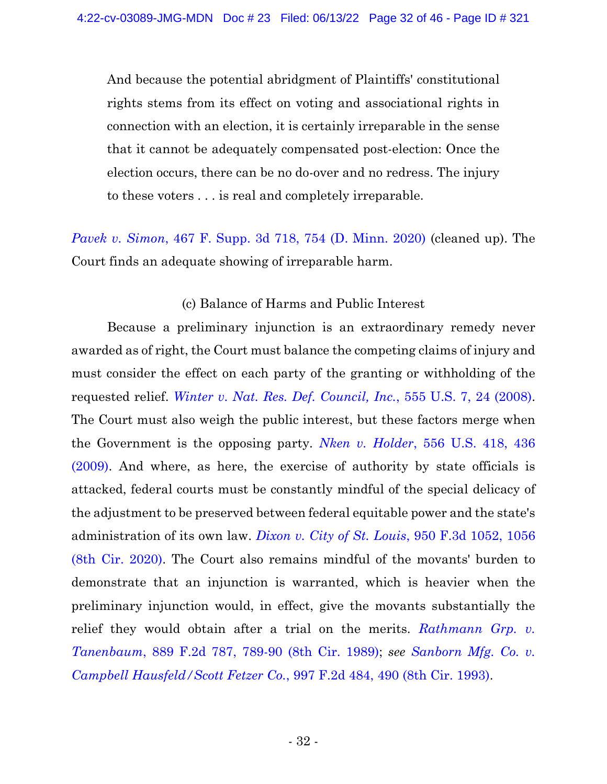And because the potential abridgment of Plaintiffs' constitutional rights stems from its effect on voting and associational rights in connection with an election, it is certainly irreparable in the sense that it cannot be adequately compensated post-election: Once the election occurs, there can be no do-over and no redress. The injury to these voters . . . is real and completely irreparable.

*Pavek v. [Simon](https://www.westlaw.com/Document/Ifc9422a0afa611eabb6d82c9ad959d07/View/FullText.html?transitionType=Default&contextData=(sc.Default)&VR=3.0&RS=da3.0&fragmentIdentifier=co_pp_sp_7903_754)*, 467 F. Supp. 3d 718, 754 (D. Minn. [2020\)](https://www.westlaw.com/Document/Ifc9422a0afa611eabb6d82c9ad959d07/View/FullText.html?transitionType=Default&contextData=(sc.Default)&VR=3.0&RS=da3.0&fragmentIdentifier=co_pp_sp_7903_754) (cleaned up). The Court finds an adequate showing of irreparable harm.

## (c) Balance of Harms and Public Interest

Because a preliminary injunction is an extraordinary remedy never awarded as of right, the Court must balance the competing claims of injury and must consider the effect on each party of the granting or withholding of the requested relief. *Winter v. Nat. Res. Def. [Council,](https://www.westlaw.com/Document/I2c2f54e6b02911ddb7e683ba170699a5/View/FullText.html?transitionType=Default&contextData=(sc.Default)&VR=3.0&RS=da3.0&fragmentIdentifier=co_pp_sp_780_24) Inc.*, 555 U.S. 7, 24 [\(2008\).](https://www.westlaw.com/Document/I2c2f54e6b02911ddb7e683ba170699a5/View/FullText.html?transitionType=Default&contextData=(sc.Default)&VR=3.0&RS=da3.0&fragmentIdentifier=co_pp_sp_780_24) The Court must also weigh the public interest, but these factors merge when the Government is the opposing party. *Nken v. [Holder](https://www.westlaw.com/Document/Id0fe62e22f3811deabded03f2b83b8a4/View/FullText.html?transitionType=Default&contextData=(sc.Default)&VR=3.0&RS=da3.0&fragmentIdentifier=co_pp_sp_780_436)*, 556 U.S. 418, 43[6](https://www.westlaw.com/Document/Id0fe62e22f3811deabded03f2b83b8a4/View/FullText.html?transitionType=Default&contextData=(sc.Default)&VR=3.0&RS=da3.0&fragmentIdentifier=co_pp_sp_780_436) [\(2009\).](https://www.westlaw.com/Document/Id0fe62e22f3811deabded03f2b83b8a4/View/FullText.html?transitionType=Default&contextData=(sc.Default)&VR=3.0&RS=da3.0&fragmentIdentifier=co_pp_sp_780_436) And where, as here, the exercise of authority by state officials is attacked, federal courts must be constantly mindful of the special delicacy of the adjustment to be preserved between federal equitable power and the state's administration of its own law. *[Dixon](https://www.westlaw.com/Document/I5912cfb05a5011eab72786abaf113578/View/FullText.html?transitionType=Default&contextData=(sc.Default)&VR=3.0&RS=da3.0&fragmentIdentifier=co_pp_sp_506_1056) v. City of St. Louis*, 950 F.3d 1052, 105[6](https://www.westlaw.com/Document/I5912cfb05a5011eab72786abaf113578/View/FullText.html?transitionType=Default&contextData=(sc.Default)&VR=3.0&RS=da3.0&fragmentIdentifier=co_pp_sp_506_1056) (8th Cir. [2020\).](https://www.westlaw.com/Document/I5912cfb05a5011eab72786abaf113578/View/FullText.html?transitionType=Default&contextData=(sc.Default)&VR=3.0&RS=da3.0&fragmentIdentifier=co_pp_sp_506_1056) The Court also remains mindful of the movants' burden to demonstrate that an injunction is warranted, which is heavier when the preliminary injunction would, in effect, give the movants substantially the relief they would obtain after a trial on the merits. *[Rathmann](https://www.westlaw.com/Document/Ib12e16d6971711d993e6d35cc61aab4a/View/FullText.html?transitionType=Default&contextData=(sc.Default)&VR=3.0&RS=da3.0&fragmentIdentifier=co_pp_sp_350_789) Grp. v. [Tanenbaum](https://www.westlaw.com/Document/Ib12e16d6971711d993e6d35cc61aab4a/View/FullText.html?transitionType=Default&contextData=(sc.Default)&VR=3.0&RS=da3.0&fragmentIdentifier=co_pp_sp_350_789)*, 889 F.2d 787, 789-90 (8th Cir. 1989); *see [Sanborn](https://www.westlaw.com/Document/I73c9b69396fa11d9bdd1cfdd544ca3a4/View/FullText.html?transitionType=Default&contextData=(sc.Default)&VR=3.0&RS=da3.0&fragmentIdentifier=co_pp_sp_350_490) Mfg. Co. v. Campbell [Hausfeld/Scott](https://www.westlaw.com/Document/I73c9b69396fa11d9bdd1cfdd544ca3a4/View/FullText.html?transitionType=Default&contextData=(sc.Default)&VR=3.0&RS=da3.0&fragmentIdentifier=co_pp_sp_350_490) Fetzer Co.*, 997 F.2d 484, 490 (8th Cir. 1993).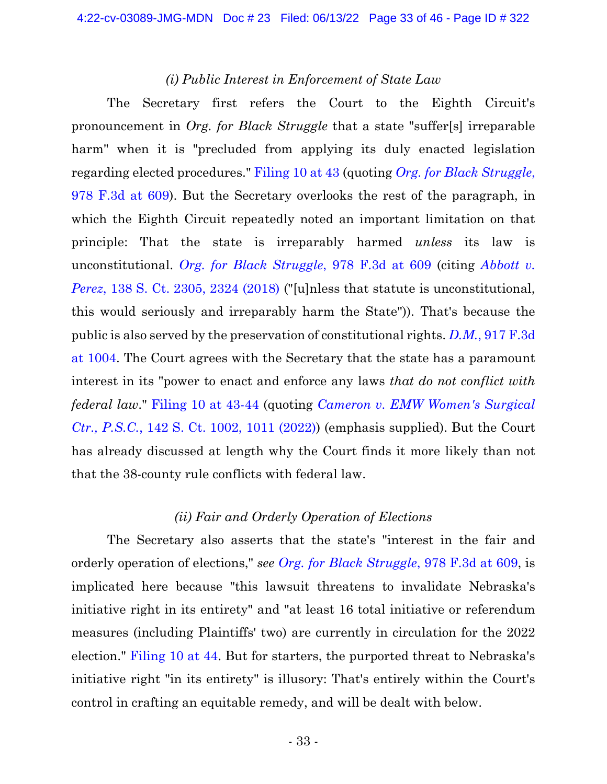#### *(i) Public Interest in Enforcement of State Law*

The Secretary first refers the Court to the Eighth Circuit's pronouncement in *Org. for Black Struggle* that a state "suffer[s] irreparable harm" when it is "precluded from applying its duly enacted legislation regarding elected procedures." [Filing 10 at 43](https://ecf.ned.uscourts.gov/doc1/11314967650?page=43) (quoting *Org. for Black [Struggle](https://www.westlaw.com/Document/I27733a3015bc11ebb0bbcfa37ab37316/View/FullText.html?transitionType=Default&contextData=(sc.Default)&VR=3.0&RS=da3.0&fragmentIdentifier=co_pp_sp_506_609)*[,](https://www.westlaw.com/Document/I27733a3015bc11ebb0bbcfa37ab37316/View/FullText.html?transitionType=Default&contextData=(sc.Default)&VR=3.0&RS=da3.0&fragmentIdentifier=co_pp_sp_506_609) 978 [F.3d](https://www.westlaw.com/Document/I27733a3015bc11ebb0bbcfa37ab37316/View/FullText.html?transitionType=Default&contextData=(sc.Default)&VR=3.0&RS=da3.0&fragmentIdentifier=co_pp_sp_506_609) at 609). But the Secretary overlooks the rest of the paragraph, in which the Eighth Circuit repeatedly noted an important limitation on that principle: That the state is irreparably harmed *unless* its law is unconstitutional. *Org. for Black [Struggle](https://www.westlaw.com/Document/I27733a3015bc11ebb0bbcfa37ab37316/View/FullText.html?transitionType=Default&contextData=(sc.Default)&VR=3.0&RS=da3.0&fragmentIdentifier=co_pp_sp_506_609)*, 978 F.3d at [609](https://www.westlaw.com/Document/I27733a3015bc11ebb0bbcfa37ab37316/View/FullText.html?transitionType=Default&contextData=(sc.Default)&VR=3.0&RS=da3.0&fragmentIdentifier=co_pp_sp_506_609) (citing *[Abbott](https://www.westlaw.com/Document/Id75dbaae787911e89a6efc60af1b5d9c/View/FullText.html?transitionType=Default&contextData=(sc.Default)&VR=3.0&RS=da3.0&fragmentIdentifier=co_pp_sp_708_2324) v. Perez*, 138 S. Ct. [2305,](https://www.westlaw.com/Document/Id75dbaae787911e89a6efc60af1b5d9c/View/FullText.html?transitionType=Default&contextData=(sc.Default)&VR=3.0&RS=da3.0&fragmentIdentifier=co_pp_sp_708_2324) 2324 [\(2018\)](https://www.westlaw.com/Document/Id75dbaae787911e89a6efc60af1b5d9c/View/FullText.html?transitionType=Default&contextData=(sc.Default)&VR=3.0&RS=da3.0&fragmentIdentifier=co_pp_sp_708_2324) ("[u]nless that statute is unconstitutional, this would seriously and irreparably harm the State")). That's because the public is also served by the preservation of constitutional rights. *[D.M.](https://www.westlaw.com/Document/I38d7a9e0402b11e99ea08308254f537e/View/FullText.html?transitionType=Default&contextData=(sc.Default)&VR=3.0&RS=da3.0&fragmentIdentifier=co_pp_sp_506_1004)*, 917 F.3[d](https://www.westlaw.com/Document/I38d7a9e0402b11e99ea08308254f537e/View/FullText.html?transitionType=Default&contextData=(sc.Default)&VR=3.0&RS=da3.0&fragmentIdentifier=co_pp_sp_506_1004) at [1004.](https://www.westlaw.com/Document/I38d7a9e0402b11e99ea08308254f537e/View/FullText.html?transitionType=Default&contextData=(sc.Default)&VR=3.0&RS=da3.0&fragmentIdentifier=co_pp_sp_506_1004) The Court agrees with the Secretary that the state has a paramount interest in its "power to enact and enforce any laws *that do not conflict with federal law*." [Filing 10 at 43-44](https://ecf.ned.uscourts.gov/doc1/11314967650?page=43) (quoting *[Cameron](https://www.westlaw.com/Document/Ie046d5279ac711ec91ad825f65050b7e/View/FullText.html?transitionType=Default&contextData=(sc.Default)&VR=3.0&RS=da3.0&fragmentIdentifier=co_pp_sp_708_1011) v. EMW Women's Surgical Ctr., [P.S.C.](https://www.westlaw.com/Document/Ie046d5279ac711ec91ad825f65050b7e/View/FullText.html?transitionType=Default&contextData=(sc.Default)&VR=3.0&RS=da3.0&fragmentIdentifier=co_pp_sp_708_1011)*, 142 S. Ct. 1002, 1011 [\(2022\)\)](https://www.westlaw.com/Document/Ie046d5279ac711ec91ad825f65050b7e/View/FullText.html?transitionType=Default&contextData=(sc.Default)&VR=3.0&RS=da3.0&fragmentIdentifier=co_pp_sp_708_1011) (emphasis supplied). But the Court has already discussed at length why the Court finds it more likely than not that the 38-county rule conflicts with federal law.

#### *(ii) Fair and Orderly Operation of Elections*

The Secretary also asserts that the state's "interest in the fair and orderly operation of elections," *see Org. for Black [Struggle](https://www.westlaw.com/Document/I27733a3015bc11ebb0bbcfa37ab37316/View/FullText.html?transitionType=Default&contextData=(sc.Default)&VR=3.0&RS=da3.0&fragmentIdentifier=co_pp_sp_506_609)*, 978 F.3d at [609,](https://www.westlaw.com/Document/I27733a3015bc11ebb0bbcfa37ab37316/View/FullText.html?transitionType=Default&contextData=(sc.Default)&VR=3.0&RS=da3.0&fragmentIdentifier=co_pp_sp_506_609) is implicated here because "this lawsuit threatens to invalidate Nebraska's initiative right in its entirety" and "at least 16 total initiative or referendum measures (including Plaintiffs' two) are currently in circulation for the 2022 election." [Filing 10 at 44.](https://ecf.ned.uscourts.gov/doc1/11314967650?page=44) But for starters, the purported threat to Nebraska's initiative right "in its entirety" is illusory: That's entirely within the Court's control in crafting an equitable remedy, and will be dealt with below.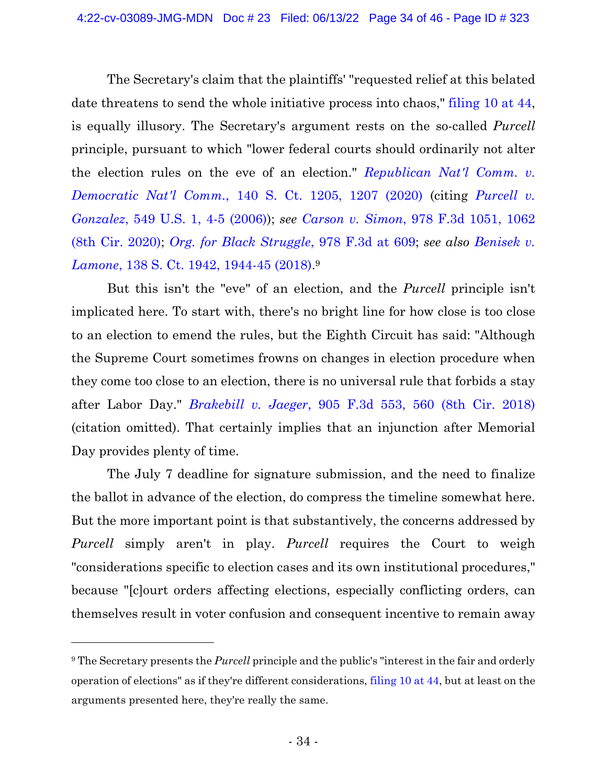The Secretary's claim that the plaintiffs' "requested relief at this belated date threatens to send the whole initiative process into chaos," [filing 10 at 44,](https://ecf.ned.uscourts.gov/doc1/11314967650?page=44) is equally illusory. The Secretary's argument rests on the so-called *Purcell* principle, pursuant to which "lower federal courts should ordinarily not alter the election rules on the eve of an election." *[Republican](https://www.westlaw.com/Document/I46ff04e5781711eaa154dedcbee99b91/View/FullText.html?transitionType=Default&contextData=(sc.Default)&VR=3.0&RS=da3.0&fragmentIdentifier=co_pp_sp_708_1207) Nat'l Comm. v. Democratic Nat'l Comm.*, 140 S. Ct. 1205, [1207 \(2020\)](https://www.westlaw.com/Document/I46ff04e5781711eaa154dedcbee99b91/View/FullText.html?transitionType=Default&contextData=(sc.Default)&VR=3.0&RS=da3.0&fragmentIdentifier=co_pp_sp_708_1207) (citing *[Purcell](https://www.westlaw.com/Document/I06aac020602d11dbb38df5bc58c34d92/View/FullText.html?transitionType=Default&contextData=(sc.Default)&VR=3.0&RS=da3.0&fragmentIdentifier=co_pp_sp_780_4) v. [Gonzalez](https://www.westlaw.com/Document/I06aac020602d11dbb38df5bc58c34d92/View/FullText.html?transitionType=Default&contextData=(sc.Default)&VR=3.0&RS=da3.0&fragmentIdentifier=co_pp_sp_780_4)*, 549 U.S. 1, 4-5 (2006)); *see [Carson](https://www.westlaw.com/Document/I77323e701a4111ebb0bbcfa37ab37316/View/FullText.html?transitionType=Default&contextData=(sc.Default)&VR=3.0&RS=da3.0&fragmentIdentifier=co_pp_sp_506_1062) v. Simon*, 978 F.3d 1051, 106[2](https://www.westlaw.com/Document/I77323e701a4111ebb0bbcfa37ab37316/View/FullText.html?transitionType=Default&contextData=(sc.Default)&VR=3.0&RS=da3.0&fragmentIdentifier=co_pp_sp_506_1062) (8th Cir. [2020\);](https://www.westlaw.com/Document/I77323e701a4111ebb0bbcfa37ab37316/View/FullText.html?transitionType=Default&contextData=(sc.Default)&VR=3.0&RS=da3.0&fragmentIdentifier=co_pp_sp_506_1062) *Org. for Black [Struggle](https://www.westlaw.com/Document/I27733a3015bc11ebb0bbcfa37ab37316/View/FullText.html?transitionType=Default&contextData=(sc.Default)&VR=3.0&RS=da3.0&fragmentIdentifier=co_pp_sp_506_609)*, 978 F.3d at [609;](https://www.westlaw.com/Document/I27733a3015bc11ebb0bbcfa37ab37316/View/FullText.html?transitionType=Default&contextData=(sc.Default)&VR=3.0&RS=da3.0&fragmentIdentifier=co_pp_sp_506_609) *see also [Benisek v.](https://www.westlaw.com/Document/Ic98f990272dd11e89d59c04243316042/View/FullText.html?transitionType=Default&contextData=(sc.Default)&VR=3.0&RS=da3.0&fragmentIdentifier=co_pp_sp_708_1944)  Lamone*[, 138 S. Ct. 1942, 1944-45 \(2018\).](https://www.westlaw.com/Document/Ic98f990272dd11e89d59c04243316042/View/FullText.html?transitionType=Default&contextData=(sc.Default)&VR=3.0&RS=da3.0&fragmentIdentifier=co_pp_sp_708_1944) 9

But this isn't the "eve" of an election, and the *Purcell* principle isn't implicated here. To start with, there's no bright line for how close is too close to an election to emend the rules, but the Eighth Circuit has said: "Although the Supreme Court sometimes frowns on changes in election procedure when they come too close to an election, there is no universal rule that forbids a stay after Labor Day." *[Brakebill](https://www.westlaw.com/Document/Id0f7b8b0c03711e8b1cdeab7e1f6f07a/View/FullText.html?transitionType=Default&contextData=(sc.Default)&VR=3.0&RS=da3.0&fragmentIdentifier=co_pp_sp_506_560) v. Jaeger*, 905 F.3d 553, 560 (8th Cir. [2018\)](https://www.westlaw.com/Document/Id0f7b8b0c03711e8b1cdeab7e1f6f07a/View/FullText.html?transitionType=Default&contextData=(sc.Default)&VR=3.0&RS=da3.0&fragmentIdentifier=co_pp_sp_506_560) (citation omitted). That certainly implies that an injunction after Memorial Day provides plenty of time.

The July 7 deadline for signature submission, and the need to finalize the ballot in advance of the election, do compress the timeline somewhat here. But the more important point is that substantively, the concerns addressed by *Purcell* simply aren't in play. *Purcell* requires the Court to weigh "considerations specific to election cases and its own institutional procedures," because "[c]ourt orders affecting elections, especially conflicting orders, can themselves result in voter confusion and consequent incentive to remain away

<sup>9</sup> The Secretary presents the *Purcell* principle and the public's "interest in the fair and orderly operation of elections" as if they're different considerations, [filing 10 at 44,](https://ecf.ned.uscourts.gov/doc1/11314967650?page=44) but at least on the arguments presented here, they're really the same.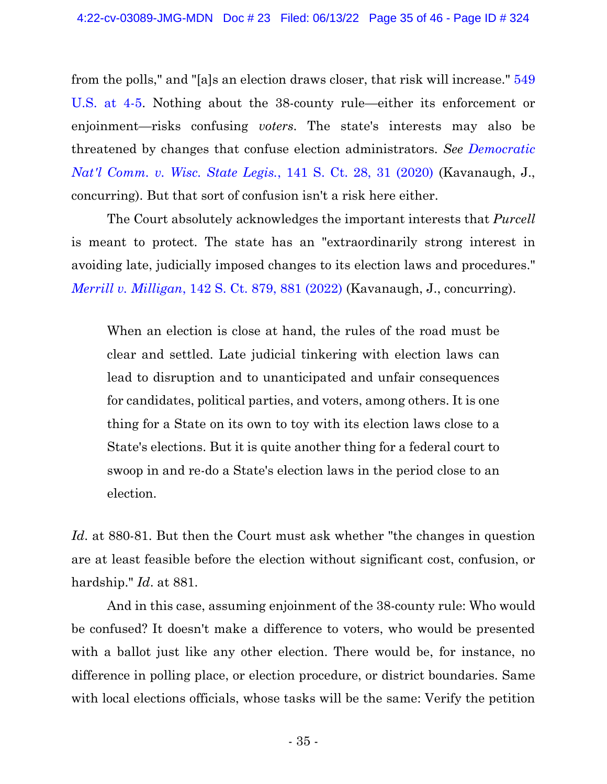from the polls," and "[a]s an election draws closer, that risk will increase." [549](https://1.next.westlaw.com/Document/I06aac020602d11dbb38df5bc58c34d92/View/FullText.html?transitionType=Default&contextData=(oc.Default))  [U.S. at 4-5.](https://1.next.westlaw.com/Document/I06aac020602d11dbb38df5bc58c34d92/View/FullText.html?transitionType=Default&contextData=(oc.Default)) Nothing about the 38-county rule—either its enforcement or enjoinment—risks confusing *voters*. The state's interests may also be threatened by changes that confuse election administrators. *See [Democratic](https://www.westlaw.com/Document/I78b7c338177a11ebbea4f0dc9fb69570/View/FullText.html?transitionType=Default&contextData=(sc.Default)&VR=3.0&RS=da3.0&fragmentIdentifier=co_pp_sp_708_31) Nat'l [Comm.](https://www.westlaw.com/Document/I78b7c338177a11ebbea4f0dc9fb69570/View/FullText.html?transitionType=Default&contextData=(sc.Default)&VR=3.0&RS=da3.0&fragmentIdentifier=co_pp_sp_708_31) v. Wisc. State Legis.*, 141 S. Ct. 28, 31 (2020) (Kavanaugh, J., concurring). But that sort of confusion isn't a risk here either.

The Court absolutely acknowledges the important interests that *Purcell* is meant to protect. The state has an "extraordinarily strong interest in avoiding late, judicially imposed changes to its election laws and procedures." *Merrill v. [Milligan](https://www.westlaw.com/Document/I361f7b8e43b011ec9f24ec7b211d8087/View/FullText.html?transitionType=Default&contextData=(sc.Default)&VR=3.0&RS=da3.0&fragmentIdentifier=co_pp_sp_708_881)*, 142 S. Ct. 879, 881 [\(2022\)](https://www.westlaw.com/Document/I361f7b8e43b011ec9f24ec7b211d8087/View/FullText.html?transitionType=Default&contextData=(sc.Default)&VR=3.0&RS=da3.0&fragmentIdentifier=co_pp_sp_708_881) (Kavanaugh, J., concurring).

When an election is close at hand, the rules of the road must be clear and settled. Late judicial tinkering with election laws can lead to disruption and to unanticipated and unfair consequences for candidates, political parties, and voters, among others. It is one thing for a State on its own to toy with its election laws close to a State's elections. But it is quite another thing for a federal court to swoop in and re-do a State's election laws in the period close to an election.

*Id*. at 880-81. But then the Court must ask whether "the changes in question are at least feasible before the election without significant cost, confusion, or hardship." *Id*. at 881.

And in this case, assuming enjoinment of the 38-county rule: Who would be confused? It doesn't make a difference to voters, who would be presented with a ballot just like any other election. There would be, for instance, no difference in polling place, or election procedure, or district boundaries. Same with local elections officials, whose tasks will be the same: Verify the petition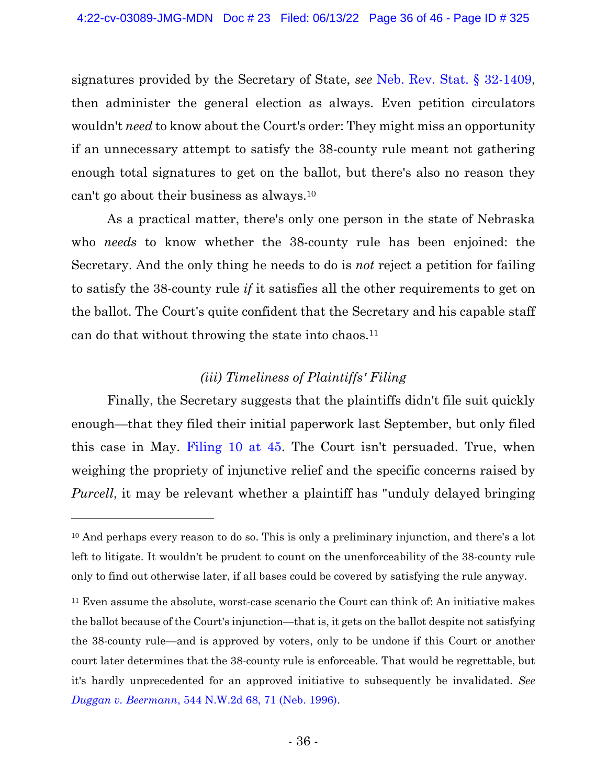signatures provided by the Secretary of State, *see* [Neb. Rev. Stat. § 32-1409,](https://www.westlaw.com/Document/N04142A00B73911E984D7E0BA3B3EAB3B/View/FullText.html?transitionType=Default&contextData=(sc.Default)&VR=3.0&RS=da3.0) then administer the general election as always. Even petition circulators wouldn't *need* to know about the Court's order: They might miss an opportunity if an unnecessary attempt to satisfy the 38-county rule meant not gathering enough total signatures to get on the ballot, but there's also no reason they can't go about their business as always.<sup>10</sup>

As a practical matter, there's only one person in the state of Nebraska who *needs* to know whether the 38-county rule has been enjoined: the Secretary. And the only thing he needs to do is *not* reject a petition for failing to satisfy the 38-county rule *if* it satisfies all the other requirements to get on the ballot. The Court's quite confident that the Secretary and his capable staff can do that without throwing the state into chaos.<sup>11</sup>

# *(iii) Timeliness of Plaintiffs' Filing*

Finally, the Secretary suggests that the plaintiffs didn't file suit quickly enough—that they filed their initial paperwork last September, but only filed this case in May. [Filing 10 at 45.](https://ecf.ned.uscourts.gov/doc1/11314967650?page=45) The Court isn't persuaded. True, when weighing the propriety of injunctive relief and the specific concerns raised by *Purcell*, it may be relevant whether a plaintiff has "unduly delayed bringing

<sup>&</sup>lt;sup>10</sup> And perhaps every reason to do so. This is only a preliminary injunction, and there's a lot left to litigate. It wouldn't be prudent to count on the unenforceability of the 38-county rule only to find out otherwise later, if all bases could be covered by satisfying the rule anyway.

<sup>11</sup> Even assume the absolute, worst-case scenario the Court can think of: An initiative makes the ballot because of the Court's injunction—that is, it gets on the ballot despite not satisfying the 38-county rule—and is approved by voters, only to be undone if this Court or another court later determines that the 38-county rule is enforceable. That would be regrettable, but it's hardly unprecedented for an approved initiative to subsequently be invalidated. *See [Duggan v. Beermann](https://www.westlaw.com/Document/I5c975f69ff4911d98ac8f235252e36df/View/FullText.html?transitionType=Default&contextData=(sc.Default)&VR=3.0&RS=da3.0&fragmentIdentifier=co_pp_sp_595_71)*[, 544 N.W.2d 68, 71 \(Neb. 1996\).](https://www.westlaw.com/Document/I5c975f69ff4911d98ac8f235252e36df/View/FullText.html?transitionType=Default&contextData=(sc.Default)&VR=3.0&RS=da3.0&fragmentIdentifier=co_pp_sp_595_71)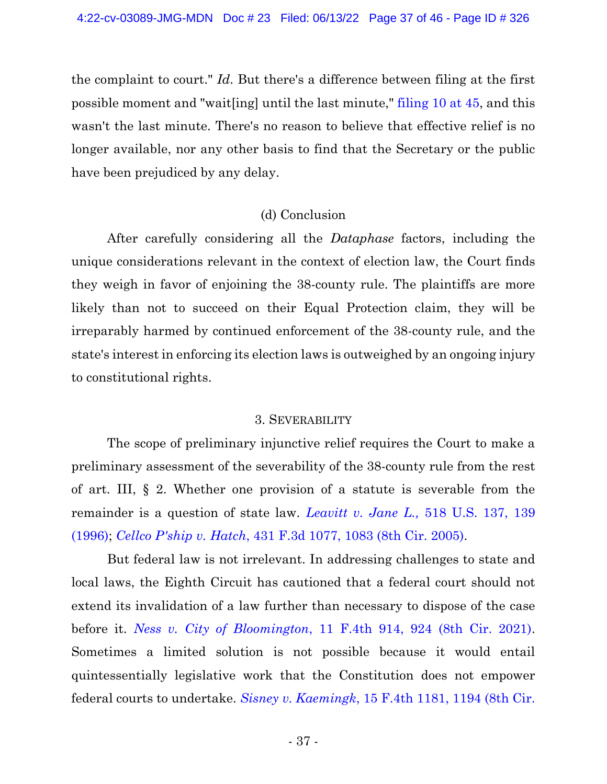the complaint to court." *Id*. But there's a difference between filing at the first possible moment and "wait[ing] until the last minute," [filing 10 at 45,](https://ecf.ned.uscourts.gov/doc1/11314967650?page=45) and this wasn't the last minute. There's no reason to believe that effective relief is no longer available, nor any other basis to find that the Secretary or the public have been prejudiced by any delay.

## (d) Conclusion

After carefully considering all the *Dataphase* factors, including the unique considerations relevant in the context of election law, the Court finds they weigh in favor of enjoining the 38-county rule. The plaintiffs are more likely than not to succeed on their Equal Protection claim, they will be irreparably harmed by continued enforcement of the 38-county rule, and the state's interest in enforcing its election laws is outweighed by an ongoing injury to constitutional rights.

## 3. SEVERABILITY

The scope of preliminary injunctive relief requires the Court to make a preliminary assessment of the severability of the 38-county rule from the rest of art. III, § 2. Whether one provision of a statute is severable from the remainder is a question of state law. *[Leavitt v. Jane L.,](https://www.westlaw.com/Document/I38fdef479c4611d991d0cc6b54f12d4d/View/FullText.html?transitionType=Default&contextData=(sc.Default)&VR=3.0&RS=da3.0&fragmentIdentifier=co_pp_sp_780_139)* [518 U.S. 137, 139](https://www.westlaw.com/Document/I38fdef479c4611d991d0cc6b54f12d4d/View/FullText.html?transitionType=Default&contextData=(sc.Default)&VR=3.0&RS=da3.0&fragmentIdentifier=co_pp_sp_780_139)  [\(1996\);](https://www.westlaw.com/Document/I38fdef479c4611d991d0cc6b54f12d4d/View/FullText.html?transitionType=Default&contextData=(sc.Default)&VR=3.0&RS=da3.0&fragmentIdentifier=co_pp_sp_780_139) *[Cellco P'ship v. Hatch](https://www.westlaw.com/Document/I96c36ae268cb11da9cfda9de91273d56/View/FullText.html?transitionType=Default&contextData=(sc.Default)&VR=3.0&RS=da3.0&fragmentIdentifier=co_pp_sp_506_1083)*[, 431 F.3d 1077, 1083 \(8th Cir. 2005\).](https://www.westlaw.com/Document/I96c36ae268cb11da9cfda9de91273d56/View/FullText.html?transitionType=Default&contextData=(sc.Default)&VR=3.0&RS=da3.0&fragmentIdentifier=co_pp_sp_506_1083)

But federal law is not irrelevant. In addressing challenges to state and local laws, the Eighth Circuit has cautioned that a federal court should not extend its invalidation of a law further than necessary to dispose of the case before it. *[Ness v. City of Bloomington](https://www.westlaw.com/Document/I679d4cc00c0311ecb72ce2c86e84f35e/View/FullText.html?transitionType=Default&contextData=(sc.Default)&VR=3.0&RS=da3.0&fragmentIdentifier=co_pp_sp_8173_924)*[, 11 F.4th 914, 924 \(8th Cir. 2021\).](https://www.westlaw.com/Document/I679d4cc00c0311ecb72ce2c86e84f35e/View/FullText.html?transitionType=Default&contextData=(sc.Default)&VR=3.0&RS=da3.0&fragmentIdentifier=co_pp_sp_8173_924) Sometimes a limited solution is not possible because it would entail quintessentially legislative work that the Constitution does not empower federal courts to undertake. *Sisney v. Kaemingk*[, 15 F.4th 1181, 1194 \(8th Cir.](https://www.westlaw.com/Document/Iaf6aa130305f11ec942aeddc9ab46cc4/View/FullText.html?transitionType=Default&contextData=(sc.Default)&VR=3.0&RS=da3.0&fragmentIdentifier=co_pp_sp_8173_1194)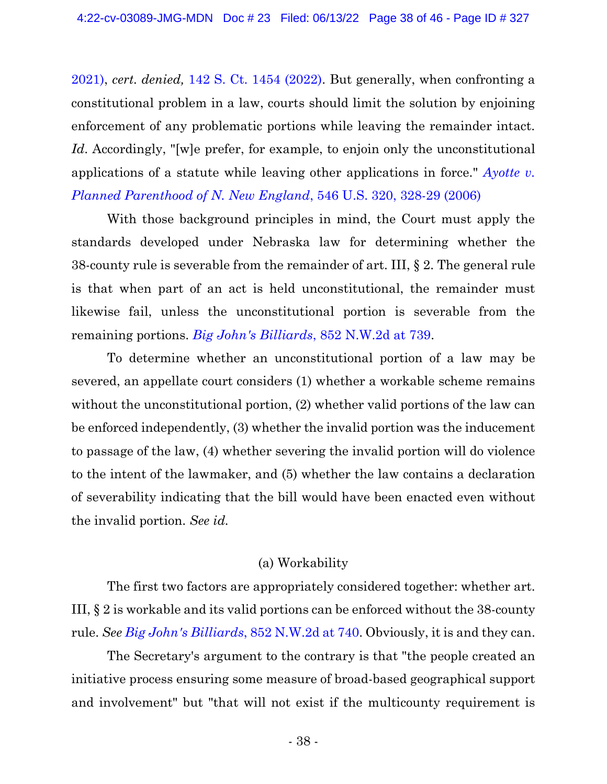[2021\),](https://www.westlaw.com/Document/Iaf6aa130305f11ec942aeddc9ab46cc4/View/FullText.html?transitionType=Default&contextData=(sc.Default)&VR=3.0&RS=da3.0&fragmentIdentifier=co_pp_sp_8173_1194) *cert. denied,* [142 S. Ct. 1454 \(2022\).](https://www.westlaw.com/Link/Document/FullText?cite=142SCT1454&VR=3.0&RS=da3.0) But generally, when confronting a constitutional problem in a law, courts should limit the solution by enjoining enforcement of any problematic portions while leaving the remainder intact. Id. Accordingly, "[w]e prefer, for example, to enjoin only the unconstitutional applications of a statute while leaving other applications in force." *[Ayotte v.](https://www.westlaw.com/Document/I08d988bc883111daa20eccddde63d628/View/FullText.html?transitionType=Default&contextData=(sc.Default)&VR=3.0&RS=da3.0&fragmentIdentifier=co_pp_sp_780_328)  [Planned Parenthood of N. New England](https://www.westlaw.com/Document/I08d988bc883111daa20eccddde63d628/View/FullText.html?transitionType=Default&contextData=(sc.Default)&VR=3.0&RS=da3.0&fragmentIdentifier=co_pp_sp_780_328)*, 546 U.S. 320, 328-29 (2006)

With those background principles in mind, the Court must apply the standards developed under Nebraska law for determining whether the 38-county rule is severable from the remainder of art. III, § 2. The general rule is that when part of an act is held unconstitutional, the remainder must likewise fail, unless the unconstitutional portion is severable from the remaining portions. *[Big John's Billiards](https://www.westlaw.com/Document/Ieca0ac702f8b11e489308629818ada2c/View/FullText.html?transitionType=Default&contextData=(sc.Default)&VR=3.0&RS=da3.0&fragmentIdentifier=co_pp_sp_595_739)*[, 852 N.W.2d at 739.](https://www.westlaw.com/Document/Ieca0ac702f8b11e489308629818ada2c/View/FullText.html?transitionType=Default&contextData=(sc.Default)&VR=3.0&RS=da3.0&fragmentIdentifier=co_pp_sp_595_739)

To determine whether an unconstitutional portion of a law may be severed, an appellate court considers (1) whether a workable scheme remains without the unconstitutional portion, (2) whether valid portions of the law can be enforced independently, (3) whether the invalid portion was the inducement to passage of the law, (4) whether severing the invalid portion will do violence to the intent of the lawmaker, and (5) whether the law contains a declaration of severability indicating that the bill would have been enacted even without the invalid portion. *See id.*

# (a) Workability

The first two factors are appropriately considered together: whether art. III, § 2 is workable and its valid portions can be enforced without the 38-county rule. *See [Big John's Billiards](https://www.westlaw.com/Document/Ieca0ac702f8b11e489308629818ada2c/View/FullText.html?transitionType=Default&contextData=(sc.Default)&VR=3.0&RS=da3.0&fragmentIdentifier=co_pp_sp_595_740)*, 852 N.W.2d at [740.](https://www.westlaw.com/Document/Ieca0ac702f8b11e489308629818ada2c/View/FullText.html?transitionType=Default&contextData=(sc.Default)&VR=3.0&RS=da3.0&fragmentIdentifier=co_pp_sp_595_740) Obviously, it is and they can.

The Secretary's argument to the contrary is that "the people created an initiative process ensuring some measure of broad-based geographical support and involvement" but "that will not exist if the multicounty requirement is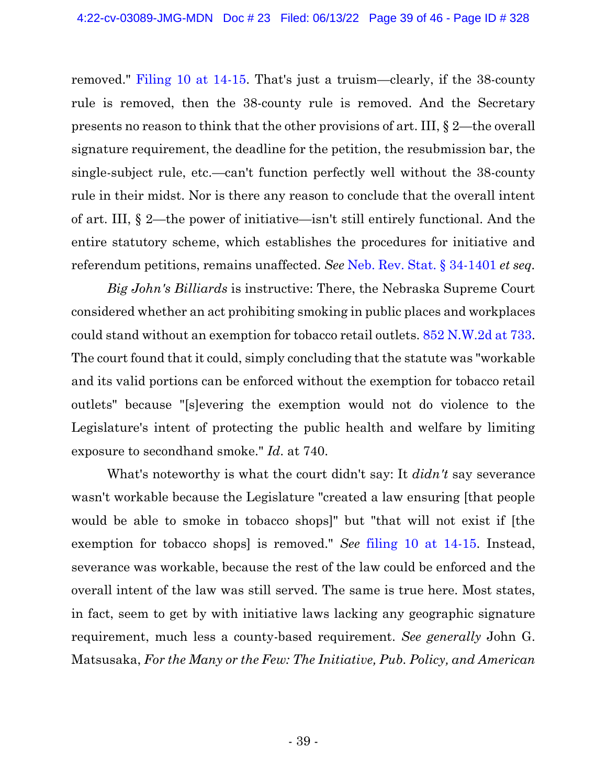removed." [Filing 10 at 14-15.](https://ecf.ned.uscourts.gov/doc1/11314967650?page=14) That's just a truism—clearly, if the 38-county rule is removed, then the 38-county rule is removed. And the Secretary presents no reason to think that the other provisions of art. III, § 2—the overall signature requirement, the deadline for the petition, the resubmission bar, the single-subject rule, etc.—can't function perfectly well without the 38-county rule in their midst. Nor is there any reason to conclude that the overall intent of art. III, § 2—the power of initiative—isn't still entirely functional. And the entire statutory scheme, which establishes the procedures for initiative and referendum petitions, remains unaffected. *See* [Neb. Rev. Stat. § 34-1401](https://www.westlaw.com/Document/N618B5D80AEC411DEA0C8A10D09B7A847/View/FullText.html?transitionType=Default&contextData=(sc.Default)&VR=3.0&RS=cblt1.0) *et seq.*

*Big John's Billiards* is instructive: There, the Nebraska Supreme Court considered whether an act prohibiting smoking in public places and workplaces could stand without an exemption for tobacco retail outlets. [852 N.W.2d at 733.](https://www.westlaw.com/Document/Ieca0ac702f8b11e489308629818ada2c/View/FullText.html?transitionType=Default&contextData=(sc.Default)&VR=3.0&RS=da3.0&fragmentIdentifier=co_pp_sp_595_733) The court found that it could, simply concluding that the statute was "workable and its valid portions can be enforced without the exemption for tobacco retail outlets" because "[s]evering the exemption would not do violence to the Legislature's intent of protecting the public health and welfare by limiting exposure to secondhand smoke." *Id*. at 740.

What's noteworthy is what the court didn't say: It *didn't* say severance wasn't workable because the Legislature "created a law ensuring [that people would be able to smoke in tobacco shops]" but "that will not exist if [the exemption for tobacco shops] is removed." *See* [filing 10 at 14-15.](https://ecf.ned.uscourts.gov/doc1/11314967650?page=14) Instead, severance was workable, because the rest of the law could be enforced and the overall intent of the law was still served. The same is true here. Most states, in fact, seem to get by with initiative laws lacking any geographic signature requirement, much less a county-based requirement. *See generally* John G. Matsusaka, *For the Many or the Few: The Initiative, Pub. Policy, and American*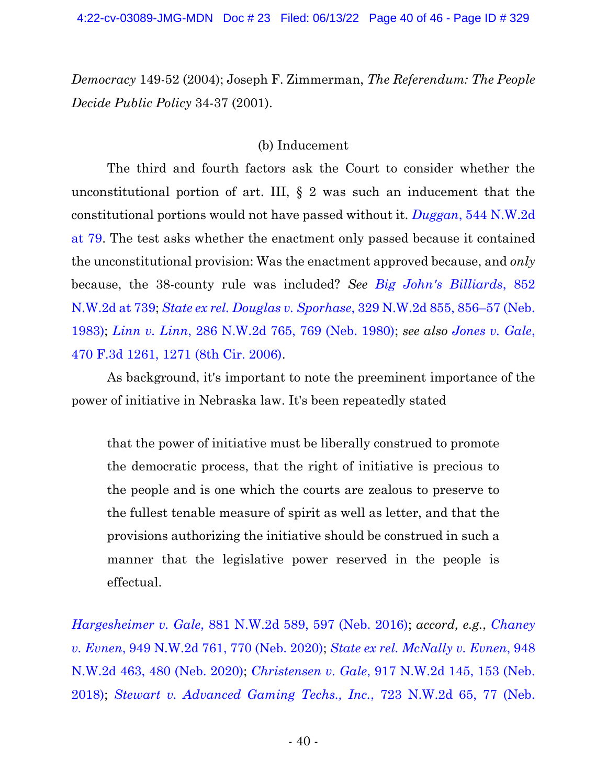*Democracy* 149-52 (2004); Joseph F. Zimmerman, *The Referendum: The People Decide Public Policy* 34-37 (2001).

#### (b) Inducement

The third and fourth factors ask the Court to consider whether the unconstitutional portion of art. III, § 2 was such an inducement that the constitutional portions would not have passed without it. *Duggan*[, 544 N.W.2d](https://www.westlaw.com/Document/I5c975f69ff4911d98ac8f235252e36df/View/FullText.html?transitionType=Default&contextData=(sc.Default)&VR=3.0&RS=cblt1.0)  [at 79.](https://www.westlaw.com/Document/I5c975f69ff4911d98ac8f235252e36df/View/FullText.html?transitionType=Default&contextData=(sc.Default)&VR=3.0&RS=cblt1.0) The test asks whether the enactment only passed because it contained the unconstitutional provision: Was the enactment approved because, and *only* because, the 38-county rule was included? *See [Big John's Billiards](https://www.westlaw.com/Document/Ieca0ac702f8b11e489308629818ada2c/View/FullText.html?transitionType=Default&contextData=(sc.Default)&VR=3.0&RS=da3.0&fragmentIdentifier=co_pp_sp_595_739)*[, 852](https://www.westlaw.com/Document/Ieca0ac702f8b11e489308629818ada2c/View/FullText.html?transitionType=Default&contextData=(sc.Default)&VR=3.0&RS=da3.0&fragmentIdentifier=co_pp_sp_595_739)  [N.W.2d at 739;](https://www.westlaw.com/Document/Ieca0ac702f8b11e489308629818ada2c/View/FullText.html?transitionType=Default&contextData=(sc.Default)&VR=3.0&RS=da3.0&fragmentIdentifier=co_pp_sp_595_739) *[State ex rel. Douglas v. Sporhase](https://www.westlaw.com/Document/I8157e181fe9611d9b386b232635db992/View/FullText.html?transitionType=Default&contextData=(sc.Default)&VR=3.0&RS=da3.0&fragmentIdentifier=co_pp_sp_595_856)*, 329 N.W.2d 855, 856–[57 \(Neb.](https://www.westlaw.com/Document/I8157e181fe9611d9b386b232635db992/View/FullText.html?transitionType=Default&contextData=(sc.Default)&VR=3.0&RS=da3.0&fragmentIdentifier=co_pp_sp_595_856)  [1983\);](https://www.westlaw.com/Document/I8157e181fe9611d9b386b232635db992/View/FullText.html?transitionType=Default&contextData=(sc.Default)&VR=3.0&RS=da3.0&fragmentIdentifier=co_pp_sp_595_856) *[Linn v. Linn](https://www.westlaw.com/Document/I1238c9b2fe8411d9bf60c1d57ebc853e/View/FullText.html?transitionType=Default&contextData=(sc.Default)&VR=3.0&RS=da3.0&fragmentIdentifier=co_pp_sp_595_769)*[, 286 N.W.2d 765, 769 \(Neb. 1980\);](https://www.westlaw.com/Document/I1238c9b2fe8411d9bf60c1d57ebc853e/View/FullText.html?transitionType=Default&contextData=(sc.Default)&VR=3.0&RS=da3.0&fragmentIdentifier=co_pp_sp_595_769) *see also [Jones v. Gale](https://www.westlaw.com/Document/I62e300878ad611dba10be1078cee05f1/View/FullText.html?transitionType=Default&contextData=(sc.Default)&VR=3.0&RS=da3.0&fragmentIdentifier=co_pp_sp_506_1271)*[,](https://www.westlaw.com/Document/I62e300878ad611dba10be1078cee05f1/View/FullText.html?transitionType=Default&contextData=(sc.Default)&VR=3.0&RS=da3.0&fragmentIdentifier=co_pp_sp_506_1271)  [470 F.3d 1261, 1271 \(8th Cir. 2006\).](https://www.westlaw.com/Document/I62e300878ad611dba10be1078cee05f1/View/FullText.html?transitionType=Default&contextData=(sc.Default)&VR=3.0&RS=da3.0&fragmentIdentifier=co_pp_sp_506_1271)

As background, it's important to note the preeminent importance of the power of initiative in Nebraska law. It's been repeatedly stated

that the power of initiative must be liberally construed to promote the democratic process, that the right of initiative is precious to the people and is one which the courts are zealous to preserve to the fullest tenable measure of spirit as well as letter, and that the provisions authorizing the initiative should be construed in such a manner that the legislative power reserved in the people is effectual.

*[Hargesheimer v. Gale](https://www.westlaw.com/Document/Ib4f203b0451811e687dda03c2315206d/View/FullText.html?transitionType=Default&contextData=(sc.Default)&VR=3.0&RS=da3.0&fragmentIdentifier=co_pp_sp_595_597)*[, 881 N.W.2d 589, 597 \(Neb. 2016\);](https://www.westlaw.com/Document/Ib4f203b0451811e687dda03c2315206d/View/FullText.html?transitionType=Default&contextData=(sc.Default)&VR=3.0&RS=da3.0&fragmentIdentifier=co_pp_sp_595_597) *accord, e.g.*, *[Chaney](https://www.westlaw.com/Document/Id9db0de00fd311eba9128435efc93e75/View/FullText.html?transitionType=Default&contextData=(sc.Default)&VR=3.0&RS=da3.0&fragmentIdentifier=co_pp_sp_595_770)  [v. Evnen](https://www.westlaw.com/Document/Id9db0de00fd311eba9128435efc93e75/View/FullText.html?transitionType=Default&contextData=(sc.Default)&VR=3.0&RS=da3.0&fragmentIdentifier=co_pp_sp_595_770)*[, 949 N.W.2d 761, 770 \(Neb. 2020\);](https://www.westlaw.com/Document/Id9db0de00fd311eba9128435efc93e75/View/FullText.html?transitionType=Default&contextData=(sc.Default)&VR=3.0&RS=da3.0&fragmentIdentifier=co_pp_sp_595_770) *[State ex rel. McNally v. Evnen](https://www.westlaw.com/Document/Ic97e4d50f69111ea8795a045e29a2a7b/View/FullText.html?transitionType=Default&contextData=(sc.Default)&VR=3.0&RS=da3.0&fragmentIdentifier=co_pp_sp_595_480)*[, 948](https://www.westlaw.com/Document/Ic97e4d50f69111ea8795a045e29a2a7b/View/FullText.html?transitionType=Default&contextData=(sc.Default)&VR=3.0&RS=da3.0&fragmentIdentifier=co_pp_sp_595_480)  [N.W.2d 463, 480 \(Neb. 2020\);](https://www.westlaw.com/Document/Ic97e4d50f69111ea8795a045e29a2a7b/View/FullText.html?transitionType=Default&contextData=(sc.Default)&VR=3.0&RS=da3.0&fragmentIdentifier=co_pp_sp_595_480) *Christensen v. Gale*[, 917 N.W.2d 145, 153 \(Neb.](https://www.westlaw.com/Document/Ife33a030b6a711e8afcec29e181e0751/View/FullText.html?transitionType=Default&contextData=(sc.Default)&VR=3.0&RS=da3.0&fragmentIdentifier=co_pp_sp_595_153)  [2018\);](https://www.westlaw.com/Document/Ife33a030b6a711e8afcec29e181e0751/View/FullText.html?transitionType=Default&contextData=(sc.Default)&VR=3.0&RS=da3.0&fragmentIdentifier=co_pp_sp_595_153) *[Stewart v. Advanced Gaming Techs., Inc.](https://www.westlaw.com/Document/Ib9d7055165c911db8af7b21dc878c125/View/FullText.html?transitionType=Default&contextData=(sc.Default)&VR=3.0&RS=da3.0&fragmentIdentifier=co_pp_sp_595_77)*[, 723 N.W.2d 65, 77 \(Neb.](https://www.westlaw.com/Document/Ib9d7055165c911db8af7b21dc878c125/View/FullText.html?transitionType=Default&contextData=(sc.Default)&VR=3.0&RS=da3.0&fragmentIdentifier=co_pp_sp_595_77)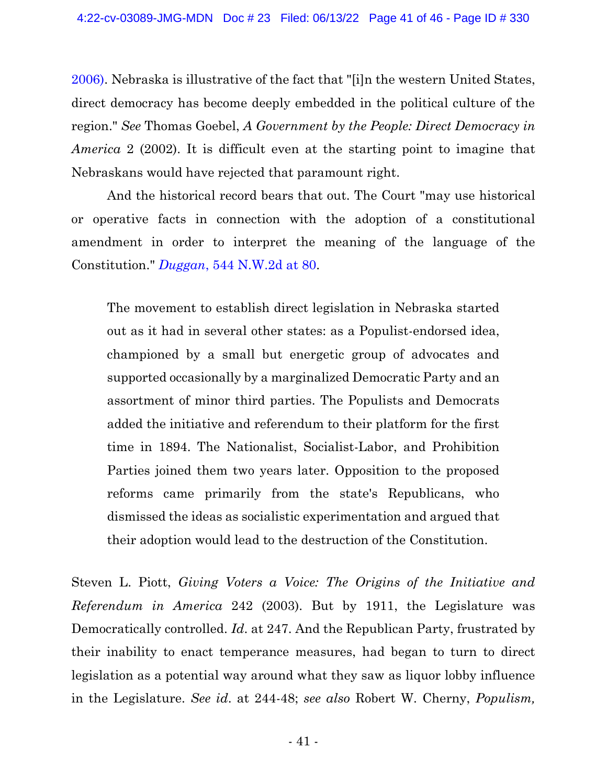[2006\).](https://www.westlaw.com/Document/Ib9d7055165c911db8af7b21dc878c125/View/FullText.html?transitionType=Default&contextData=(sc.Default)&VR=3.0&RS=da3.0&fragmentIdentifier=co_pp_sp_595_77) Nebraska is illustrative of the fact that "[i]n the western United States, direct democracy has become deeply embedded in the political culture of the region." *See* Thomas Goebel, *A Government by the People: Direct Democracy in America* 2 (2002). It is difficult even at the starting point to imagine that Nebraskans would have rejected that paramount right.

And the historical record bears that out. The Court "may use historical or operative facts in connection with the adoption of a constitutional amendment in order to interpret the meaning of the language of the Constitution." *[Duggan](https://www.westlaw.com/Document/I5c975f69ff4911d98ac8f235252e36df/View/FullText.html?transitionType=Default&contextData=(sc.Default)&VR=3.0&RS=da3.0&fragmentIdentifier=co_pp_sp_595_80)*, [544 N.W.2d at 80.](https://www.westlaw.com/Document/I5c975f69ff4911d98ac8f235252e36df/View/FullText.html?transitionType=Default&contextData=(sc.Default)&VR=3.0&RS=da3.0&fragmentIdentifier=co_pp_sp_595_80)

The movement to establish direct legislation in Nebraska started out as it had in several other states: as a Populist-endorsed idea, championed by a small but energetic group of advocates and supported occasionally by a marginalized Democratic Party and an assortment of minor third parties. The Populists and Democrats added the initiative and referendum to their platform for the first time in 1894. The Nationalist, Socialist-Labor, and Prohibition Parties joined them two years later. Opposition to the proposed reforms came primarily from the state's Republicans, who dismissed the ideas as socialistic experimentation and argued that their adoption would lead to the destruction of the Constitution.

Steven L. Piott, *Giving Voters a Voice: The Origins of the Initiative and Referendum in America* 242 (2003). But by 1911, the Legislature was Democratically controlled. *Id*. at 247. And the Republican Party, frustrated by their inability to enact temperance measures, had began to turn to direct legislation as a potential way around what they saw as liquor lobby influence in the Legislature. *See id*. at 244-48; *see also* Robert W. Cherny, *Populism,*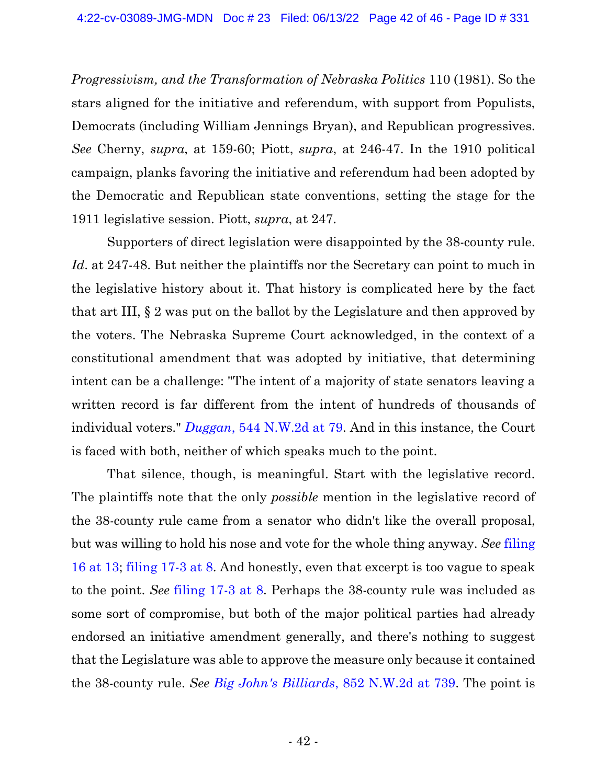*Progressivism, and the Transformation of Nebraska Politics* 110 (1981). So the stars aligned for the initiative and referendum, with support from Populists, Democrats (including William Jennings Bryan), and Republican progressives. *See* Cherny, *supra*, at 159-60; Piott, *supra*, at 246-47. In the 1910 political campaign, planks favoring the initiative and referendum had been adopted by the Democratic and Republican state conventions, setting the stage for the 1911 legislative session. Piott, *supra*, at 247.

Supporters of direct legislation were disappointed by the 38-county rule. *Id*. at 247-48. But neither the plaintiffs nor the Secretary can point to much in the legislative history about it. That history is complicated here by the fact that art III, § 2 was put on the ballot by the Legislature and then approved by the voters. The Nebraska Supreme Court acknowledged, in the context of a constitutional amendment that was adopted by initiative, that determining intent can be a challenge: "The intent of a majority of state senators leaving a written record is far different from the intent of hundreds of thousands of individual voters." *[Duggan](https://www.westlaw.com/Document/I5c975f69ff4911d98ac8f235252e36df/View/FullText.html?transitionType=Default&contextData=(sc.Default)&VR=3.0&RS=da3.0&fragmentIdentifier=co_pp_sp_595_79)*[, 544 N.W.2d at 79.](https://www.westlaw.com/Document/I5c975f69ff4911d98ac8f235252e36df/View/FullText.html?transitionType=Default&contextData=(sc.Default)&VR=3.0&RS=da3.0&fragmentIdentifier=co_pp_sp_595_79) And in this instance, the Court is faced with both, neither of which speaks much to the point.

That silence, though, is meaningful. Start with the legislative record. The plaintiffs note that the only *possible* mention in the legislative record of the 38-county rule came from a senator who didn't like the overall proposal, but was willing to hold his nose and vote for the whole thing anyway. *See* [filing](https://ecf.ned.uscourts.gov/doc1/11314969665?page=13)  [16 at 13;](https://ecf.ned.uscourts.gov/doc1/11314969665?page=13) [filing 17-3 at 8.](https://ecf.ned.uscourts.gov/doc1/11314969676?page=8) And honestly, even that excerpt is too vague to speak to the point. *See* [filing 17-3 at 8.](https://ecf.ned.uscourts.gov/doc1/11314969676?page=8) Perhaps the 38-county rule was included as some sort of compromise, but both of the major political parties had already endorsed an initiative amendment generally, and there's nothing to suggest that the Legislature was able to approve the measure only because it contained the 38-county rule. *See [Big John's Billiards](https://www.westlaw.com/Document/Ieca0ac702f8b11e489308629818ada2c/View/FullText.html?transitionType=Default&contextData=(sc.Default)&VR=3.0&RS=da3.0&fragmentIdentifier=co_pp_sp_595_739)*[, 852 N.W.2d at 739.](https://www.westlaw.com/Document/Ieca0ac702f8b11e489308629818ada2c/View/FullText.html?transitionType=Default&contextData=(sc.Default)&VR=3.0&RS=da3.0&fragmentIdentifier=co_pp_sp_595_739) The point is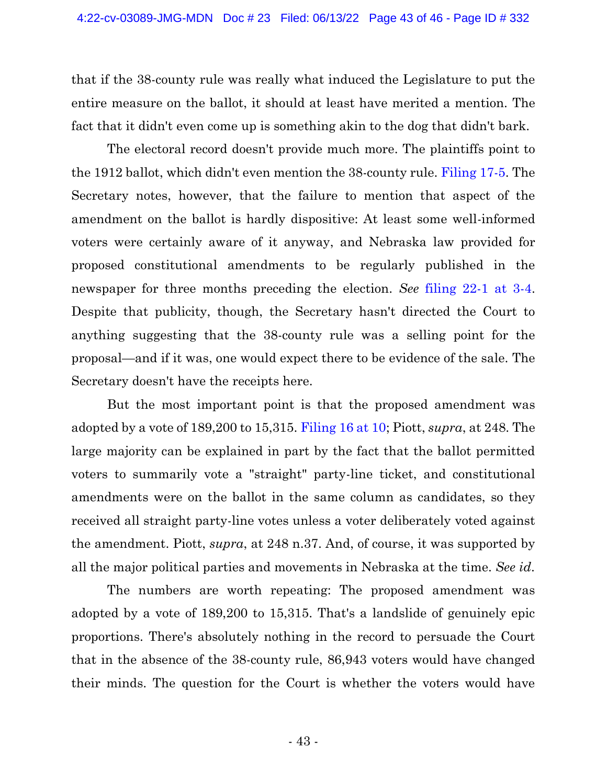that if the 38-county rule was really what induced the Legislature to put the entire measure on the ballot, it should at least have merited a mention. The fact that it didn't even come up is something akin to the dog that didn't bark.

The electoral record doesn't provide much more. The plaintiffs point to the 1912 ballot, which didn't even mention the 38-county rule. [Filing 17-5.](https://ecf.ned.uscourts.gov/doc1/11314969678) The Secretary notes, however, that the failure to mention that aspect of the amendment on the ballot is hardly dispositive: At least some well-informed voters were certainly aware of it anyway, and Nebraska law provided for proposed constitutional amendments to be regularly published in the newspaper for three months preceding the election. *See* [filing 22-1 at 3-4.](https://ecf.ned.uscourts.gov/doc1/11314973142) Despite that publicity, though, the Secretary hasn't directed the Court to anything suggesting that the 38-county rule was a selling point for the proposal—and if it was, one would expect there to be evidence of the sale. The Secretary doesn't have the receipts here.

But the most important point is that the proposed amendment was adopted by a vote of 189,200 to 15,315. [Filing 16 at 10;](https://ecf.ned.uscourts.gov/doc1/11314969665?page=10) Piott, *supra*, at 248. The large majority can be explained in part by the fact that the ballot permitted voters to summarily vote a "straight" party-line ticket, and constitutional amendments were on the ballot in the same column as candidates, so they received all straight party-line votes unless a voter deliberately voted against the amendment. Piott, *supra*, at 248 n.37. And, of course, it was supported by all the major political parties and movements in Nebraska at the time. *See id*.

The numbers are worth repeating: The proposed amendment was adopted by a vote of 189,200 to 15,315. That's a landslide of genuinely epic proportions. There's absolutely nothing in the record to persuade the Court that in the absence of the 38-county rule, 86,943 voters would have changed their minds. The question for the Court is whether the voters would have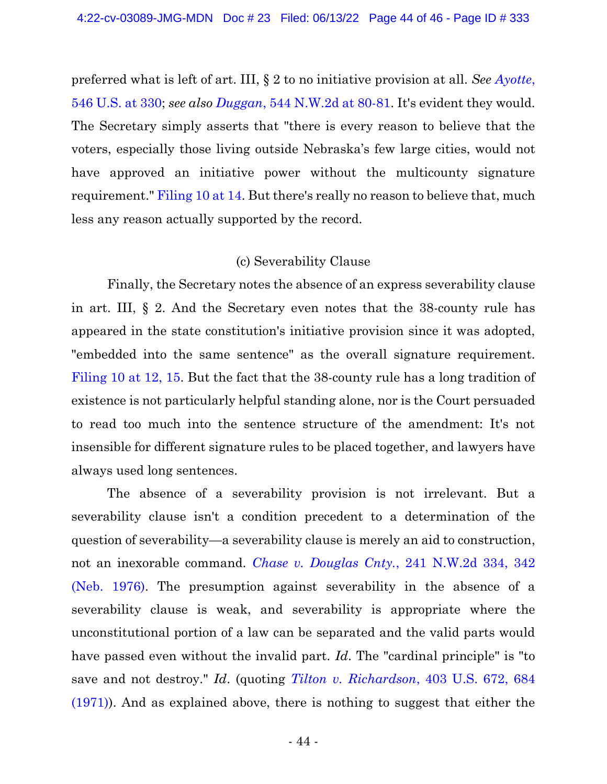preferred what is left of art. III, § 2 to no initiative provision at all. *See [Ayotte](https://www.westlaw.com/Document/I08d988bc883111daa20eccddde63d628/View/FullText.html?transitionType=Default&contextData=(sc.Default)&VR=3.0&RS=da3.0&fragmentIdentifier=co_pp_sp_780_330)*[,](https://www.westlaw.com/Document/I08d988bc883111daa20eccddde63d628/View/FullText.html?transitionType=Default&contextData=(sc.Default)&VR=3.0&RS=da3.0&fragmentIdentifier=co_pp_sp_780_330)  [546 U.S. at 330;](https://www.westlaw.com/Document/I08d988bc883111daa20eccddde63d628/View/FullText.html?transitionType=Default&contextData=(sc.Default)&VR=3.0&RS=da3.0&fragmentIdentifier=co_pp_sp_780_330) *see also Duggan*[, 544 N.W.2d at 80-81.](https://www.westlaw.com/Document/I5c975f69ff4911d98ac8f235252e36df/View/FullText.html?transitionType=Default&contextData=(sc.Default)&VR=3.0&RS=da3.0&fragmentIdentifier=co_pp_sp_595_80) It's evident they would. The Secretary simply asserts that "there is every reason to believe that the voters, especially those living outside Nebraska's few large cities, would not have approved an initiative power without the multicounty signature requirement." [Filing 10 at 14.](https://ecf.ned.uscourts.gov/doc1/11314967650?page=14) But there's really no reason to believe that, much less any reason actually supported by the record.

## (c) Severability Clause

Finally, the Secretary notes the absence of an express severability clause in art. III, § 2. And the Secretary even notes that the 38-county rule has appeared in the state constitution's initiative provision since it was adopted, "embedded into the same sentence" as the overall signature requirement. [Filing 10 at 12, 15.](https://ecf.ned.uscourts.gov/doc1/11314967650?page=12) But the fact that the 38-county rule has a long tradition of existence is not particularly helpful standing alone, nor is the Court persuaded to read too much into the sentence structure of the amendment: It's not insensible for different signature rules to be placed together, and lawyers have always used long sentences.

The absence of a severability provision is not irrelevant. But a severability clause isn't a condition precedent to a determination of the question of severability—a severability clause is merely an aid to construction, not an inexorable command. *[Chase v. Douglas Cnty.](https://www.westlaw.com/Document/I97701b90fe9111d9b386b232635db992/View/FullText.html?transitionType=Default&contextData=(sc.Default)&VR=3.0&RS=da3.0&fragmentIdentifier=co_pp_sp_595_342)*[, 241 N.W.2d 334, 342](https://www.westlaw.com/Document/I97701b90fe9111d9b386b232635db992/View/FullText.html?transitionType=Default&contextData=(sc.Default)&VR=3.0&RS=da3.0&fragmentIdentifier=co_pp_sp_595_342)  [\(Neb. 1976\).](https://www.westlaw.com/Document/I97701b90fe9111d9b386b232635db992/View/FullText.html?transitionType=Default&contextData=(sc.Default)&VR=3.0&RS=da3.0&fragmentIdentifier=co_pp_sp_595_342) The presumption against severability in the absence of a severability clause is weak, and severability is appropriate where the unconstitutional portion of a law can be separated and the valid parts would have passed even without the invalid part. *Id*. The "cardinal principle" is "to save and not destroy." *Id*. (quoting *[Tilton v. Richardson](https://www.westlaw.com/Document/Id4c5126a9c1d11d991d0cc6b54f12d4d/View/FullText.html?transitionType=Default&contextData=(sc.Default)&VR=3.0&RS=da3.0&fragmentIdentifier=co_pp_sp_780_684)*, 403 U.S. 672, 68[4](https://www.westlaw.com/Document/Id4c5126a9c1d11d991d0cc6b54f12d4d/View/FullText.html?transitionType=Default&contextData=(sc.Default)&VR=3.0&RS=da3.0&fragmentIdentifier=co_pp_sp_780_684) [\(1971\)\)](https://www.westlaw.com/Document/Id4c5126a9c1d11d991d0cc6b54f12d4d/View/FullText.html?transitionType=Default&contextData=(sc.Default)&VR=3.0&RS=da3.0&fragmentIdentifier=co_pp_sp_780_684). And as explained above, there is nothing to suggest that either the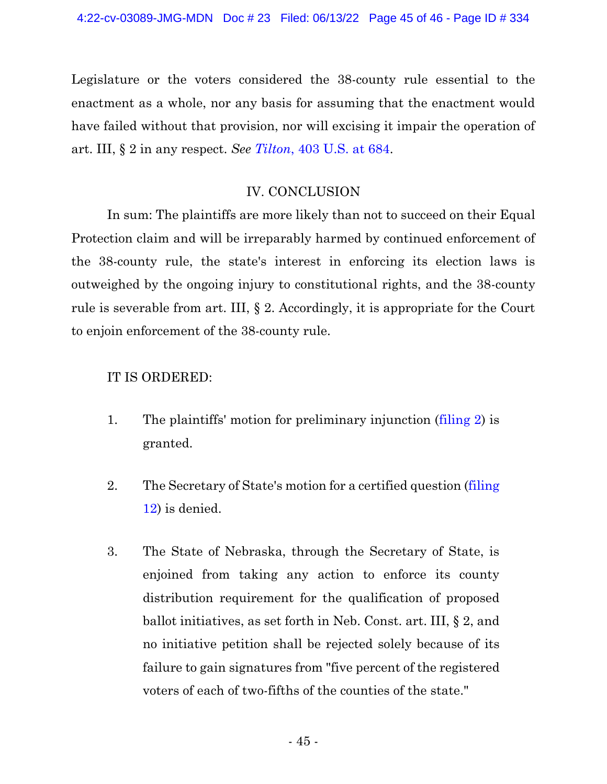Legislature or the voters considered the 38-county rule essential to the enactment as a whole, nor any basis for assuming that the enactment would have failed without that provision, nor will excising it impair the operation of art. III, § 2 in any respect. *See [Tilton](https://www.westlaw.com/Document/Id4c5126a9c1d11d991d0cc6b54f12d4d/View/FullText.html?transitionType=Default&contextData=(sc.Default)&VR=3.0&RS=da3.0&fragmentIdentifier=co_pp_sp_780_684)*[, 403 U.S. at 684.](https://www.westlaw.com/Document/Id4c5126a9c1d11d991d0cc6b54f12d4d/View/FullText.html?transitionType=Default&contextData=(sc.Default)&VR=3.0&RS=da3.0&fragmentIdentifier=co_pp_sp_780_684)

# IV. CONCLUSION

In sum: The plaintiffs are more likely than not to succeed on their Equal Protection claim and will be irreparably harmed by continued enforcement of the 38-county rule, the state's interest in enforcing its election laws is outweighed by the ongoing injury to constitutional rights, and the 38-county rule is severable from art. III, § 2. Accordingly, it is appropriate for the Court to enjoin enforcement of the 38-county rule.

# IT IS ORDERED:

- 1. The plaintiffs' motion for preliminary injunction [\(filing 2\)](https://ecf.ned.uscourts.gov/doc1/11314956983) is granted.
- 2. The Secretary of State's motion for a certified question [\(filing](https://ecf.ned.uscourts.gov/doc1/11314967722)  [12\)](https://ecf.ned.uscourts.gov/doc1/11314967722) is denied.
- 3. The State of Nebraska, through the Secretary of State, is enjoined from taking any action to enforce its county distribution requirement for the qualification of proposed ballot initiatives, as set forth in Neb. Const. art. III, § 2, and no initiative petition shall be rejected solely because of its failure to gain signatures from "five percent of the registered voters of each of two-fifths of the counties of the state."